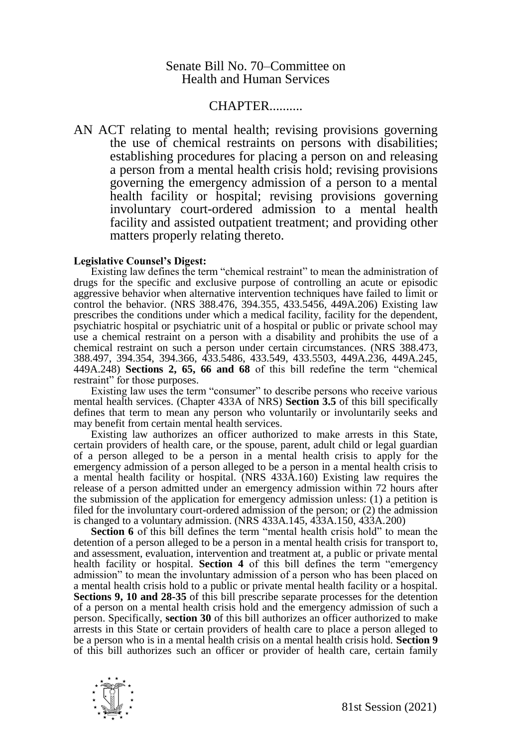## Senate Bill No. 70–Committee on Health and Human Services

## CHAPTER..........

AN ACT relating to mental health; revising provisions governing the use of chemical restraints on persons with disabilities; establishing procedures for placing a person on and releasing a person from a mental health crisis hold; revising provisions governing the emergency admission of a person to a mental health facility or hospital; revising provisions governing involuntary court-ordered admission to a mental health facility and assisted outpatient treatment; and providing other matters properly relating thereto.

## **Legislative Counsel's Digest:**

Existing law defines the term "chemical restraint" to mean the administration of drugs for the specific and exclusive purpose of controlling an acute or episodic aggressive behavior when alternative intervention techniques have failed to limit or control the behavior. (NRS 388.476, 394.355, 433.5456, 449A.206) Existing law prescribes the conditions under which a medical facility, facility for the dependent, psychiatric hospital or psychiatric unit of a hospital or public or private school may use a chemical restraint on a person with a disability and prohibits the use of a chemical restraint on such a person under certain circumstances. (NRS 388.473, 388.497, 394.354, 394.366, 433.5486, 433.549, 433.5503, 449A.236, 449A.245, 449A.248) **Sections 2, 65, 66 and 68** of this bill redefine the term "chemical restraint" for those purposes.

Existing law uses the term "consumer" to describe persons who receive various mental health services. (Chapter 433A of NRS) **Section 3.5** of this bill specifically defines that term to mean any person who voluntarily or involuntarily seeks and may benefit from certain mental health services.

Existing law authorizes an officer authorized to make arrests in this State, certain providers of health care, or the spouse, parent, adult child or legal guardian of a person alleged to be a person in a mental health crisis to apply for the emergency admission of a person alleged to be a person in a mental health crisis to a mental health facility or hospital. (NRS 433A.160) Existing law requires the release of a person admitted under an emergency admission within 72 hours after the submission of the application for emergency admission unless: (1) a petition is filed for the involuntary court-ordered admission of the person; or (2) the admission is changed to a voluntary admission. (NRS 433A.145, 433A.150, 433A.200)

**Section 6** of this bill defines the term "mental health crisis hold" to mean the detention of a person alleged to be a person in a mental health crisis for transport to, and assessment, evaluation, intervention and treatment at, a public or private mental health facility or hospital. **Section 4** of this bill defines the term "emergency admission" to mean the involuntary admission of a person who has been placed on a mental health crisis hold to a public or private mental health facility or a hospital. **Sections 9, 10 and 28-35** of this bill prescribe separate processes for the detention of a person on a mental health crisis hold and the emergency admission of such a person. Specifically, **section 30** of this bill authorizes an officer authorized to make arrests in this State or certain providers of health care to place a person alleged to be a person who is in a mental health crisis on a mental health crisis hold. **Section 9** of this bill authorizes such an officer or provider of health care, certain family

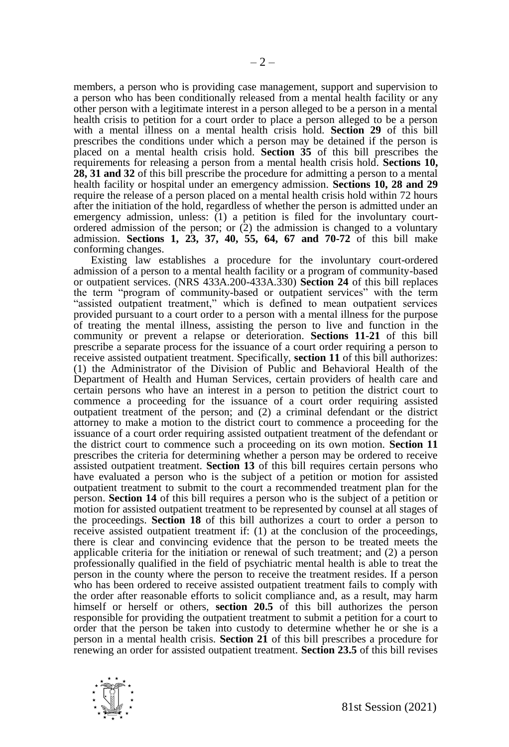members, a person who is providing case management, support and supervision to a person who has been conditionally released from a mental health facility or any other person with a legitimate interest in a person alleged to be a person in a mental health crisis to petition for a court order to place a person alleged to be a person with a mental illness on a mental health crisis hold. **Section 29** of this bill prescribes the conditions under which a person may be detained if the person is placed on a mental health crisis hold. **Section 35** of this bill prescribes the requirements for releasing a person from a mental health crisis hold. **Sections 10, 28, 31 and 32** of this bill prescribe the procedure for admitting a person to a mental health facility or hospital under an emergency admission. **Sections 10, 28 and 29** require the release of a person placed on a mental health crisis hold within 72 hours after the initiation of the hold, regardless of whether the person is admitted under an emergency admission, unless:  $(1)$  a petition is filed for the involuntary courtordered admission of the person; or  $(2)$  the admission is changed to a voluntary admission. **Sections 1, 23, 37, 40, 55, 64, 67 and 70-72** of this bill make conforming changes.

Existing law establishes a procedure for the involuntary court-ordered admission of a person to a mental health facility or a program of community-based or outpatient services. (NRS 433A.200-433A.330) **Section 24** of this bill replaces the term "program of community-based or outpatient services" with the term "assisted outpatient treatment," which is defined to mean outpatient services provided pursuant to a court order to a person with a mental illness for the purpose of treating the mental illness, assisting the person to live and function in the community or prevent a relapse or deterioration. **Sections 11-21** of this bill prescribe a separate process for the issuance of a court order requiring a person to receive assisted outpatient treatment. Specifically, **section 11** of this bill authorizes: (1) the Administrator of the Division of Public and Behavioral Health of the Department of Health and Human Services, certain providers of health care and certain persons who have an interest in a person to petition the district court to commence a proceeding for the issuance of a court order requiring assisted outpatient treatment of the person; and (2) a criminal defendant or the district attorney to make a motion to the district court to commence a proceeding for the issuance of a court order requiring assisted outpatient treatment of the defendant or the district court to commence such a proceeding on its own motion. **Section 11** prescribes the criteria for determining whether a person may be ordered to receive assisted outpatient treatment. **Section 13** of this bill requires certain persons who have evaluated a person who is the subject of a petition or motion for assisted outpatient treatment to submit to the court a recommended treatment plan for the person. **Section 14** of this bill requires a person who is the subject of a petition or motion for assisted outpatient treatment to be represented by counsel at all stages of the proceedings. **Section 18** of this bill authorizes a court to order a person to receive assisted outpatient treatment if: (1) at the conclusion of the proceedings, there is clear and convincing evidence that the person to be treated meets the applicable criteria for the initiation or renewal of such treatment; and (2) a person professionally qualified in the field of psychiatric mental health is able to treat the person in the county where the person to receive the treatment resides. If a person who has been ordered to receive assisted outpatient treatment fails to comply with the order after reasonable efforts to solicit compliance and, as a result, may harm himself or herself or others, **section 20.5** of this bill authorizes the person responsible for providing the outpatient treatment to submit a petition for a court to order that the person be taken into custody to determine whether he or she is a person in a mental health crisis. **Section 21** of this bill prescribes a procedure for renewing an order for assisted outpatient treatment. **Section 23.5** of this bill revises

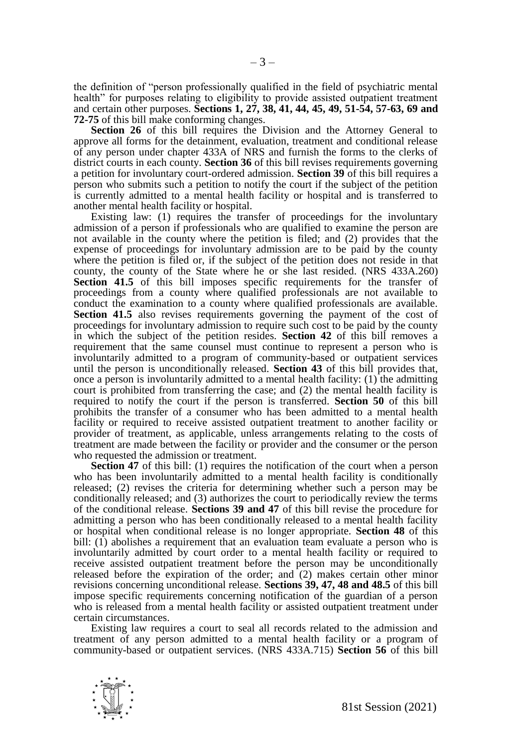the definition of "person professionally qualified in the field of psychiatric mental health" for purposes relating to eligibility to provide assisted outpatient treatment and certain other purposes. **Sections 1, 27, 38, 41, 44, 45, 49, 51-54, 57-63, 69 and 72-75** of this bill make conforming changes.

**Section 26** of this bill requires the Division and the Attorney General to approve all forms for the detainment, evaluation, treatment and conditional release of any person under chapter 433A of NRS and furnish the forms to the clerks of district courts in each county. **Section 36** of this bill revises requirements governing a petition for involuntary court-ordered admission. **Section 39** of this bill requires a person who submits such a petition to notify the court if the subject of the petition is currently admitted to a mental health facility or hospital and is transferred to another mental health facility or hospital.

Existing law: (1) requires the transfer of proceedings for the involuntary admission of a person if professionals who are qualified to examine the person are not available in the county where the petition is filed; and (2) provides that the expense of proceedings for involuntary admission are to be paid by the county where the petition is filed or, if the subject of the petition does not reside in that county, the county of the State where he or she last resided. (NRS 433A.260) **Section 41.5** of this bill imposes specific requirements for the transfer of proceedings from a county where qualified professionals are not available to conduct the examination to a county where qualified professionals are available. Section 41.5 also revises requirements governing the payment of the cost of proceedings for involuntary admission to require such cost to be paid by the county in which the subject of the petition resides. **Section 42** of this bill removes a requirement that the same counsel must continue to represent a person who is involuntarily admitted to a program of community-based or outpatient services until the person is unconditionally released. **Section 43** of this bill provides that, once a person is involuntarily admitted to a mental health facility:  $(1)$  the admitting court is prohibited from transferring the case; and (2) the mental health facility is required to notify the court if the person is transferred. **Section 50** of this bill prohibits the transfer of a consumer who has been admitted to a mental health facility or required to receive assisted outpatient treatment to another facility or provider of treatment, as applicable, unless arrangements relating to the costs of treatment are made between the facility or provider and the consumer or the person who requested the admission or treatment.

**Section 47** of this bill: (1) requires the notification of the court when a person who has been involuntarily admitted to a mental health facility is conditionally released; (2) revises the criteria for determining whether such a person may be conditionally released; and (3) authorizes the court to periodically review the terms of the conditional release. **Sections 39 and 47** of this bill revise the procedure for admitting a person who has been conditionally released to a mental health facility or hospital when conditional release is no longer appropriate. **Section 48** of this bill:  $(i)$  abolishes a requirement that an evaluation team evaluate a person who is involuntarily admitted by court order to a mental health facility or required to receive assisted outpatient treatment before the person may be unconditionally released before the expiration of the order; and (2) makes certain other minor revisions concerning unconditional release. **Sections 39, 47, 48 and 48.5** of this bill impose specific requirements concerning notification of the guardian of a person who is released from a mental health facility or assisted outpatient treatment under certain circumstances.

Existing law requires a court to seal all records related to the admission and treatment of any person admitted to a mental health facility or a program of community-based or outpatient services. (NRS 433A.715) **Section 56** of this bill

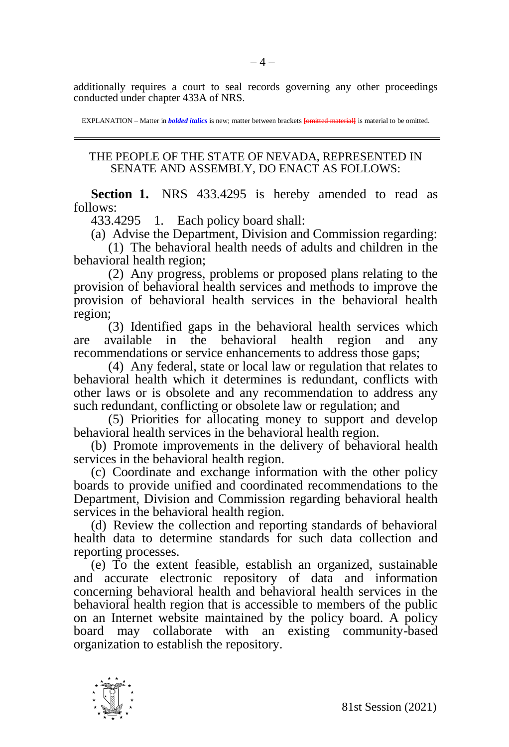additionally requires a court to seal records governing any other proceedings conducted under chapter 433A of NRS.

EXPLANATION – Matter in *bolded italics* is new; matter between brackets **[omitted material]** is material to be omitted.

## THE PEOPLE OF THE STATE OF NEVADA, REPRESENTED IN SENATE AND ASSEMBLY, DO ENACT AS FOLLOWS:

**Section 1.** NRS 433.4295 is hereby amended to read as follows:

433.4295 1. Each policy board shall:

(a) Advise the Department, Division and Commission regarding:

(1) The behavioral health needs of adults and children in the behavioral health region;

(2) Any progress, problems or proposed plans relating to the provision of behavioral health services and methods to improve the provision of behavioral health services in the behavioral health region;

(3) Identified gaps in the behavioral health services which are available in the behavioral health region and any recommendations or service enhancements to address those gaps;

(4) Any federal, state or local law or regulation that relates to behavioral health which it determines is redundant, conflicts with other laws or is obsolete and any recommendation to address any such redundant, conflicting or obsolete law or regulation; and

(5) Priorities for allocating money to support and develop behavioral health services in the behavioral health region.

(b) Promote improvements in the delivery of behavioral health services in the behavioral health region.

(c) Coordinate and exchange information with the other policy boards to provide unified and coordinated recommendations to the Department, Division and Commission regarding behavioral health services in the behavioral health region.

(d) Review the collection and reporting standards of behavioral health data to determine standards for such data collection and reporting processes.

(e) To the extent feasible, establish an organized, sustainable and accurate electronic repository of data and information concerning behavioral health and behavioral health services in the behavioral health region that is accessible to members of the public on an Internet website maintained by the policy board. A policy board may collaborate with an existing community-based organization to establish the repository.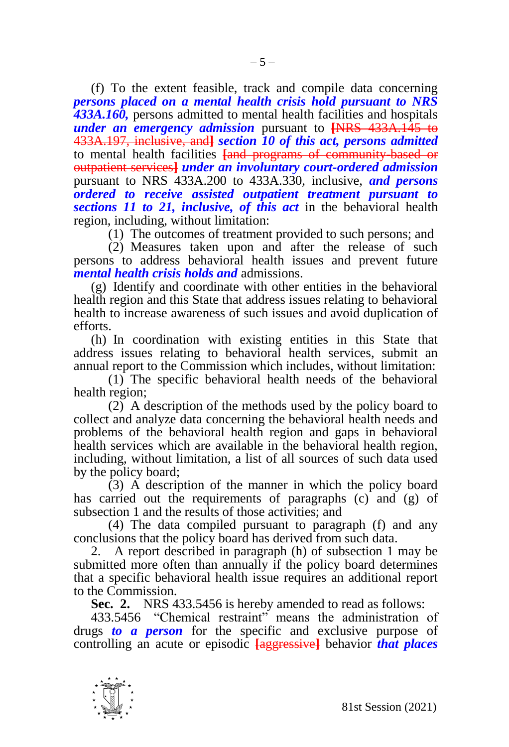(f) To the extent feasible, track and compile data concerning *persons placed on a mental health crisis hold pursuant to NRS 433A.160,* persons admitted to mental health facilities and hospitals *under an emergency admission* pursuant to **[**NRS 433A.145 to 433A.197, inclusive, and**]** *section 10 of this act, persons admitted*  to mental health facilities **[**and programs of community-based or outpatient services**]** *under an involuntary court-ordered admission*  pursuant to NRS 433A.200 to 433A.330, inclusive, *and persons ordered to receive assisted outpatient treatment pursuant to sections 11 to 21, inclusive, of this act* in the behavioral health region, including, without limitation:

(1) The outcomes of treatment provided to such persons; and

(2) Measures taken upon and after the release of such persons to address behavioral health issues and prevent future *mental health crisis holds and* admissions.

(g) Identify and coordinate with other entities in the behavioral health region and this State that address issues relating to behavioral health to increase awareness of such issues and avoid duplication of efforts.

(h) In coordination with existing entities in this State that address issues relating to behavioral health services, submit an annual report to the Commission which includes, without limitation:

(1) The specific behavioral health needs of the behavioral health region;

(2) A description of the methods used by the policy board to collect and analyze data concerning the behavioral health needs and problems of the behavioral health region and gaps in behavioral health services which are available in the behavioral health region, including, without limitation, a list of all sources of such data used by the policy board;

 $(3)$  A description of the manner in which the policy board has carried out the requirements of paragraphs (c) and (g) of subsection 1 and the results of those activities; and

(4) The data compiled pursuant to paragraph (f) and any conclusions that the policy board has derived from such data.

2. A report described in paragraph (h) of subsection 1 may be submitted more often than annually if the policy board determines that a specific behavioral health issue requires an additional report to the Commission.

**Sec. 2.** NRS 433.5456 is hereby amended to read as follows:

433.5456 "Chemical restraint" means the administration of drugs *to a person* for the specific and exclusive purpose of controlling an acute or episodic **[**aggressive**]** behavior *that places* 

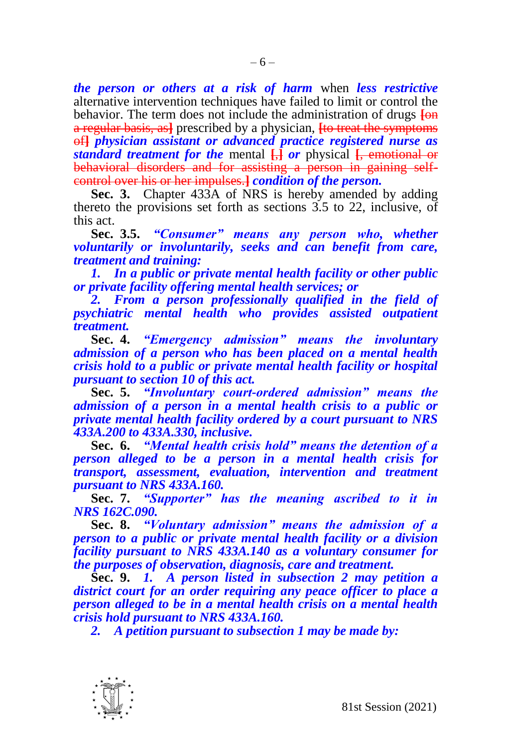*the person or others at a risk of harm* when *less restrictive* alternative intervention techniques have failed to limit or control the behavior. The term does not include the administration of drugs  $\overline{f}_{\theta}$ a regular basis, as**]** prescribed by a physician, **[**to treat the symptoms of**]** *physician assistant or advanced practice registered nurse as standard treatment for the* mental **[**,**]** *or* physical **[**, emotional or behavioral disorders and for assisting a person in gaining selfcontrol over his or her impulses.**]** *condition of the person.*

**Sec. 3.** Chapter 433A of NRS is hereby amended by adding thereto the provisions set forth as sections 3.5 to 22, inclusive, of this act.

**Sec. 3.5.** *"Consumer" means any person who, whether voluntarily or involuntarily, seeks and can benefit from care, treatment and training:*

*1. In a public or private mental health facility or other public or private facility offering mental health services; or*

2. From a person professionally qualified in the field of *psychiatric mental health who provides assisted outpatient treatment.*

**Sec. 4.** *"Emergency admission" means the involuntary admission of a person who has been placed on a mental health crisis hold to a public or private mental health facility or hospital pursuant to section 10 of this act.*

**Sec. 5.** *"Involuntary court-ordered admission" means the admission of a person in a mental health crisis to a public or private mental health facility ordered by a court pursuant to NRS 433A.200 to 433A.330, inclusive.*

**Sec. 6.** *"Mental health crisis hold" means the detention of a person alleged to be a person in a mental health crisis for transport, assessment, evaluation, intervention and treatment pursuant to NRS 433A.160.*

**Sec. 7.** *"Supporter" has the meaning ascribed to it in NRS 162C.090.*

**Sec. 8.** *"Voluntary admission" means the admission of a person to a public or private mental health facility or a division facility pursuant to NRS 433A.140 as a voluntary consumer for the purposes of observation, diagnosis, care and treatment.*

**Sec. 9.** *1. A person listed in subsection 2 may petition a district court for an order requiring any peace officer to place a person alleged to be in a mental health crisis on a mental health crisis hold pursuant to NRS 433A.160.*

*2. A petition pursuant to subsection 1 may be made by:*

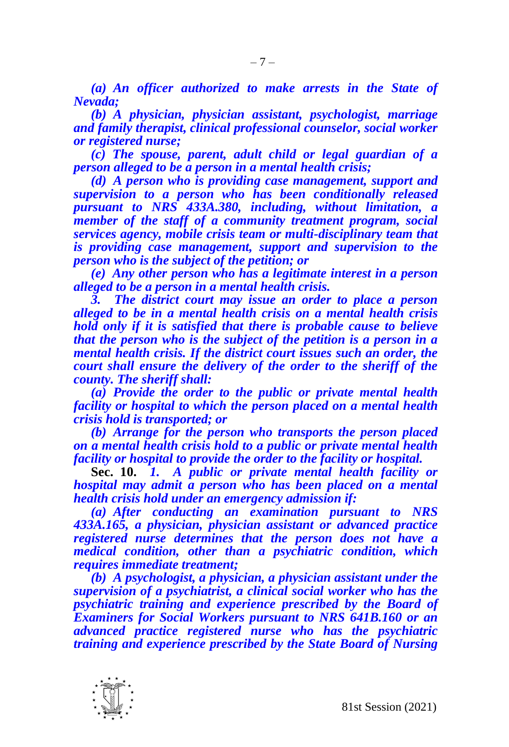*(a) An officer authorized to make arrests in the State of Nevada;*

*(b) A physician, physician assistant, psychologist, marriage and family therapist, clinical professional counselor, social worker or registered nurse;*

*(c) The spouse, parent, adult child or legal guardian of a person alleged to be a person in a mental health crisis;* 

*(d) A person who is providing case management, support and supervision to a person who has been conditionally released pursuant to NRS 433A.380, including, without limitation, a member of the staff of a community treatment program, social services agency, mobile crisis team or multi-disciplinary team that is providing case management, support and supervision to the person who is the subject of the petition; or*

*(e) Any other person who has a legitimate interest in a person alleged to be a person in a mental health crisis.* 

*3. The district court may issue an order to place a person alleged to be in a mental health crisis on a mental health crisis hold only if it is satisfied that there is probable cause to believe that the person who is the subject of the petition is a person in a mental health crisis. If the district court issues such an order, the court shall ensure the delivery of the order to the sheriff of the county. The sheriff shall:*

*(a) Provide the order to the public or private mental health facility or hospital to which the person placed on a mental health crisis hold is transported; or* 

*(b) Arrange for the person who transports the person placed on a mental health crisis hold to a public or private mental health facility or hospital to provide the order to the facility or hospital.*

**Sec. 10.** *1. A public or private mental health facility or hospital may admit a person who has been placed on a mental health crisis hold under an emergency admission if:*

*(a) After conducting an examination pursuant to NRS 433A.165, a physician, physician assistant or advanced practice registered nurse determines that the person does not have a medical condition, other than a psychiatric condition, which requires immediate treatment;*

*(b) A psychologist, a physician, a physician assistant under the supervision of a psychiatrist, a clinical social worker who has the psychiatric training and experience prescribed by the Board of Examiners for Social Workers pursuant to NRS 641B.160 or an advanced practice registered nurse who has the psychiatric training and experience prescribed by the State Board of Nursing* 

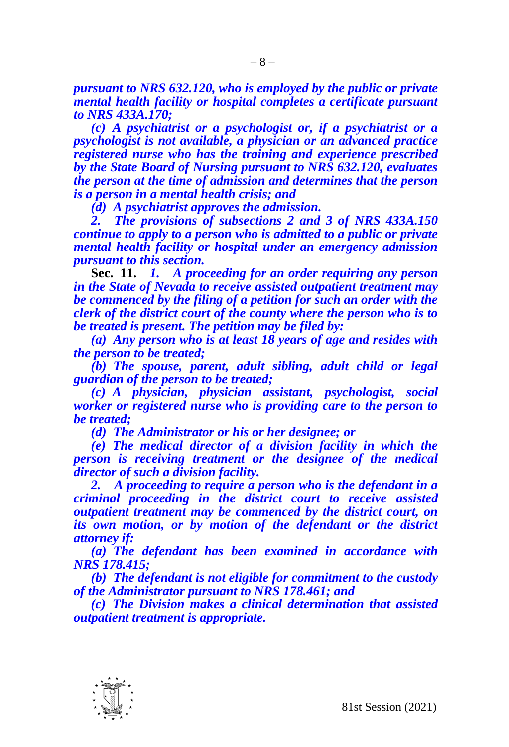*pursuant to NRS 632.120, who is employed by the public or private mental health facility or hospital completes a certificate pursuant to NRS 433A.170;*

*(c) A psychiatrist or a psychologist or, if a psychiatrist or a psychologist is not available, a physician or an advanced practice registered nurse who has the training and experience prescribed by the State Board of Nursing pursuant to NRS 632.120, evaluates the person at the time of admission and determines that the person is a person in a mental health crisis; and*

*(d) A psychiatrist approves the admission.*

*2. The provisions of subsections 2 and 3 of NRS 433A.150 continue to apply to a person who is admitted to a public or private mental health facility or hospital under an emergency admission pursuant to this section.*

**Sec. 11.** *1. A proceeding for an order requiring any person in the State of Nevada to receive assisted outpatient treatment may be commenced by the filing of a petition for such an order with the clerk of the district court of the county where the person who is to be treated is present. The petition may be filed by:*

*(a) Any person who is at least 18 years of age and resides with the person to be treated;*

*(b) The spouse, parent, adult sibling, adult child or legal guardian of the person to be treated;*

*(c) A physician, physician assistant, psychologist, social worker or registered nurse who is providing care to the person to be treated;*

*(d) The Administrator or his or her designee; or*

*(e) The medical director of a division facility in which the person is receiving treatment or the designee of the medical director of such a division facility.*

*2. A proceeding to require a person who is the defendant in a criminal proceeding in the district court to receive assisted outpatient treatment may be commenced by the district court, on its own motion, or by motion of the defendant or the district attorney if:*

*(a) The defendant has been examined in accordance with NRS 178.415;*

*(b) The defendant is not eligible for commitment to the custody of the Administrator pursuant to NRS 178.461; and*

*(c) The Division makes a clinical determination that assisted outpatient treatment is appropriate.*

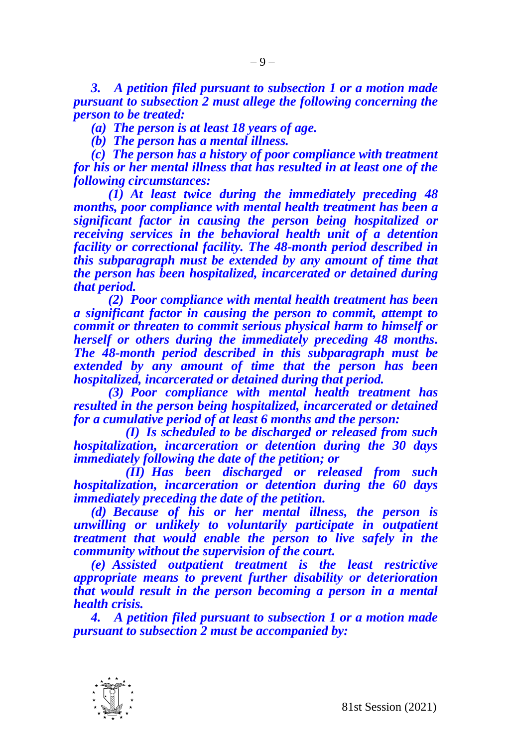*3. A petition filed pursuant to subsection 1 or a motion made pursuant to subsection 2 must allege the following concerning the person to be treated:*

*(a) The person is at least 18 years of age.*

*(b) The person has a mental illness.*

*(c) The person has a history of poor compliance with treatment for his or her mental illness that has resulted in at least one of the following circumstances:*

*(1) At least twice during the immediately preceding 48 months, poor compliance with mental health treatment has been a significant factor in causing the person being hospitalized or receiving services in the behavioral health unit of a detention facility or correctional facility. The 48-month period described in this subparagraph must be extended by any amount of time that the person has been hospitalized, incarcerated or detained during that period.*

*(2) Poor compliance with mental health treatment has been a significant factor in causing the person to commit, attempt to commit or threaten to commit serious physical harm to himself or herself or others during the immediately preceding 48 months. The 48-month period described in this subparagraph must be extended by any amount of time that the person has been hospitalized, incarcerated or detained during that period.*

*(3) Poor compliance with mental health treatment has resulted in the person being hospitalized, incarcerated or detained for a cumulative period of at least 6 months and the person:*

*(I) Is scheduled to be discharged or released from such hospitalization, incarceration or detention during the 30 days immediately following the date of the petition; or*

*(II) Has been discharged or released from such hospitalization, incarceration or detention during the 60 days immediately preceding the date of the petition.* 

*(d) Because of his or her mental illness, the person is unwilling or unlikely to voluntarily participate in outpatient treatment that would enable the person to live safely in the community without the supervision of the court.*

*(e) Assisted outpatient treatment is the least restrictive appropriate means to prevent further disability or deterioration that would result in the person becoming a person in a mental health crisis.*

*4. A petition filed pursuant to subsection 1 or a motion made pursuant to subsection 2 must be accompanied by:*

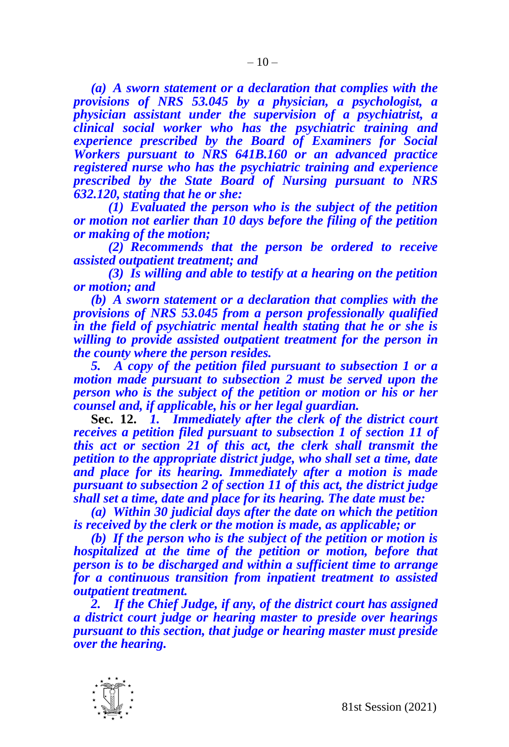*(a) A sworn statement or a declaration that complies with the provisions of NRS 53.045 by a physician, a psychologist, a physician assistant under the supervision of a psychiatrist, a clinical social worker who has the psychiatric training and experience prescribed by the Board of Examiners for Social Workers pursuant to NRS 641B.160 or an advanced practice registered nurse who has the psychiatric training and experience prescribed by the State Board of Nursing pursuant to NRS 632.120, stating that he or she:*

*(1) Evaluated the person who is the subject of the petition or motion not earlier than 10 days before the filing of the petition or making of the motion;*

*(2) Recommends that the person be ordered to receive assisted outpatient treatment; and*

*(3) Is willing and able to testify at a hearing on the petition or motion; and*

*(b) A sworn statement or a declaration that complies with the provisions of NRS 53.045 from a person professionally qualified in the field of psychiatric mental health stating that he or she is willing to provide assisted outpatient treatment for the person in the county where the person resides.*

*5. A copy of the petition filed pursuant to subsection 1 or a motion made pursuant to subsection 2 must be served upon the person who is the subject of the petition or motion or his or her counsel and, if applicable, his or her legal guardian.*

**Sec. 12.** *1. Immediately after the clerk of the district court receives a petition filed pursuant to subsection 1 of section 11 of this act or section 21 of this act, the clerk shall transmit the petition to the appropriate district judge, who shall set a time, date and place for its hearing. Immediately after a motion is made pursuant to subsection 2 of section 11 of this act, the district judge shall set a time, date and place for its hearing. The date must be:*

*(a) Within 30 judicial days after the date on which the petition is received by the clerk or the motion is made, as applicable; or*

*(b) If the person who is the subject of the petition or motion is hospitalized at the time of the petition or motion, before that person is to be discharged and within a sufficient time to arrange for a continuous transition from inpatient treatment to assisted outpatient treatment.*

*2. If the Chief Judge, if any, of the district court has assigned a district court judge or hearing master to preside over hearings pursuant to this section, that judge or hearing master must preside over the hearing.*

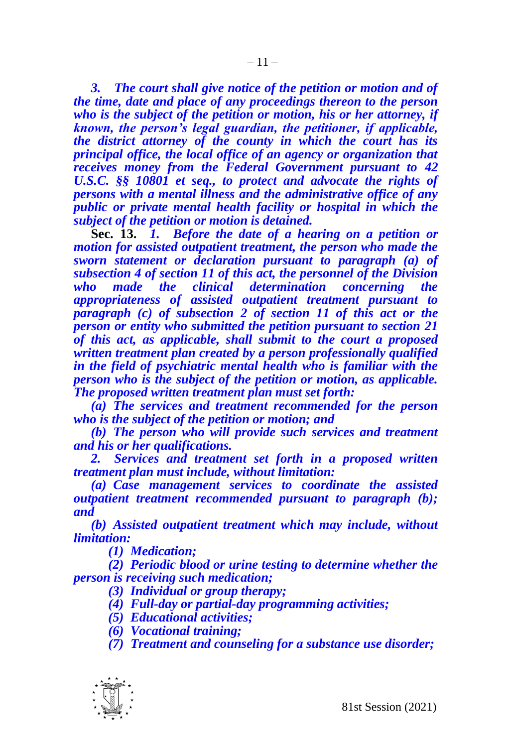*3. The court shall give notice of the petition or motion and of the time, date and place of any proceedings thereon to the person who is the subject of the petition or motion, his or her attorney, if known, the person's legal guardian, the petitioner, if applicable, the district attorney of the county in which the court has its principal office, the local office of an agency or organization that receives money from the Federal Government pursuant to 42 U.S.C. §§ 10801 et seq., to protect and advocate the rights of persons with a mental illness and the administrative office of any public or private mental health facility or hospital in which the subject of the petition or motion is detained.*

**Sec. 13.** *1. Before the date of a hearing on a petition or motion for assisted outpatient treatment, the person who made the sworn statement or declaration pursuant to paragraph (a) of subsection 4 of section 11 of this act, the personnel of the Division who made the clinical determination concerning the appropriateness of assisted outpatient treatment pursuant to paragraph (c) of subsection 2 of section 11 of this act or the person or entity who submitted the petition pursuant to section 21 of this act, as applicable, shall submit to the court a proposed written treatment plan created by a person professionally qualified in the field of psychiatric mental health who is familiar with the person who is the subject of the petition or motion, as applicable. The proposed written treatment plan must set forth:* 

*(a) The services and treatment recommended for the person who is the subject of the petition or motion; and*

*(b) The person who will provide such services and treatment and his or her qualifications.* 

*2. Services and treatment set forth in a proposed written treatment plan must include, without limitation:*

*(a) Case management services to coordinate the assisted outpatient treatment recommended pursuant to paragraph (b); and* 

*(b) Assisted outpatient treatment which may include, without limitation:*

*(1) Medication;*

*(2) Periodic blood or urine testing to determine whether the person is receiving such medication;*

- *(3) Individual or group therapy;*
- *(4) Full-day or partial-day programming activities;*
- *(5) Educational activities;*
- *(6) Vocational training;*
- *(7) Treatment and counseling for a substance use disorder;*

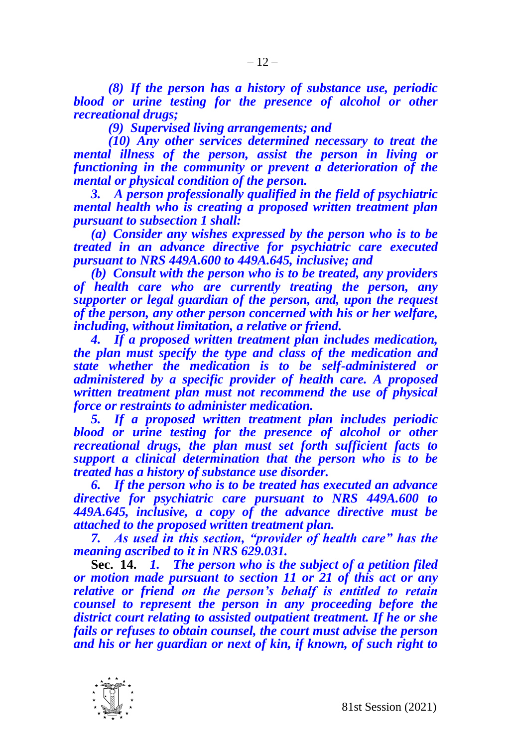*(8) If the person has a history of substance use, periodic blood or urine testing for the presence of alcohol or other recreational drugs;*

*(9) Supervised living arrangements; and*

*(10) Any other services determined necessary to treat the mental illness of the person, assist the person in living or functioning in the community or prevent a deterioration of the mental or physical condition of the person.*

*3. A person professionally qualified in the field of psychiatric mental health who is creating a proposed written treatment plan pursuant to subsection 1 shall:*

*(a) Consider any wishes expressed by the person who is to be treated in an advance directive for psychiatric care executed pursuant to NRS 449A.600 to 449A.645, inclusive; and*

*(b) Consult with the person who is to be treated, any providers of health care who are currently treating the person, any supporter or legal guardian of the person, and, upon the request of the person, any other person concerned with his or her welfare, including, without limitation, a relative or friend.*

*4. If a proposed written treatment plan includes medication, the plan must specify the type and class of the medication and state whether the medication is to be self-administered or administered by a specific provider of health care. A proposed written treatment plan must not recommend the use of physical force or restraints to administer medication.*

*5. If a proposed written treatment plan includes periodic blood or urine testing for the presence of alcohol or other recreational drugs, the plan must set forth sufficient facts to support a clinical determination that the person who is to be treated has a history of substance use disorder.*

*6. If the person who is to be treated has executed an advance directive for psychiatric care pursuant to NRS 449A.600 to 449A.645, inclusive, a copy of the advance directive must be attached to the proposed written treatment plan.* 

*7. As used in this section, "provider of health care" has the meaning ascribed to it in NRS 629.031.*

**Sec. 14.** *1. The person who is the subject of a petition filed or motion made pursuant to section 11 or 21 of this act or any relative or friend on the person's behalf is entitled to retain counsel to represent the person in any proceeding before the district court relating to assisted outpatient treatment. If he or she fails or refuses to obtain counsel, the court must advise the person and his or her guardian or next of kin, if known, of such right to* 

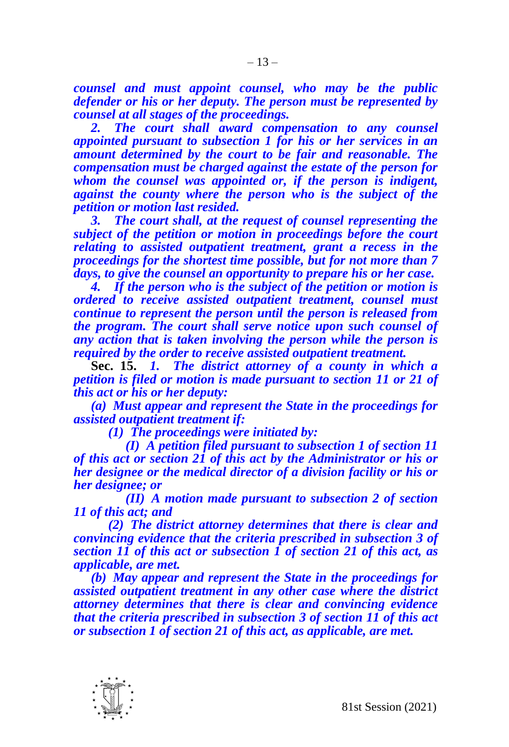*counsel and must appoint counsel, who may be the public defender or his or her deputy. The person must be represented by counsel at all stages of the proceedings.*

*2. The court shall award compensation to any counsel appointed pursuant to subsection 1 for his or her services in an amount determined by the court to be fair and reasonable. The compensation must be charged against the estate of the person for whom the counsel was appointed or, if the person is indigent, against the county where the person who is the subject of the petition or motion last resided.*

*3. The court shall, at the request of counsel representing the subject of the petition or motion in proceedings before the court relating to assisted outpatient treatment, grant a recess in the proceedings for the shortest time possible, but for not more than 7 days, to give the counsel an opportunity to prepare his or her case.*

*4. If the person who is the subject of the petition or motion is ordered to receive assisted outpatient treatment, counsel must continue to represent the person until the person is released from the program. The court shall serve notice upon such counsel of any action that is taken involving the person while the person is required by the order to receive assisted outpatient treatment.*

**Sec. 15.** *1. The district attorney of a county in which a petition is filed or motion is made pursuant to section 11 or 21 of this act or his or her deputy:*

*(a) Must appear and represent the State in the proceedings for assisted outpatient treatment if:*

*(1) The proceedings were initiated by:*

*(I) A petition filed pursuant to subsection 1 of section 11 of this act or section 21 of this act by the Administrator or his or her designee or the medical director of a division facility or his or her designee; or*

*(II) A motion made pursuant to subsection 2 of section 11 of this act; and*

*(2) The district attorney determines that there is clear and convincing evidence that the criteria prescribed in subsection 3 of section 11 of this act or subsection 1 of section 21 of this act, as applicable, are met.*

*(b) May appear and represent the State in the proceedings for assisted outpatient treatment in any other case where the district attorney determines that there is clear and convincing evidence that the criteria prescribed in subsection 3 of section 11 of this act or subsection 1 of section 21 of this act, as applicable, are met.*

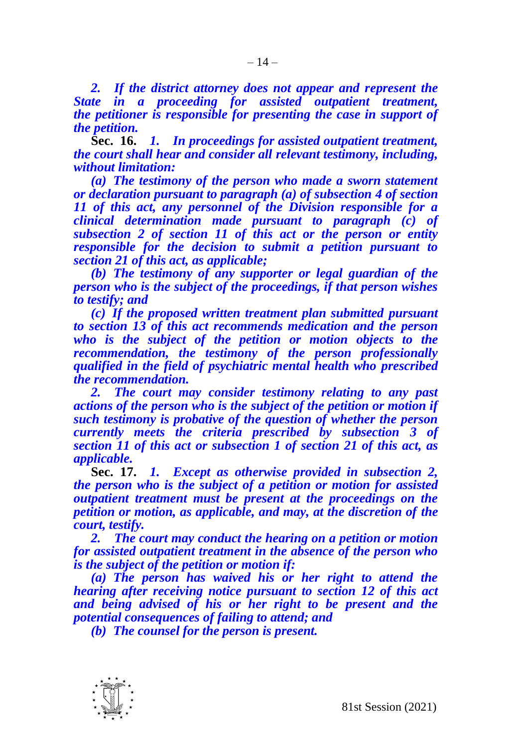*2. If the district attorney does not appear and represent the State in a proceeding for assisted outpatient treatment, the petitioner is responsible for presenting the case in support of the petition.*

**Sec. 16.** *1. In proceedings for assisted outpatient treatment, the court shall hear and consider all relevant testimony, including, without limitation:*

*(a) The testimony of the person who made a sworn statement or declaration pursuant to paragraph (a) of subsection 4 of section 11 of this act, any personnel of the Division responsible for a clinical determination made pursuant to paragraph (c) of subsection 2 of section 11 of this act or the person or entity responsible for the decision to submit a petition pursuant to section 21 of this act, as applicable;*

*(b) The testimony of any supporter or legal guardian of the person who is the subject of the proceedings, if that person wishes to testify; and*

*(c) If the proposed written treatment plan submitted pursuant to section 13 of this act recommends medication and the person who is the subject of the petition or motion objects to the recommendation, the testimony of the person professionally qualified in the field of psychiatric mental health who prescribed the recommendation.*

*2. The court may consider testimony relating to any past actions of the person who is the subject of the petition or motion if such testimony is probative of the question of whether the person currently meets the criteria prescribed by subsection 3 of section 11 of this act or subsection 1 of section 21 of this act, as applicable.*

**Sec. 17.** *1. Except as otherwise provided in subsection 2, the person who is the subject of a petition or motion for assisted outpatient treatment must be present at the proceedings on the petition or motion, as applicable, and may, at the discretion of the court, testify.*

*2. The court may conduct the hearing on a petition or motion for assisted outpatient treatment in the absence of the person who is the subject of the petition or motion if:*

*(a) The person has waived his or her right to attend the hearing after receiving notice pursuant to section 12 of this act and being advised of his or her right to be present and the potential consequences of failing to attend; and*

*(b) The counsel for the person is present.*

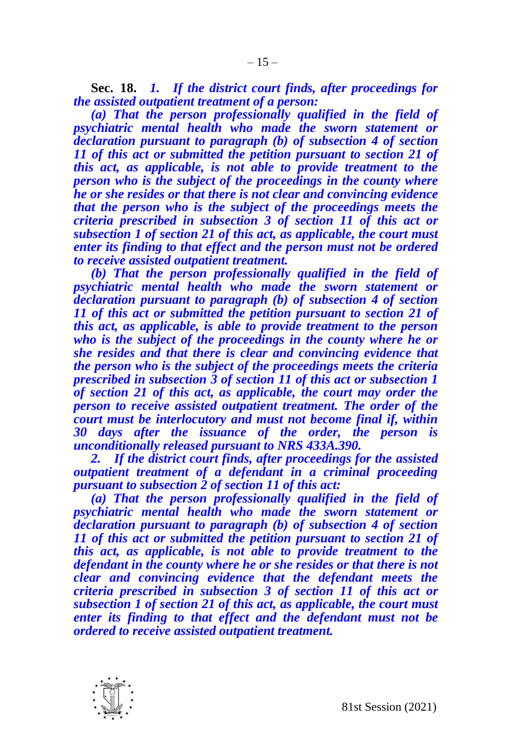**Sec. 18.** *1. If the district court finds, after proceedings for the assisted outpatient treatment of a person:*

*(a) That the person professionally qualified in the field of psychiatric mental health who made the sworn statement or declaration pursuant to paragraph (b) of subsection 4 of section 11 of this act or submitted the petition pursuant to section 21 of this act, as applicable, is not able to provide treatment to the person who is the subject of the proceedings in the county where he or she resides or that there is not clear and convincing evidence that the person who is the subject of the proceedings meets the criteria prescribed in subsection 3 of section 11 of this act or subsection 1 of section 21 of this act, as applicable, the court must enter its finding to that effect and the person must not be ordered to receive assisted outpatient treatment.*

*(b) That the person professionally qualified in the field of psychiatric mental health who made the sworn statement or declaration pursuant to paragraph (b) of subsection 4 of section 11 of this act or submitted the petition pursuant to section 21 of this act, as applicable, is able to provide treatment to the person who is the subject of the proceedings in the county where he or she resides and that there is clear and convincing evidence that the person who is the subject of the proceedings meets the criteria prescribed in subsection 3 of section 11 of this act or subsection 1 of section 21 of this act, as applicable, the court may order the person to receive assisted outpatient treatment. The order of the court must be interlocutory and must not become final if, within 30 days after the issuance of the order, the person is unconditionally released pursuant to NRS 433A.390.* 

*2. If the district court finds, after proceedings for the assisted outpatient treatment of a defendant in a criminal proceeding pursuant to subsection 2 of section 11 of this act:*

*(a) That the person professionally qualified in the field of psychiatric mental health who made the sworn statement or declaration pursuant to paragraph (b) of subsection 4 of section 11 of this act or submitted the petition pursuant to section 21 of this act, as applicable, is not able to provide treatment to the defendant in the county where he or she resides or that there is not clear and convincing evidence that the defendant meets the criteria prescribed in subsection 3 of section 11 of this act or subsection 1 of section 21 of this act, as applicable, the court must enter its finding to that effect and the defendant must not be ordered to receive assisted outpatient treatment.* 

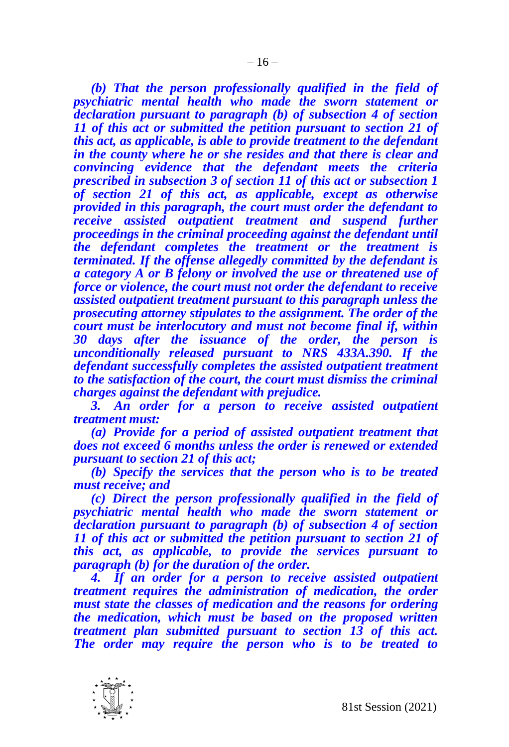*(b) That the person professionally qualified in the field of psychiatric mental health who made the sworn statement or declaration pursuant to paragraph (b) of subsection 4 of section 11 of this act or submitted the petition pursuant to section 21 of this act, as applicable, is able to provide treatment to the defendant in the county where he or she resides and that there is clear and convincing evidence that the defendant meets the criteria prescribed in subsection 3 of section 11 of this act or subsection 1 of section 21 of this act, as applicable, except as otherwise provided in this paragraph, the court must order the defendant to receive assisted outpatient treatment and suspend further proceedings in the criminal proceeding against the defendant until the defendant completes the treatment or the treatment is terminated. If the offense allegedly committed by the defendant is a category A or B felony or involved the use or threatened use of force or violence, the court must not order the defendant to receive assisted outpatient treatment pursuant to this paragraph unless the prosecuting attorney stipulates to the assignment. The order of the court must be interlocutory and must not become final if, within 30 days after the issuance of the order, the person is unconditionally released pursuant to NRS 433A.390. If the defendant successfully completes the assisted outpatient treatment to the satisfaction of the court, the court must dismiss the criminal charges against the defendant with prejudice.*

*3. An order for a person to receive assisted outpatient treatment must:*

*(a) Provide for a period of assisted outpatient treatment that does not exceed 6 months unless the order is renewed or extended pursuant to section 21 of this act;*

*(b) Specify the services that the person who is to be treated must receive; and*

*(c) Direct the person professionally qualified in the field of psychiatric mental health who made the sworn statement or declaration pursuant to paragraph (b) of subsection 4 of section 11 of this act or submitted the petition pursuant to section 21 of this act, as applicable, to provide the services pursuant to paragraph (b) for the duration of the order.*

*4. If an order for a person to receive assisted outpatient treatment requires the administration of medication, the order must state the classes of medication and the reasons for ordering the medication, which must be based on the proposed written treatment plan submitted pursuant to section 13 of this act. The order may require the person who is to be treated to* 

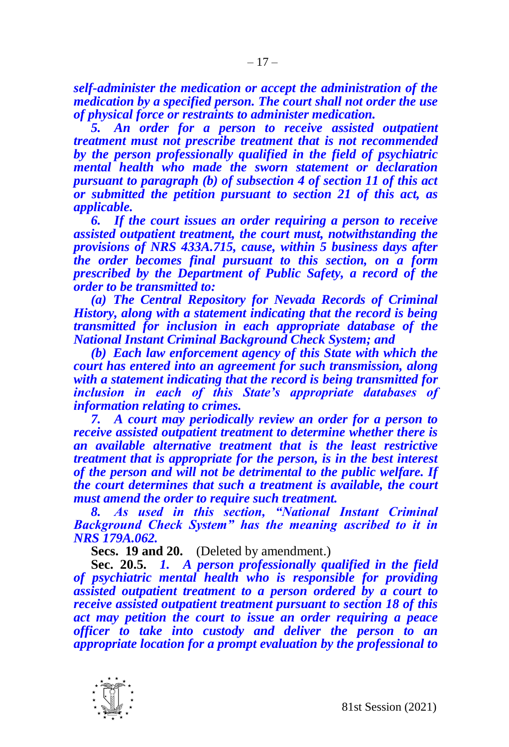*self-administer the medication or accept the administration of the medication by a specified person. The court shall not order the use of physical force or restraints to administer medication.*

*5. An order for a person to receive assisted outpatient treatment must not prescribe treatment that is not recommended by the person professionally qualified in the field of psychiatric mental health who made the sworn statement or declaration pursuant to paragraph (b) of subsection 4 of section 11 of this act or submitted the petition pursuant to section 21 of this act, as applicable.*

*6. If the court issues an order requiring a person to receive assisted outpatient treatment, the court must, notwithstanding the provisions of NRS 433A.715, cause, within 5 business days after the order becomes final pursuant to this section, on a form prescribed by the Department of Public Safety, a record of the order to be transmitted to:*

*(a) The Central Repository for Nevada Records of Criminal History, along with a statement indicating that the record is being transmitted for inclusion in each appropriate database of the National Instant Criminal Background Check System; and*

*(b) Each law enforcement agency of this State with which the court has entered into an agreement for such transmission, along with a statement indicating that the record is being transmitted for inclusion in each of this State's appropriate databases of information relating to crimes.*

*7. A court may periodically review an order for a person to receive assisted outpatient treatment to determine whether there is an available alternative treatment that is the least restrictive treatment that is appropriate for the person, is in the best interest of the person and will not be detrimental to the public welfare. If the court determines that such a treatment is available, the court must amend the order to require such treatment.*

*8. As used in this section, "National Instant Criminal Background Check System" has the meaning ascribed to it in NRS 179A.062.*

**Secs. 19 and 20.** (Deleted by amendment.)

**Sec. 20.5.** *1. A person professionally qualified in the field of psychiatric mental health who is responsible for providing assisted outpatient treatment to a person ordered by a court to receive assisted outpatient treatment pursuant to section 18 of this act may petition the court to issue an order requiring a peace officer to take into custody and deliver the person to an appropriate location for a prompt evaluation by the professional to* 

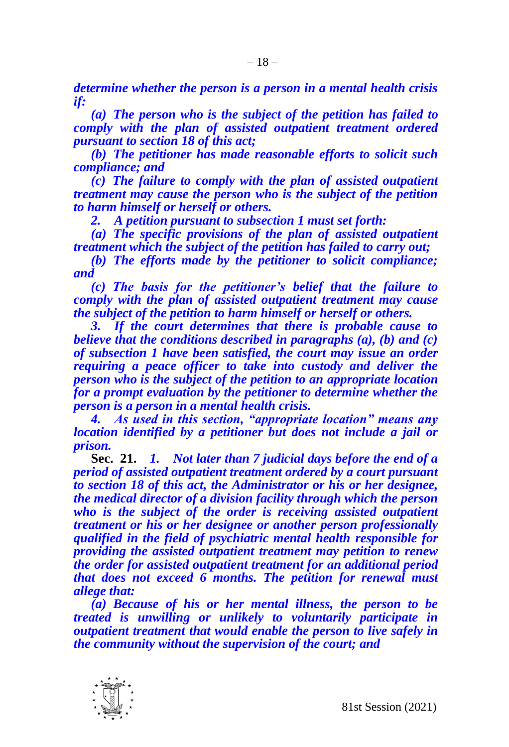*determine whether the person is a person in a mental health crisis if:*

*(a) The person who is the subject of the petition has failed to comply with the plan of assisted outpatient treatment ordered pursuant to section 18 of this act;* 

*(b) The petitioner has made reasonable efforts to solicit such compliance; and*

*(c) The failure to comply with the plan of assisted outpatient treatment may cause the person who is the subject of the petition to harm himself or herself or others.*

*2. A petition pursuant to subsection 1 must set forth:*

*(a) The specific provisions of the plan of assisted outpatient treatment which the subject of the petition has failed to carry out;*

*(b) The efforts made by the petitioner to solicit compliance; and*

*(c) The basis for the petitioner's belief that the failure to comply with the plan of assisted outpatient treatment may cause the subject of the petition to harm himself or herself or others.*

*3. If the court determines that there is probable cause to believe that the conditions described in paragraphs (a), (b) and (c) of subsection 1 have been satisfied, the court may issue an order requiring a peace officer to take into custody and deliver the person who is the subject of the petition to an appropriate location for a prompt evaluation by the petitioner to determine whether the person is a person in a mental health crisis.*

*4. As used in this section, "appropriate location" means any location identified by a petitioner but does not include a jail or prison.*

**Sec. 21.** *1. Not later than 7 judicial days before the end of a period of assisted outpatient treatment ordered by a court pursuant to section 18 of this act, the Administrator or his or her designee, the medical director of a division facility through which the person who is the subject of the order is receiving assisted outpatient treatment or his or her designee or another person professionally qualified in the field of psychiatric mental health responsible for providing the assisted outpatient treatment may petition to renew the order for assisted outpatient treatment for an additional period that does not exceed 6 months. The petition for renewal must allege that:* 

*(a) Because of his or her mental illness, the person to be treated is unwilling or unlikely to voluntarily participate in outpatient treatment that would enable the person to live safely in the community without the supervision of the court; and*

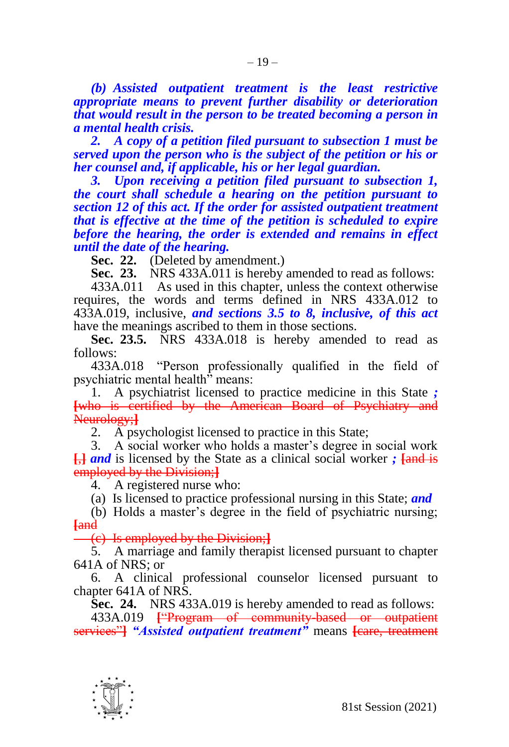*(b) Assisted outpatient treatment is the least restrictive appropriate means to prevent further disability or deterioration that would result in the person to be treated becoming a person in a mental health crisis.*

*2. A copy of a petition filed pursuant to subsection 1 must be served upon the person who is the subject of the petition or his or her counsel and, if applicable, his or her legal guardian.*

*3. Upon receiving a petition filed pursuant to subsection 1, the court shall schedule a hearing on the petition pursuant to section 12 of this act. If the order for assisted outpatient treatment that is effective at the time of the petition is scheduled to expire before the hearing, the order is extended and remains in effect until the date of the hearing.*

**Sec. 22.** (Deleted by amendment.)

**Sec. 23.** NRS 433A.011 is hereby amended to read as follows:

433A.011 As used in this chapter, unless the context otherwise requires, the words and terms defined in NRS 433A.012 to 433A.019, inclusive, *and sections 3.5 to 8, inclusive, of this act*  have the meanings ascribed to them in those sections.

**Sec. 23.5.** NRS 433A.018 is hereby amended to read as follows:

433A.018 "Person professionally qualified in the field of psychiatric mental health" means:

1. A psychiatrist licensed to practice medicine in this State *;* **[**who is certified by the American Board of Psychiatry and Neurology;**]**

2. A psychologist licensed to practice in this State;

3. A social worker who holds a master's degree in social work **[**,**]** *and* is licensed by the State as a clinical social worker *;* **[**and is employed by the Division;**]**

4. A registered nurse who:

(a) Is licensed to practice professional nursing in this State; *and*

(b) Holds a master's degree in the field of psychiatric nursing; **[**and

(c) Is employed by the Division;**]**

5. A marriage and family therapist licensed pursuant to chapter 641A of NRS; or

6. A clinical professional counselor licensed pursuant to chapter 641A of NRS.

**Sec. 24.** NRS 433A.019 is hereby amended to read as follows:

433A.019 **[**"Program of community-based or outpatient services"**]** *"Assisted outpatient treatment"* means **[**care, treatment

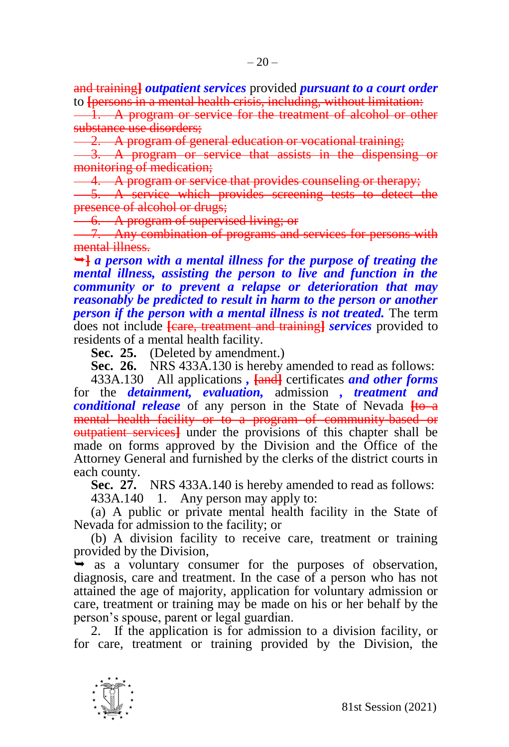and training**]** *outpatient services* provided *pursuant to a court order* to **[**persons in a mental health crisis, including, without limitation:

1. A program or service for the treatment of alcohol or other substance use disorders;

2. A program of general education or vocational training;

3. A program or service that assists in the dispensing or monitoring of medication;

4. A program or service that provides counseling or therapy;

5. A service which provides screening tests to detect the presence of alcohol or drugs;

6. A program of supervised living; or

7. Any combination of programs and services for persons with mental illness.

**]** *a person with a mental illness for the purpose of treating the mental illness, assisting the person to live and function in the community or to prevent a relapse or deterioration that may reasonably be predicted to result in harm to the person or another person if the person with a mental illness is not treated.* The term does not include **[**care, treatment and training**]** *services* provided to residents of a mental health facility.

**Sec. 25.** (Deleted by amendment.)

**Sec. 26.** NRS 433A.130 is hereby amended to read as follows:

433A.130 All applications *,* **[**and**]** certificates *and other forms*  for the *detainment, evaluation,* admission *, treatment and conditional release* of any person in the State of Nevada  $\frac{f}{f}$ mental health facility or to a program of community-based or outpatient services**]** under the provisions of this chapter shall be made on forms approved by the Division and the Office of the Attorney General and furnished by the clerks of the district courts in each county.

**Sec. 27.** NRS 433A.140 is hereby amended to read as follows:

433A.140 1. Any person may apply to:

(a) A public or private mental health facility in the State of Nevada for admission to the facility; or

(b) A division facility to receive care, treatment or training provided by the Division,

 $\rightarrow$  as a voluntary consumer for the purposes of observation, diagnosis, care and treatment. In the case of a person who has not attained the age of majority, application for voluntary admission or care, treatment or training may be made on his or her behalf by the person's spouse, parent or legal guardian.

2. If the application is for admission to a division facility, or for care, treatment or training provided by the Division, the

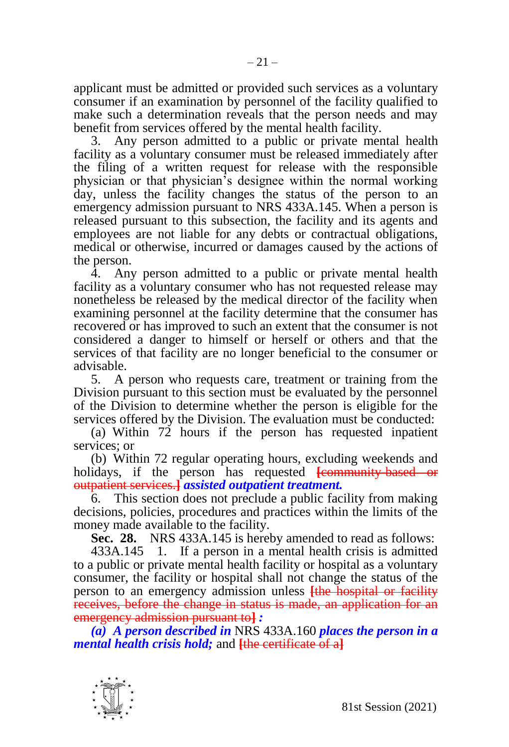applicant must be admitted or provided such services as a voluntary consumer if an examination by personnel of the facility qualified to make such a determination reveals that the person needs and may benefit from services offered by the mental health facility.

3. Any person admitted to a public or private mental health facility as a voluntary consumer must be released immediately after the filing of a written request for release with the responsible physician or that physician's designee within the normal working day, unless the facility changes the status of the person to an emergency admission pursuant to NRS 433A.145. When a person is released pursuant to this subsection, the facility and its agents and employees are not liable for any debts or contractual obligations, medical or otherwise, incurred or damages caused by the actions of the person.

4. Any person admitted to a public or private mental health facility as a voluntary consumer who has not requested release may nonetheless be released by the medical director of the facility when examining personnel at the facility determine that the consumer has recovered or has improved to such an extent that the consumer is not considered a danger to himself or herself or others and that the services of that facility are no longer beneficial to the consumer or advisable.

5. A person who requests care, treatment or training from the Division pursuant to this section must be evaluated by the personnel of the Division to determine whether the person is eligible for the services offered by the Division. The evaluation must be conducted:

(a) Within 72 hours if the person has requested inpatient services; or

(b) Within 72 regular operating hours, excluding weekends and holidays, if the person has requested **[**community-based or outpatient services.**]** *assisted outpatient treatment.*

6. This section does not preclude a public facility from making decisions, policies, procedures and practices within the limits of the money made available to the facility.

**Sec. 28.** NRS 433A.145 is hereby amended to read as follows:

433A.145 1. If a person in a mental health crisis is admitted to a public or private mental health facility or hospital as a voluntary consumer, the facility or hospital shall not change the status of the person to an emergency admission unless **[**the hospital or facility receives, before the change in status is made, an application for an emergency admission pursuant to**]** *:*

*(a) A person described in* NRS 433A.160 *places the person in a mental health crisis hold;* and **[**the certificate of a**]**

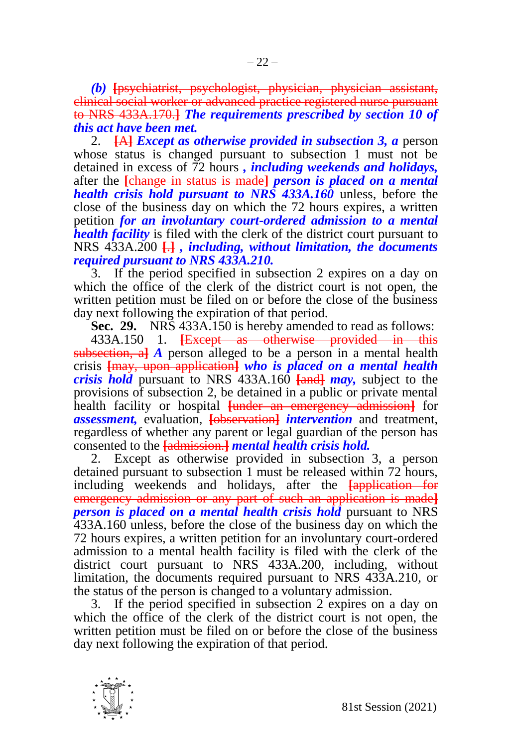*(b)* **[**psychiatrist, psychologist, physician, physician assistant, clinical social worker or advanced practice registered nurse pursuant to NRS 433A.170.**]** *The requirements prescribed by section 10 of this act have been met.*

2. **[**A**]** *Except as otherwise provided in subsection 3, a* person whose status is changed pursuant to subsection 1 must not be detained in excess of 72 hours *, including weekends and holidays,* after the **[**change in status is made**]** *person is placed on a mental health crisis hold pursuant to NRS 433A.160* unless, before the close of the business day on which the 72 hours expires, a written petition *for an involuntary court-ordered admission to a mental health facility* is filed with the clerk of the district court pursuant to NRS 433A.200 **[**.**]** *, including, without limitation, the documents required pursuant to NRS 433A.210.*

3. If the period specified in subsection 2 expires on a day on which the office of the clerk of the district court is not open, the written petition must be filed on or before the close of the business day next following the expiration of that period.

**Sec. 29.** NRS 433A.150 is hereby amended to read as follows: 433A.150 1. **[**Except as otherwise provided in this

subsection, a**]** *A* person alleged to be a person in a mental health crisis **[**may, upon application**]** *who is placed on a mental health crisis hold* pursuant to NRS 433A.160 **[**and**]** *may,* subject to the provisions of subsection 2, be detained in a public or private mental health facility or hospital **[**under an emergency admission**]** for *assessment,* evaluation, **[**observation**]** *intervention* and treatment, regardless of whether any parent or legal guardian of the person has consented to the **[**admission.**]** *mental health crisis hold.*

2. Except as otherwise provided in subsection 3, a person detained pursuant to subsection 1 must be released within 72 hours, including weekends and holidays, after the **[**application for emergency admission or any part of such an application is made**]** *person is placed on a mental health crisis hold* **pursuant to NRS** 433A.160 unless, before the close of the business day on which the 72 hours expires, a written petition for an involuntary court-ordered admission to a mental health facility is filed with the clerk of the district court pursuant to NRS 433A.200, including, without limitation, the documents required pursuant to NRS 433A.210, or the status of the person is changed to a voluntary admission.

3. If the period specified in subsection 2 expires on a day on which the office of the clerk of the district court is not open, the written petition must be filed on or before the close of the business day next following the expiration of that period.

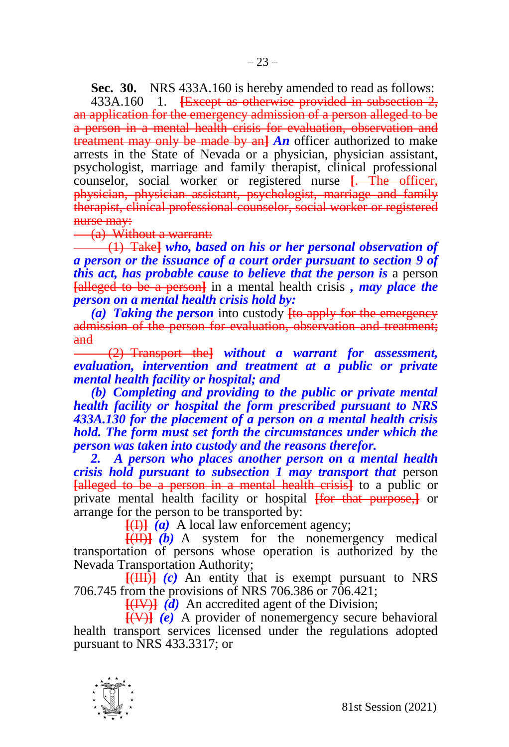**Sec. 30.** NRS 433A.160 is hereby amended to read as follows:

433A.160 1. **[**Except as otherwise provided in subsection 2, an application for the emergency admission of a person alleged to be a person in a mental health crisis for evaluation, observation and treatment may only be made by an**]** *An* officer authorized to make arrests in the State of Nevada or a physician, physician assistant, psychologist, marriage and family therapist, clinical professional counselor, social worker or registered nurse **[**. The officer, physician, physician assistant, psychologist, marriage and family therapist, clinical professional counselor, social worker or registered nurse may:

(a) Without a warrant:

(1) Take**]** *who, based on his or her personal observation of a person or the issuance of a court order pursuant to section 9 of this act, has probable cause to believe that the person is* a person **[**alleged to be a person**]** in a mental health crisis *, may place the person on a mental health crisis hold by:*

*(a) Taking the person* into custody **[**to apply for the emergency admission of the person for evaluation, observation and treatment; and

(2) Transport the**]** *without a warrant for assessment, evaluation, intervention and treatment at a public or private mental health facility or hospital; and*

*(b) Completing and providing to the public or private mental health facility or hospital the form prescribed pursuant to NRS 433A.130 for the placement of a person on a mental health crisis hold. The form must set forth the circumstances under which the person was taken into custody and the reasons therefor.*

*2. A person who places another person on a mental health crisis hold pursuant to subsection 1 may transport that* person **[**alleged to be a person in a mental health crisis**]** to a public or private mental health facility or hospital **[**for that purpose,**]** or arrange for the person to be transported by:

 $\overline{[H]}$   $\overline{[a]}$  A local law enforcement agency;

**[**(II)**]** *(b)* A system for the nonemergency medical transportation of persons whose operation is authorized by the Nevada Transportation Authority;

**[**(III)**]** *(c)* An entity that is exempt pursuant to NRS 706.745 from the provisions of NRS 706.386 or 706.421;

**[**(IV)**]** *(d)* An accredited agent of the Division;

**[**(V)**]** *(e)* A provider of nonemergency secure behavioral health transport services licensed under the regulations adopted pursuant to NRS 433.3317; or

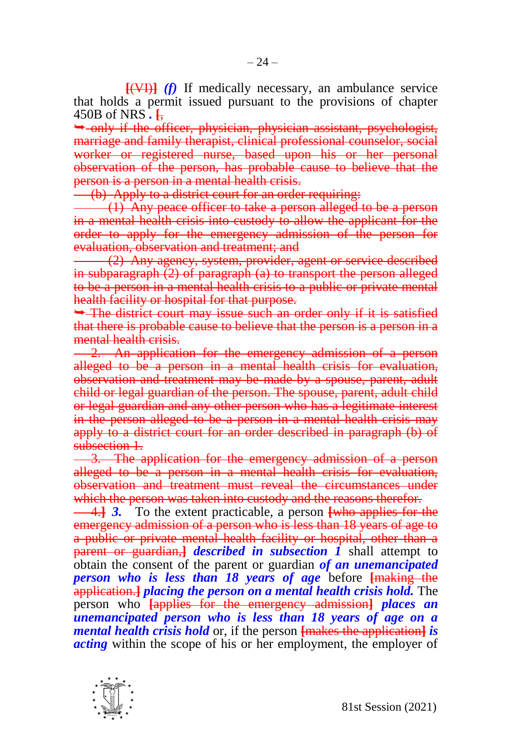**[**(VI)**]** *(f)* If medically necessary, an ambulance service that holds a permit issued pursuant to the provisions of chapter 450B of NRS *.* **[**,

 only if the officer, physician, physician assistant, psychologist, marriage and family therapist, clinical professional counselor, social worker or registered nurse, based upon his or her personal observation of the person, has probable cause to believe that the person is a person in a mental health crisis.

(b) Apply to a district court for an order requiring:

(1) Any peace officer to take a person alleged to be a person in a mental health crisis into custody to allow the applicant for the order to apply for the emergency admission of the person for evaluation, observation and treatment; and

(2) Any agency, system, provider, agent or service described in subparagraph (2) of paragraph (a) to transport the person alleged to be a person in a mental health crisis to a public or private mental health facility or hospital for that purpose.

• The district court may issue such an order only if it is satisfied that there is probable cause to believe that the person is a person in a mental health crisis.

2. An application for the emergency admission of a person alleged to be a person in a mental health crisis for evaluation, observation and treatment may be made by a spouse, parent, adult child or legal guardian of the person. The spouse, parent, adult child or legal guardian and any other person who has a legitimate interest in the person alleged to be a person in a mental health crisis may apply to a district court for an order described in paragraph (b) of subsection 1.

3. The application for the emergency admission of a person alleged to be a person in a mental health crisis for evaluation, observation and treatment must reveal the circumstances under which the person was taken into custody and the reasons therefor.

4.**]** *3.* To the extent practicable, a person **[**who applies for the emergency admission of a person who is less than 18 years of age to a public or private mental health facility or hospital, other than a parent or guardian,**]** *described in subsection 1* shall attempt to obtain the consent of the parent or guardian *of an unemancipated person who is less than 18 years of age* before **[**making the application.**]** *placing the person on a mental health crisis hold.* The person who **[**applies for the emergency admission**]** *places an unemancipated person who is less than 18 years of age on a mental health crisis hold* or, if the person **[**makes the application**]** *is acting* within the scope of his or her employment, the employer of

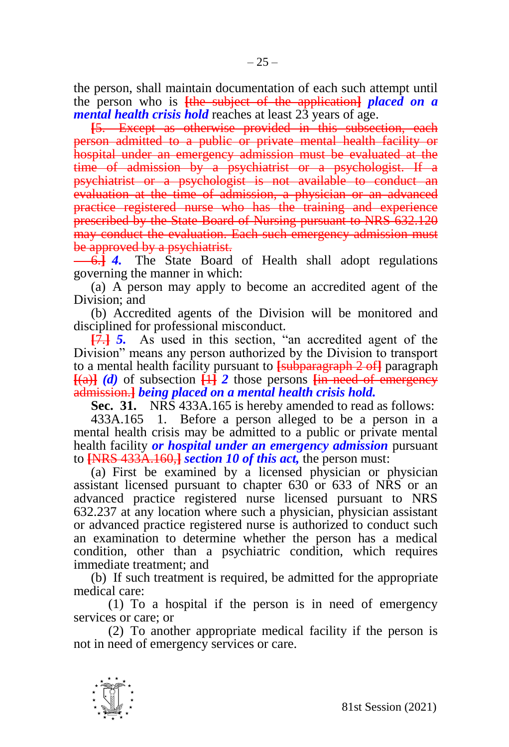the person, shall maintain documentation of each such attempt until the person who is **[**the subject of the application**]** *placed on a mental health crisis hold* reaches at least 23 years of age.

**[**5. Except as otherwise provided in this subsection, each person admitted to a public or private mental health facility or hospital under an emergency admission must be evaluated at the time of admission by a psychiatrist or a psychologist. If a psychiatrist or a psychologist is not available to conduct an evaluation at the time of admission, a physician or an advanced practice registered nurse who has the training and experience prescribed by the State Board of Nursing pursuant to NRS 632.120 may conduct the evaluation. Each such emergency admission must be approved by a psychiatrist.

6.**]** *4.* The State Board of Health shall adopt regulations governing the manner in which:

(a) A person may apply to become an accredited agent of the Division; and

(b) Accredited agents of the Division will be monitored and disciplined for professional misconduct.

**[**7.**]** *5.* As used in this section, "an accredited agent of the Division" means any person authorized by the Division to transport to a mental health facility pursuant to **[**subparagraph 2 of**]** paragraph  $[(a)]$  *(d)* of subsection  $[1]$  2 those persons  $[$ **in need of emergency** admission.**]** *being placed on a mental health crisis hold.*

**Sec. 31.** NRS 433A.165 is hereby amended to read as follows:

433A.165 1. Before a person alleged to be a person in a mental health crisis may be admitted to a public or private mental health facility *or hospital under an emergency admission* pursuant to **[**NRS 433A.160,**]** *section 10 of this act,* the person must:

(a) First be examined by a licensed physician or physician assistant licensed pursuant to chapter 630 or 633 of NRS or an advanced practice registered nurse licensed pursuant to NRS 632.237 at any location where such a physician, physician assistant or advanced practice registered nurse is authorized to conduct such an examination to determine whether the person has a medical condition, other than a psychiatric condition, which requires immediate treatment; and

(b) If such treatment is required, be admitted for the appropriate medical care:

(1) To a hospital if the person is in need of emergency services or care; or

(2) To another appropriate medical facility if the person is not in need of emergency services or care.

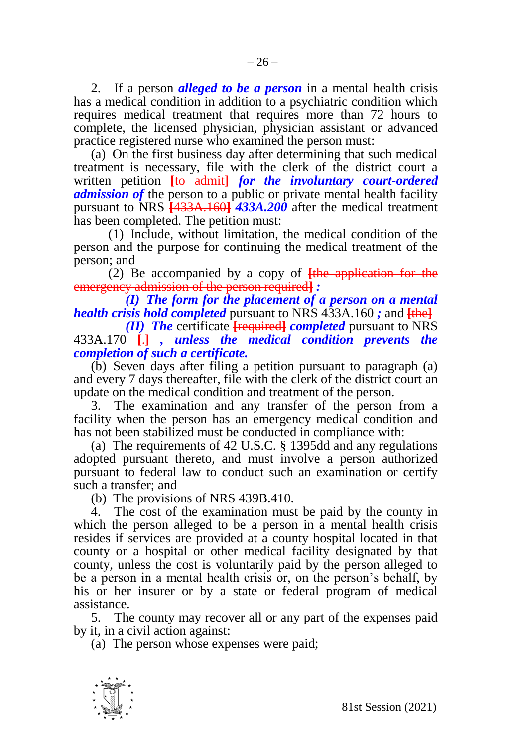2. If a person *alleged to be a person* in a mental health crisis has a medical condition in addition to a psychiatric condition which requires medical treatment that requires more than 72 hours to complete, the licensed physician, physician assistant or advanced practice registered nurse who examined the person must:

(a) On the first business day after determining that such medical treatment is necessary, file with the clerk of the district court a written petition **[**to admit**]** *for the involuntary court-ordered admission of* the person to a public or private mental health facility pursuant to NRS **[**433A.160**]** *433A.200* after the medical treatment has been completed. The petition must:

(1) Include, without limitation, the medical condition of the person and the purpose for continuing the medical treatment of the person; and

(2) Be accompanied by a copy of **[**the application for the emergency admission of the person required**]** *:*

*(I) The form for the placement of a person on a mental health crisis hold completed* pursuant to NRS 433A.160 *;* and **[**the**]**

*(II) The* certificate **[**required**]** *completed* pursuant to NRS 433A.170 **[**.**]** *, unless the medical condition prevents the completion of such a certificate.*

(b) Seven days after filing a petition pursuant to paragraph (a) and every 7 days thereafter, file with the clerk of the district court an update on the medical condition and treatment of the person.

3. The examination and any transfer of the person from a facility when the person has an emergency medical condition and has not been stabilized must be conducted in compliance with:

(a) The requirements of 42 U.S.C. § 1395dd and any regulations adopted pursuant thereto, and must involve a person authorized pursuant to federal law to conduct such an examination or certify such a transfer; and

(b) The provisions of NRS 439B.410.

4. The cost of the examination must be paid by the county in which the person alleged to be a person in a mental health crisis resides if services are provided at a county hospital located in that county or a hospital or other medical facility designated by that county, unless the cost is voluntarily paid by the person alleged to be a person in a mental health crisis or, on the person's behalf, by his or her insurer or by a state or federal program of medical assistance.

5. The county may recover all or any part of the expenses paid by it, in a civil action against:

(a) The person whose expenses were paid;

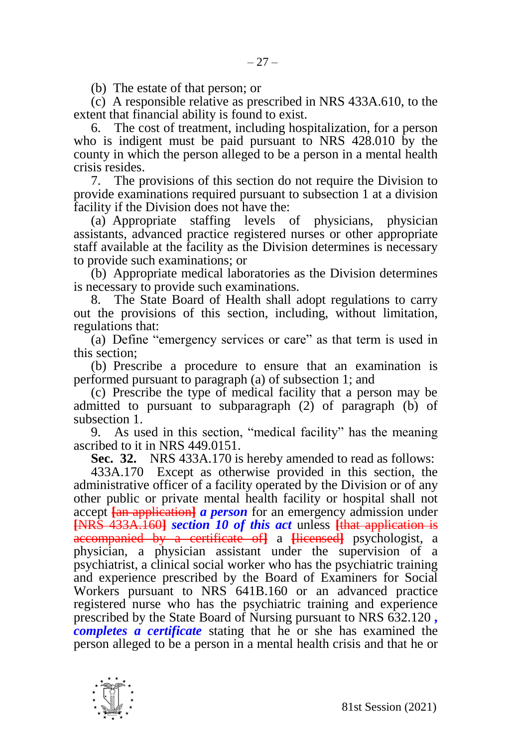(b) The estate of that person; or

(c) A responsible relative as prescribed in NRS 433A.610, to the extent that financial ability is found to exist.

6. The cost of treatment, including hospitalization, for a person who is indigent must be paid pursuant to NRS 428.010 by the county in which the person alleged to be a person in a mental health crisis resides.

7. The provisions of this section do not require the Division to provide examinations required pursuant to subsection 1 at a division facility if the Division does not have the:

(a) Appropriate staffing levels of physicians, physician assistants, advanced practice registered nurses or other appropriate staff available at the facility as the Division determines is necessary to provide such examinations; or

(b) Appropriate medical laboratories as the Division determines is necessary to provide such examinations.

8. The State Board of Health shall adopt regulations to carry out the provisions of this section, including, without limitation, regulations that:

(a) Define "emergency services or care" as that term is used in this section;

(b) Prescribe a procedure to ensure that an examination is performed pursuant to paragraph (a) of subsection 1; and

(c) Prescribe the type of medical facility that a person may be admitted to pursuant to subparagraph (2) of paragraph (b) of subsection 1.

9. As used in this section, "medical facility" has the meaning ascribed to it in NRS 449.0151.

**Sec. 32.** NRS 433A.170 is hereby amended to read as follows:

433A.170 Except as otherwise provided in this section, the administrative officer of a facility operated by the Division or of any other public or private mental health facility or hospital shall not accept **[**an application**]** *a person* for an emergency admission under **[**NRS 433A.160**]** *section 10 of this act* unless **[**that application is accompanied by a certificate of**]** a **[**licensed**]** psychologist, a physician, a physician assistant under the supervision of a psychiatrist, a clinical social worker who has the psychiatric training and experience prescribed by the Board of Examiners for Social Workers pursuant to NRS 641B.160 or an advanced practice registered nurse who has the psychiatric training and experience prescribed by the State Board of Nursing pursuant to NRS 632.120 *, completes a certificate* stating that he or she has examined the person alleged to be a person in a mental health crisis and that he or

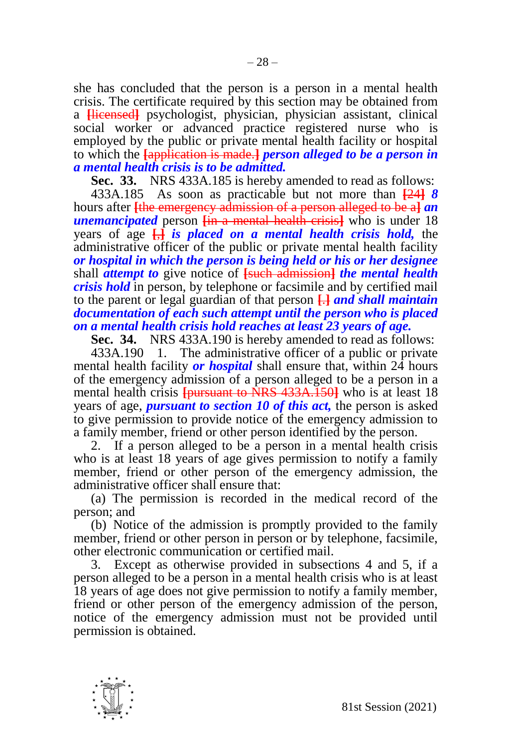she has concluded that the person is a person in a mental health crisis. The certificate required by this section may be obtained from a **[**licensed**]** psychologist, physician, physician assistant, clinical social worker or advanced practice registered nurse who is employed by the public or private mental health facility or hospital to which the **[**application is made.**]** *person alleged to be a person in a mental health crisis is to be admitted.*

**Sec. 33.** NRS 433A.185 is hereby amended to read as follows:

433A.185 As soon as practicable but not more than **[**24**]** *8*  hours after **[**the emergency admission of a person alleged to be a**]** *an unemancipated* person **[**in a mental health crisis**]** who is under 18 years of age **[**,**]** *is placed on a mental health crisis hold,* the administrative officer of the public or private mental health facility *or hospital in which the person is being held or his or her designee*  shall *attempt to* give notice of **[**such admission**]** *the mental health crisis hold* in person, by telephone or facsimile and by certified mail to the parent or legal guardian of that person **[**.**]** *and shall maintain documentation of each such attempt until the person who is placed on a mental health crisis hold reaches at least 23 years of age.*

**Sec. 34.** NRS 433A.190 is hereby amended to read as follows:

433A.190 1. The administrative officer of a public or private mental health facility *or hospital* shall ensure that, within 24 hours of the emergency admission of a person alleged to be a person in a mental health crisis **[**pursuant to NRS 433A.150**]** who is at least 18 years of age, *pursuant to section 10 of this act,* the person is asked to give permission to provide notice of the emergency admission to a family member, friend or other person identified by the person.

2. If a person alleged to be a person in a mental health crisis who is at least 18 years of age gives permission to notify a family member, friend or other person of the emergency admission, the administrative officer shall ensure that:

(a) The permission is recorded in the medical record of the person; and

(b) Notice of the admission is promptly provided to the family member, friend or other person in person or by telephone, facsimile, other electronic communication or certified mail.

3. Except as otherwise provided in subsections 4 and 5, if a person alleged to be a person in a mental health crisis who is at least 18 years of age does not give permission to notify a family member, friend or other person of the emergency admission of the person, notice of the emergency admission must not be provided until permission is obtained.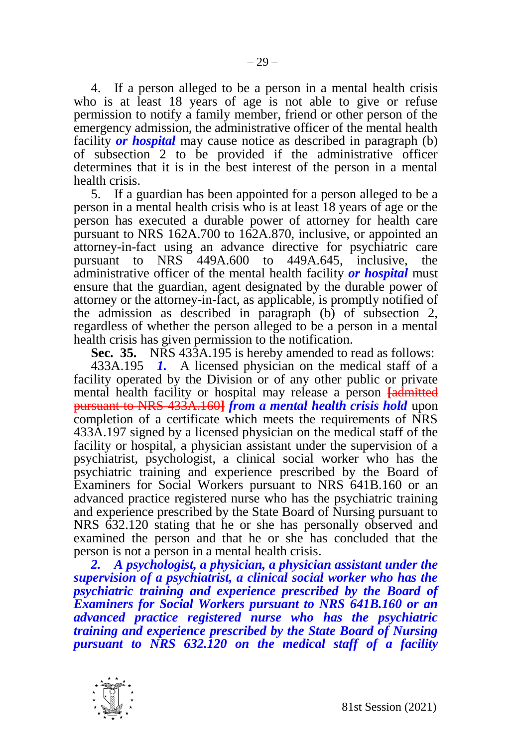4. If a person alleged to be a person in a mental health crisis who is at least 18 years of age is not able to give or refuse permission to notify a family member, friend or other person of the emergency admission, the administrative officer of the mental health facility *or hospital* may cause notice as described in paragraph (b) of subsection 2 to be provided if the administrative officer determines that it is in the best interest of the person in a mental health crisis.

5. If a guardian has been appointed for a person alleged to be a person in a mental health crisis who is at least 18 years of age or the person has executed a durable power of attorney for health care pursuant to NRS 162A.700 to 162A.870, inclusive, or appointed an attorney-in-fact using an advance directive for psychiatric care pursuant to NRS 449A.600 to 449A.645, inclusive, the administrative officer of the mental health facility *or hospital* must ensure that the guardian, agent designated by the durable power of attorney or the attorney-in-fact, as applicable, is promptly notified of the admission as described in paragraph (b) of subsection 2, regardless of whether the person alleged to be a person in a mental health crisis has given permission to the notification.

**Sec. 35.** NRS 433A.195 is hereby amended to read as follows:

433A.195 *1.* A licensed physician on the medical staff of a facility operated by the Division or of any other public or private mental health facility or hospital may release a person **[**admitted pursuant to NRS 433A.160**]** *from a mental health crisis hold* upon completion of a certificate which meets the requirements of NRS 433A.197 signed by a licensed physician on the medical staff of the facility or hospital, a physician assistant under the supervision of a psychiatrist, psychologist, a clinical social worker who has the psychiatric training and experience prescribed by the Board of Examiners for Social Workers pursuant to NRS 641B.160 or an advanced practice registered nurse who has the psychiatric training and experience prescribed by the State Board of Nursing pursuant to NRS 632.120 stating that he or she has personally observed and examined the person and that he or she has concluded that the person is not a person in a mental health crisis.

*2. A psychologist, a physician, a physician assistant under the supervision of a psychiatrist, a clinical social worker who has the psychiatric training and experience prescribed by the Board of Examiners for Social Workers pursuant to NRS 641B.160 or an advanced practice registered nurse who has the psychiatric training and experience prescribed by the State Board of Nursing pursuant to NRS 632.120 on the medical staff of a facility* 

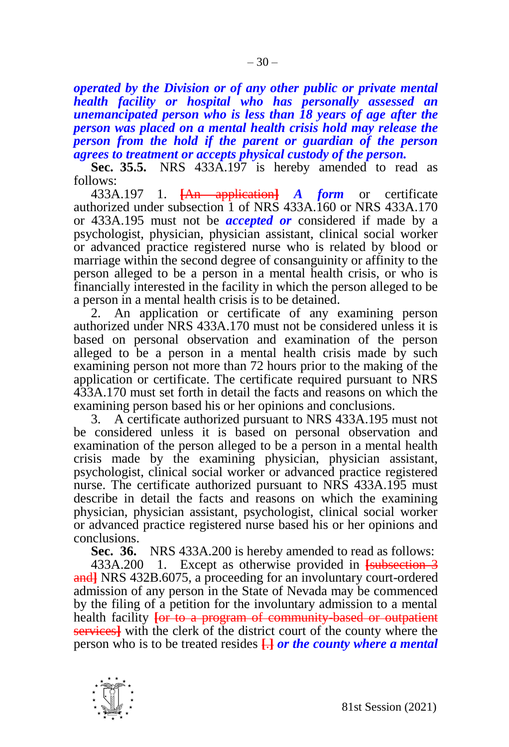*operated by the Division or of any other public or private mental health facility or hospital who has personally assessed an unemancipated person who is less than 18 years of age after the person was placed on a mental health crisis hold may release the person from the hold if the parent or guardian of the person agrees to treatment or accepts physical custody of the person.* 

**Sec. 35.5.** NRS 433A.197 is hereby amended to read as follows:

433A.197 1. **[**An application**]** *A form* or certificate authorized under subsection 1 of NRS 433A.160 or NRS 433A.170 or 433A.195 must not be *accepted or* considered if made by a psychologist, physician, physician assistant, clinical social worker or advanced practice registered nurse who is related by blood or marriage within the second degree of consanguinity or affinity to the person alleged to be a person in a mental health crisis, or who is financially interested in the facility in which the person alleged to be a person in a mental health crisis is to be detained.

2. An application or certificate of any examining person authorized under NRS 433A.170 must not be considered unless it is based on personal observation and examination of the person alleged to be a person in a mental health crisis made by such examining person not more than 72 hours prior to the making of the application or certificate. The certificate required pursuant to NRS 433A.170 must set forth in detail the facts and reasons on which the examining person based his or her opinions and conclusions.

3. A certificate authorized pursuant to NRS 433A.195 must not be considered unless it is based on personal observation and examination of the person alleged to be a person in a mental health crisis made by the examining physician, physician assistant, psychologist, clinical social worker or advanced practice registered nurse. The certificate authorized pursuant to NRS 433A.195 must describe in detail the facts and reasons on which the examining physician, physician assistant, psychologist, clinical social worker or advanced practice registered nurse based his or her opinions and conclusions.

**Sec. 36.** NRS 433A.200 is hereby amended to read as follows:

433A.200 1. Except as otherwise provided in **[**subsection 3 and**]** NRS 432B.6075, a proceeding for an involuntary court-ordered admission of any person in the State of Nevada may be commenced by the filing of a petition for the involuntary admission to a mental health facility **[**or to a program of community-based or outpatient services**]** with the clerk of the district court of the county where the person who is to be treated resides **[**.**]** *or the county where a mental* 

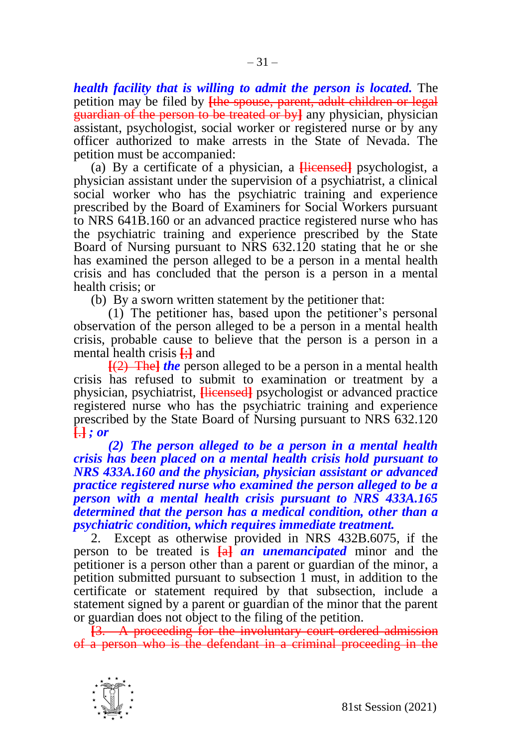*health facility that is willing to admit the person is located.* The petition may be filed by **[**the spouse, parent, adult children or legal guardian of the person to be treated or by**]** any physician, physician assistant, psychologist, social worker or registered nurse or by any officer authorized to make arrests in the State of Nevada. The petition must be accompanied:

(a) By a certificate of a physician, a **[**licensed**]** psychologist, a physician assistant under the supervision of a psychiatrist, a clinical social worker who has the psychiatric training and experience prescribed by the Board of Examiners for Social Workers pursuant to NRS 641B.160 or an advanced practice registered nurse who has the psychiatric training and experience prescribed by the State Board of Nursing pursuant to NRS 632.120 stating that he or she has examined the person alleged to be a person in a mental health crisis and has concluded that the person is a person in a mental health crisis; or

(b) By a sworn written statement by the petitioner that:

(1) The petitioner has, based upon the petitioner's personal observation of the person alleged to be a person in a mental health crisis, probable cause to believe that the person is a person in a mental health crisis **[**;**]** and

**[**(2) The**]** *the* person alleged to be a person in a mental health crisis has refused to submit to examination or treatment by a physician, psychiatrist, **[**licensed**]** psychologist or advanced practice registered nurse who has the psychiatric training and experience prescribed by the State Board of Nursing pursuant to NRS 632.120 **[**.**]** *; or*

*(2) The person alleged to be a person in a mental health crisis has been placed on a mental health crisis hold pursuant to NRS 433A.160 and the physician, physician assistant or advanced practice registered nurse who examined the person alleged to be a person with a mental health crisis pursuant to NRS 433A.165 determined that the person has a medical condition, other than a psychiatric condition, which requires immediate treatment.*

2. Except as otherwise provided in NRS 432B.6075, if the person to be treated is **[**a**]** *an unemancipated* minor and the petitioner is a person other than a parent or guardian of the minor, a petition submitted pursuant to subsection 1 must, in addition to the certificate or statement required by that subsection, include a statement signed by a parent or guardian of the minor that the parent or guardian does not object to the filing of the petition.

**[**3. A proceeding for the involuntary court-ordered admission of a person who is the defendant in a criminal proceeding in the

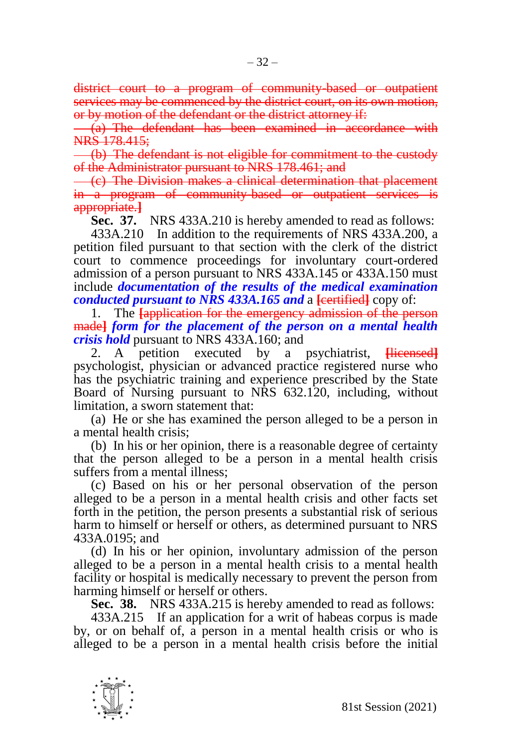district court to a program of community-based or outpatient services may be commenced by the district court, on its own motion, or by motion of the defendant or the district attorney if:

(a) The defendant has been examined in accordance with NRS 178.415;

(b) The defendant is not eligible for commitment to the custody of the Administrator pursuant to NRS 178.461; and

(c) The Division makes a clinical determination that placement in a program of community-based or outpatient services is appropriate.**]**

**Sec. 37.** NRS 433A.210 is hereby amended to read as follows:

433A.210 In addition to the requirements of NRS 433A.200, a petition filed pursuant to that section with the clerk of the district court to commence proceedings for involuntary court-ordered admission of a person pursuant to NRS 433A.145 or 433A.150 must include *documentation of the results of the medical examination conducted pursuant to NRS 433A.165 and a [eertified]* **copy of:** 

1. The **[**application for the emergency admission of the person made**]** *form for the placement of the person on a mental health crisis hold* pursuant to NRS 433A.160; and

2. A petition executed by a psychiatrist, **[**licensed**]** psychologist, physician or advanced practice registered nurse who has the psychiatric training and experience prescribed by the State Board of Nursing pursuant to NRS 632.120, including, without limitation, a sworn statement that:

(a) He or she has examined the person alleged to be a person in a mental health crisis;

(b) In his or her opinion, there is a reasonable degree of certainty that the person alleged to be a person in a mental health crisis suffers from a mental illness;

(c) Based on his or her personal observation of the person alleged to be a person in a mental health crisis and other facts set forth in the petition, the person presents a substantial risk of serious harm to himself or herself or others, as determined pursuant to NRS 433A.0195; and

(d) In his or her opinion, involuntary admission of the person alleged to be a person in a mental health crisis to a mental health facility or hospital is medically necessary to prevent the person from harming himself or herself or others.

**Sec. 38.** NRS 433A.215 is hereby amended to read as follows:

433A.215 If an application for a writ of habeas corpus is made by, or on behalf of, a person in a mental health crisis or who is alleged to be a person in a mental health crisis before the initial

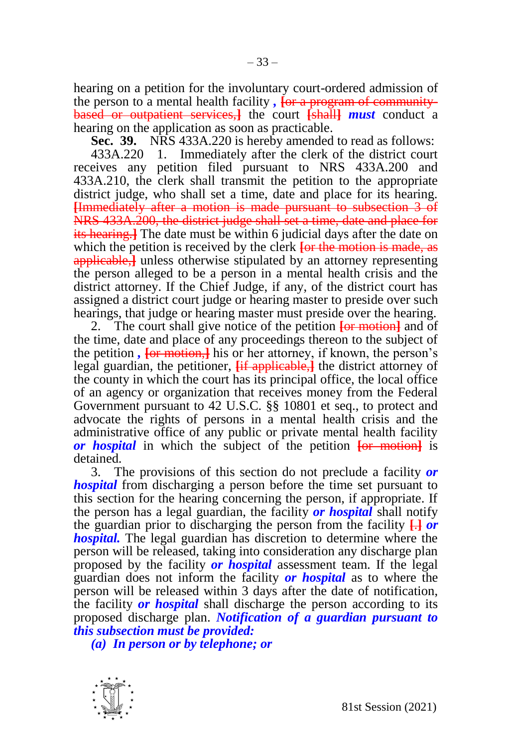hearing on a petition for the involuntary court-ordered admission of the person to a mental health facility, *for a program of community* based or outpatient services,**]** the court **[**shall**]** *must* conduct a hearing on the application as soon as practicable.

**Sec. 39.** NRS 433A.220 is hereby amended to read as follows:

433A.220 1. Immediately after the clerk of the district court receives any petition filed pursuant to NRS 433A.200 and 433A.210, the clerk shall transmit the petition to the appropriate district judge, who shall set a time, date and place for its hearing. **[**Immediately after a motion is made pursuant to subsection 3 of NRS 433A.200, the district judge shall set a time, date and place for its hearing.**]** The date must be within 6 judicial days after the date on which the petition is received by the clerk **[or the motion is made, as** applicable,<sup>1</sup> unless otherwise stipulated by an attorney representing the person alleged to be a person in a mental health crisis and the district attorney. If the Chief Judge, if any, of the district court has assigned a district court judge or hearing master to preside over such hearings, that judge or hearing master must preside over the hearing.

2. The court shall give notice of the petition **[**or motion**]** and of the time, date and place of any proceedings thereon to the subject of the petition *,* **[**or motion,**]** his or her attorney, if known, the person's legal guardian, the petitioner, **<del>[if applicable,]</del>** the district attorney of the county in which the court has its principal office, the local office of an agency or organization that receives money from the Federal Government pursuant to 42 U.S.C. §§ 10801 et seq., to protect and advocate the rights of persons in a mental health crisis and the administrative office of any public or private mental health facility *or hospital* in which the subject of the petition **[**or motion**]** is detained.

3. The provisions of this section do not preclude a facility *or hospital* from discharging a person before the time set pursuant to this section for the hearing concerning the person, if appropriate. If the person has a legal guardian, the facility *or hospital* shall notify the guardian prior to discharging the person from the facility **[**.**]** *or hospital.* The legal guardian has discretion to determine where the person will be released, taking into consideration any discharge plan proposed by the facility *or hospital* assessment team. If the legal guardian does not inform the facility *or hospital* as to where the person will be released within 3 days after the date of notification, the facility *or hospital* shall discharge the person according to its proposed discharge plan. *Notification of a guardian pursuant to this subsection must be provided:*

*(a) In person or by telephone; or*

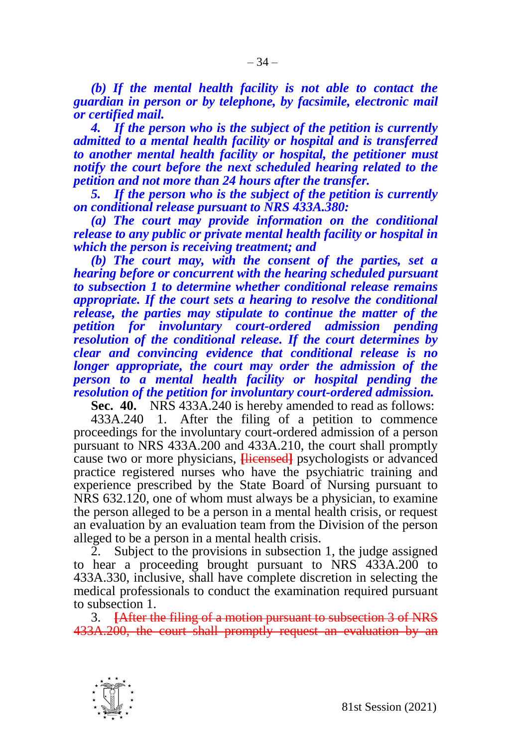*(b) If the mental health facility is not able to contact the guardian in person or by telephone, by facsimile, electronic mail or certified mail.*

*4. If the person who is the subject of the petition is currently admitted to a mental health facility or hospital and is transferred to another mental health facility or hospital, the petitioner must notify the court before the next scheduled hearing related to the petition and not more than 24 hours after the transfer.*

*5. If the person who is the subject of the petition is currently on conditional release pursuant to NRS 433A.380:*

*(a) The court may provide information on the conditional release to any public or private mental health facility or hospital in which the person is receiving treatment; and*

*(b) The court may, with the consent of the parties, set a hearing before or concurrent with the hearing scheduled pursuant to subsection 1 to determine whether conditional release remains appropriate. If the court sets a hearing to resolve the conditional release, the parties may stipulate to continue the matter of the petition for involuntary court-ordered admission pending resolution of the conditional release. If the court determines by clear and convincing evidence that conditional release is no longer appropriate, the court may order the admission of the person to a mental health facility or hospital pending the resolution of the petition for involuntary court-ordered admission.*

**Sec. 40.** NRS 433A.240 is hereby amended to read as follows:

433A.240 1. After the filing of a petition to commence proceedings for the involuntary court-ordered admission of a person pursuant to NRS 433A.200 and 433A.210, the court shall promptly cause two or more physicians, **[**licensed**]** psychologists or advanced practice registered nurses who have the psychiatric training and experience prescribed by the State Board of Nursing pursuant to NRS 632.120, one of whom must always be a physician, to examine the person alleged to be a person in a mental health crisis, or request an evaluation by an evaluation team from the Division of the person alleged to be a person in a mental health crisis.

2. Subject to the provisions in subsection 1, the judge assigned to hear a proceeding brought pursuant to NRS 433A.200 to 433A.330, inclusive, shall have complete discretion in selecting the medical professionals to conduct the examination required pursuant to subsection 1.

3. **[**After the filing of a motion pursuant to subsection 3 of NRS 433A.200, the court shall promptly request an evaluation by an

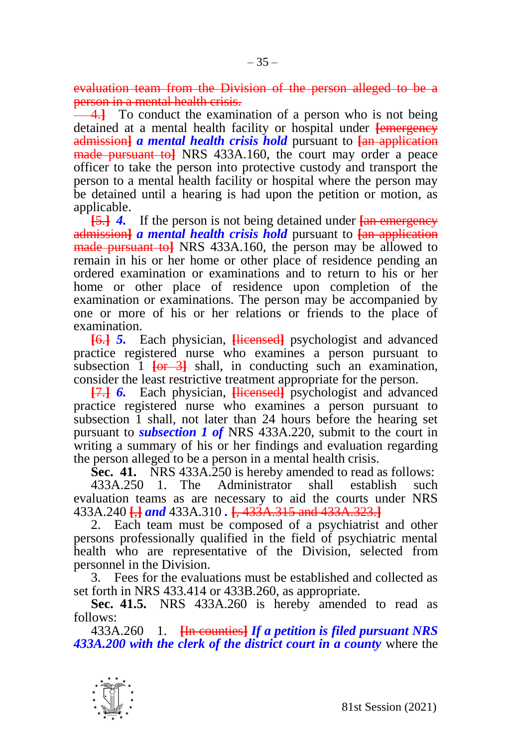evaluation team from the Division of the person alleged to be a person in a mental health crisis.

4.<sup>1</sup> To conduct the examination of a person who is not being detained at a mental health facility or hospital under **[**emergency admission**]** *a mental health crisis hold* pursuant to **[**an application made pursuant to**]** NRS 433A.160, the court may order a peace officer to take the person into protective custody and transport the person to a mental health facility or hospital where the person may be detained until a hearing is had upon the petition or motion, as applicable.

**[**5.**]** *4.* If the person is not being detained under **[**an emergency admission**]** *a mental health crisis hold* pursuant to **[**an application made pursuant to**]** NRS 433A.160, the person may be allowed to remain in his or her home or other place of residence pending an ordered examination or examinations and to return to his or her home or other place of residence upon completion of the examination or examinations. The person may be accompanied by one or more of his or her relations or friends to the place of examination.

**[**6.**]** *5.* Each physician, **[**licensed**]** psychologist and advanced practice registered nurse who examines a person pursuant to subsection 1 **[**or 3**]** shall, in conducting such an examination, consider the least restrictive treatment appropriate for the person.

**[**7.**]** *6.* Each physician, **[**licensed**]** psychologist and advanced practice registered nurse who examines a person pursuant to subsection 1 shall, not later than 24 hours before the hearing set pursuant to *subsection 1 of* NRS 433A.220, submit to the court in writing a summary of his or her findings and evaluation regarding the person alleged to be a person in a mental health crisis.

**Sec. 41.** NRS 433A.250 is hereby amended to read as follows:

433A.250 1. The Administrator shall establish such evaluation teams as are necessary to aid the courts under NRS 433A.240 **[**,**]** *and* 433A.310 *.* **[**, 433A.315 and 433A.323.**]**

2. Each team must be composed of a psychiatrist and other persons professionally qualified in the field of psychiatric mental health who are representative of the Division, selected from personnel in the Division.

3. Fees for the evaluations must be established and collected as set forth in NRS 433.414 or 433B.260, as appropriate.

**Sec. 41.5.** NRS 433A.260 is hereby amended to read as follows:

433A.260 1. **[**In counties**]** *If a petition is filed pursuant NRS 433A.200 with the clerk of the district court in a county* where the

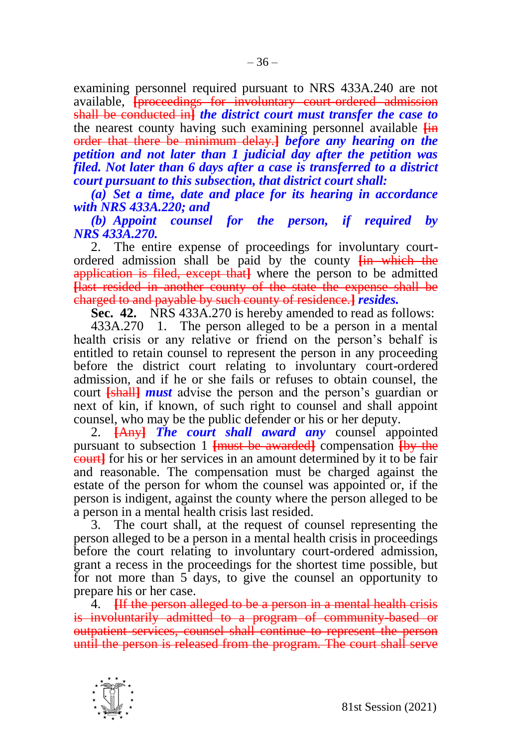examining personnel required pursuant to NRS 433A.240 are not available, **[**proceedings for involuntary court-ordered admission shall be conducted in**]** *the district court must transfer the case to*  the nearest county having such examining personnel available **[**in order that there be minimum delay.**]** *before any hearing on the petition and not later than 1 judicial day after the petition was filed. Not later than 6 days after a case is transferred to a district court pursuant to this subsection, that district court shall:*

*(a) Set a time, date and place for its hearing in accordance with NRS 433A.220; and*

*(b) Appoint counsel for the person, if required by NRS 433A.270.* 

2. The entire expense of proceedings for involuntary courtordered admission shall be paid by the county **[**in which the application is filed, except that**]** where the person to be admitted **[**last resided in another county of the state the expense shall be charged to and payable by such county of residence.**]** *resides.*

**Sec. 42.** NRS 433A.270 is hereby amended to read as follows:

433A.270 1. The person alleged to be a person in a mental health crisis or any relative or friend on the person's behalf is entitled to retain counsel to represent the person in any proceeding before the district court relating to involuntary court-ordered admission, and if he or she fails or refuses to obtain counsel, the court **[**shall**]** *must* advise the person and the person's guardian or next of kin, if known, of such right to counsel and shall appoint counsel, who may be the public defender or his or her deputy.

2. **[**Any**]** *The court shall award any* counsel appointed pursuant to subsection 1 **[**must be awarded**]** compensation **[**by the court**]** for his or her services in an amount determined by it to be fair and reasonable. The compensation must be charged against the estate of the person for whom the counsel was appointed or, if the person is indigent, against the county where the person alleged to be a person in a mental health crisis last resided.

3. The court shall, at the request of counsel representing the person alleged to be a person in a mental health crisis in proceedings before the court relating to involuntary court-ordered admission, grant a recess in the proceedings for the shortest time possible, but for not more than 5 days, to give the counsel an opportunity to prepare his or her case.

4. **[**If the person alleged to be a person in a mental health crisis is involuntarily admitted to a program of community-based or outpatient services, counsel shall continue to represent the person until the person is released from the program. The court shall serve

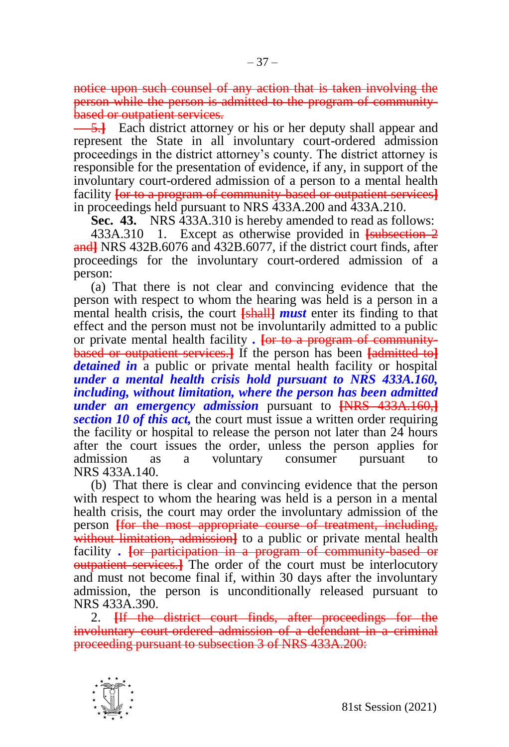notice upon such counsel of any action that is taken involving the person while the person is admitted to the program of communitybased or outpatient services.

5.**]** Each district attorney or his or her deputy shall appear and represent the State in all involuntary court-ordered admission proceedings in the district attorney's county. The district attorney is responsible for the presentation of evidence, if any, in support of the involuntary court-ordered admission of a person to a mental health facility **[**or to a program of community-based or outpatient services**]** in proceedings held pursuant to NRS 433A.200 and 433A.210.

**Sec. 43.** NRS 433A.310 is hereby amended to read as follows:

433A.310 1. Except as otherwise provided in **[**subsection 2 and**]** NRS 432B.6076 and 432B.6077, if the district court finds, after proceedings for the involuntary court-ordered admission of a person:

(a) That there is not clear and convincing evidence that the person with respect to whom the hearing was held is a person in a mental health crisis, the court **[**shall**]** *must* enter its finding to that effect and the person must not be involuntarily admitted to a public or private mental health facility *.* **[**or to a program of communitybased or outpatient services.**]** If the person has been **[**admitted to**]** *detained in* a public or private mental health facility or hospital *under a mental health crisis hold pursuant to NRS 433A.160, including, without limitation, where the person has been admitted under an emergency admission* pursuant to **[**NRS 433A.160,**]** *section 10 of this act,* the court must issue a written order requiring the facility or hospital to release the person not later than 24 hours after the court issues the order, unless the person applies for admission as a voluntary consumer pursuant to NRS 433A.140.

(b) That there is clear and convincing evidence that the person with respect to whom the hearing was held is a person in a mental health crisis, the court may order the involuntary admission of the person **[**for the most appropriate course of treatment, including, without limitation, admission<sup>1</sup> to a public or private mental health facility *.* **[**or participation in a program of community-based or **outpatient services.** The order of the court must be interlocutory and must not become final if, within 30 days after the involuntary admission, the person is unconditionally released pursuant to NRS 433A.390.

2. **[**If the district court finds, after proceedings for the involuntary court-ordered admission of a defendant in a criminal proceeding pursuant to subsection 3 of NRS 433A.200:

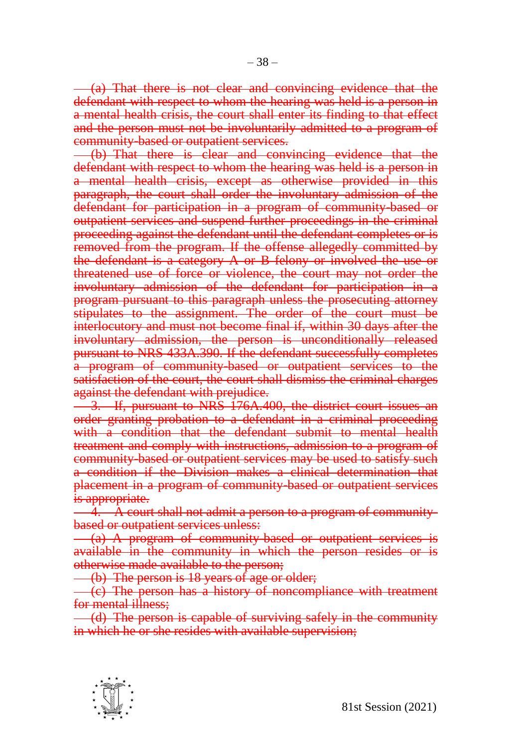(a) That there is not clear and convincing evidence that the defendant with respect to whom the hearing was held is a person in a mental health crisis, the court shall enter its finding to that effect and the person must not be involuntarily admitted to a program of community-based or outpatient services.

(b) That there is clear and convincing evidence that the defendant with respect to whom the hearing was held is a person in a mental health crisis, except as otherwise provided in this paragraph, the court shall order the involuntary admission of the defendant for participation in a program of community-based or outpatient services and suspend further proceedings in the criminal proceeding against the defendant until the defendant completes or is removed from the program. If the offense allegedly committed by the defendant is a category A or B felony or involved the use or threatened use of force or violence, the court may not order the involuntary admission of the defendant for participation in a program pursuant to this paragraph unless the prosecuting attorney stipulates to the assignment. The order of the court must be interlocutory and must not become final if, within 30 days after the involuntary admission, the person is unconditionally released pursuant to NRS 433A.390. If the defendant successfully completes a program of community-based or outpatient services to the satisfaction of the court, the court shall dismiss the criminal charges against the defendant with prejudice.

3. If, pursuant to NRS 176A.400, the district court issues an order granting probation to a defendant in a criminal proceeding with a condition that the defendant submit to mental health treatment and comply with instructions, admission to a program of community-based or outpatient services may be used to satisfy such a condition if the Division makes a clinical determination that placement in a program of community-based or outpatient services is appropriate.

4. A court shall not admit a person to a program of communitybased or outpatient services unless:

(a) A program of community-based or outpatient services is available in the community in which the person resides or is otherwise made available to the person;

(b) The person is 18 years of age or older;

(c) The person has a history of noncompliance with treatment for mental illness;

(d) The person is capable of surviving safely in the community in which he or she resides with available supervision;

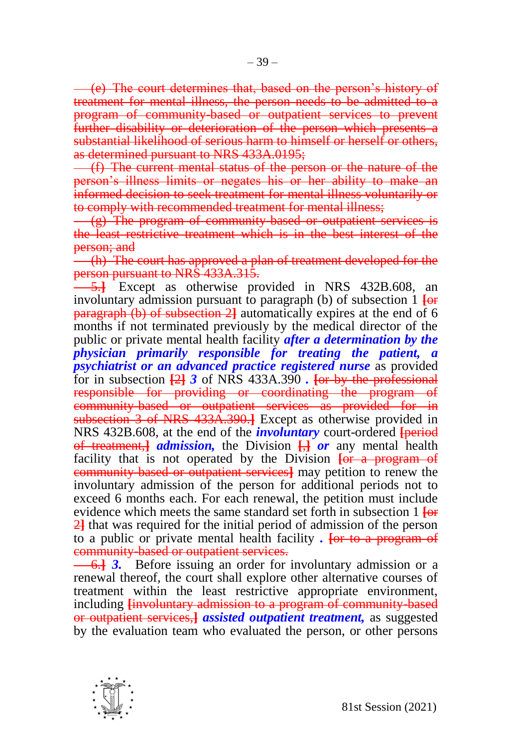(e) The court determines that, based on the person's history of treatment for mental illness, the person needs to be admitted to a program of community-based or outpatient services to prevent further disability or deterioration of the person which presents a substantial likelihood of serious harm to himself or herself or others, as determined pursuant to NRS 433A.0195;

(f) The current mental status of the person or the nature of the person's illness limits or negates his or her ability to make an informed decision to seek treatment for mental illness voluntarily or to comply with recommended treatment for mental illness;

(g) The program of community-based or outpatient services is the least restrictive treatment which is in the best interest of the person; and

(h) The court has approved a plan of treatment developed for the person pursuant to NRS 433A.315.

5.**]** Except as otherwise provided in NRS 432B.608, an involuntary admission pursuant to paragraph (b) of subsection 1 **[**or paragraph (b) of subsection 2**]** automatically expires at the end of 6 months if not terminated previously by the medical director of the public or private mental health facility *after a determination by the physician primarily responsible for treating the patient, a psychiatrist or an advanced practice registered nurse* as provided for in subsection **[**2**]** *3* of NRS 433A.390 *.* **[**or by the professional responsible for providing or coordinating the program of community-based or outpatient services as provided for in subsection 3 of NRS 433A.390.**]** Except as otherwise provided in NRS 432B.608, at the end of the *involuntary* court-ordered **[**period of treatment,**]** *admission,* the Division **[**,**]** *or* any mental health facility that is not operated by the Division **[or a program of** community-based or outpatient services**]** may petition to renew the involuntary admission of the person for additional periods not to exceed 6 months each. For each renewal, the petition must include evidence which meets the same standard set forth in subsection 1 **[**or 2**]** that was required for the initial period of admission of the person to a public or private mental health facility *.* **[**or to a program of community-based or outpatient services.

6.**]** *3.* Before issuing an order for involuntary admission or a renewal thereof, the court shall explore other alternative courses of treatment within the least restrictive appropriate environment, including **[**involuntary admission to a program of community-based or outpatient services,**]** *assisted outpatient treatment,* as suggested by the evaluation team who evaluated the person, or other persons

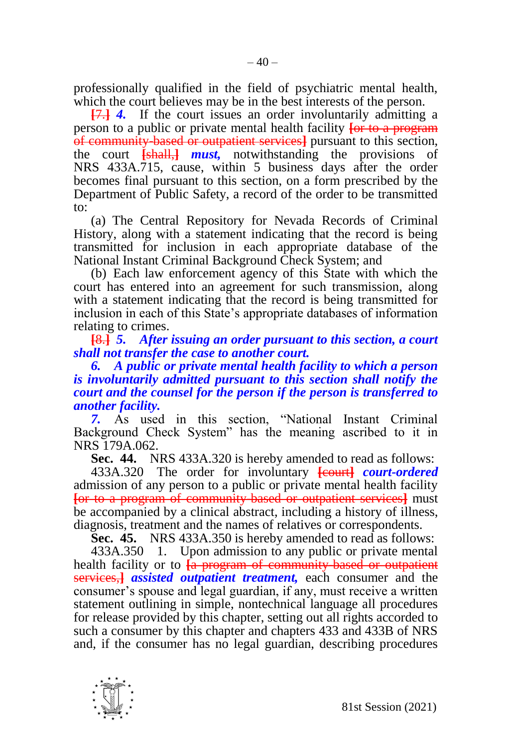professionally qualified in the field of psychiatric mental health, which the court believes may be in the best interests of the person.

**[**7.**]** *4.* If the court issues an order involuntarily admitting a person to a public or private mental health facility **[**or to a program of community-based or outpatient services**]** pursuant to this section, the court **[**shall,**]** *must,* notwithstanding the provisions of NRS 433A.715, cause, within 5 business days after the order becomes final pursuant to this section, on a form prescribed by the Department of Public Safety, a record of the order to be transmitted to:

(a) The Central Repository for Nevada Records of Criminal History, along with a statement indicating that the record is being transmitted for inclusion in each appropriate database of the National Instant Criminal Background Check System; and

(b) Each law enforcement agency of this State with which the court has entered into an agreement for such transmission, along with a statement indicating that the record is being transmitted for inclusion in each of this State's appropriate databases of information relating to crimes.

**[**8.**]** *5. After issuing an order pursuant to this section, a court shall not transfer the case to another court.*

*6. A public or private mental health facility to which a person is involuntarily admitted pursuant to this section shall notify the court and the counsel for the person if the person is transferred to another facility.*

*7.* As used in this section, "National Instant Criminal Background Check System" has the meaning ascribed to it in NRS 179A.062.

**Sec. 44.** NRS 433A.320 is hereby amended to read as follows:

433A.320 The order for involuntary **[**court**]** *court-ordered*  admission of any person to a public or private mental health facility **[**or to a program of community-based or outpatient services**]** must be accompanied by a clinical abstract, including a history of illness, diagnosis, treatment and the names of relatives or correspondents.

**Sec. 45.** NRS 433A.350 is hereby amended to read as follows:

433A.350 1. Upon admission to any public or private mental health facility or to **[**a program of community-based or outpatient services,**]** *assisted outpatient treatment,* each consumer and the consumer's spouse and legal guardian, if any, must receive a written statement outlining in simple, nontechnical language all procedures for release provided by this chapter, setting out all rights accorded to such a consumer by this chapter and chapters 433 and 433B of NRS and, if the consumer has no legal guardian, describing procedures

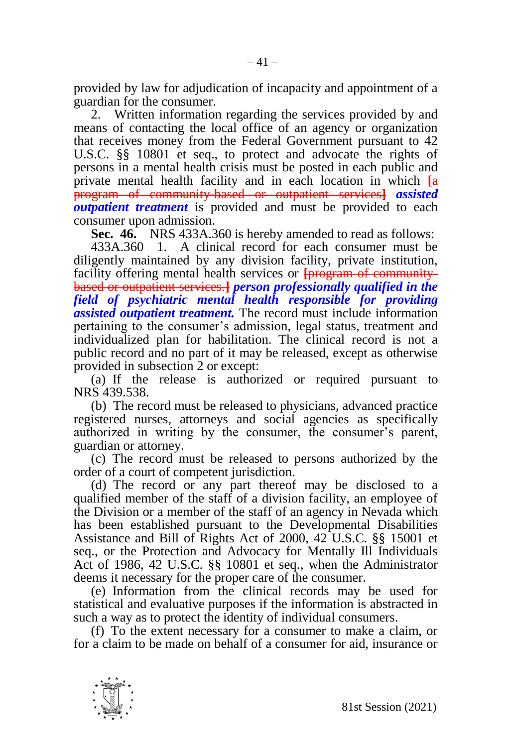provided by law for adjudication of incapacity and appointment of a guardian for the consumer.

2. Written information regarding the services provided by and means of contacting the local office of an agency or organization that receives money from the Federal Government pursuant to 42 U.S.C. §§ 10801 et seq., to protect and advocate the rights of persons in a mental health crisis must be posted in each public and private mental health facility and in each location in which **[**a program of community-based or outpatient services**]** *assisted outpatient treatment* is provided and must be provided to each consumer upon admission.

**Sec. 46.** NRS 433A.360 is hereby amended to read as follows:

433A.360 1. A clinical record for each consumer must be diligently maintained by any division facility, private institution, facility offering mental health services or **[program of community**based or outpatient services.**]** *person professionally qualified in the field of psychiatric mental health responsible for providing assisted outpatient treatment.* The record must include information pertaining to the consumer's admission, legal status, treatment and individualized plan for habilitation. The clinical record is not a public record and no part of it may be released, except as otherwise provided in subsection 2 or except:

(a) If the release is authorized or required pursuant to NRS 439.538.

(b) The record must be released to physicians, advanced practice registered nurses, attorneys and social agencies as specifically authorized in writing by the consumer, the consumer's parent, guardian or attorney.

(c) The record must be released to persons authorized by the order of a court of competent jurisdiction.

(d) The record or any part thereof may be disclosed to a qualified member of the staff of a division facility, an employee of the Division or a member of the staff of an agency in Nevada which has been established pursuant to the Developmental Disabilities Assistance and Bill of Rights Act of 2000, 42 U.S.C. §§ 15001 et seq., or the Protection and Advocacy for Mentally Ill Individuals Act of 1986, 42 U.S.C. §§ 10801 et seq., when the Administrator deems it necessary for the proper care of the consumer.

(e) Information from the clinical records may be used for statistical and evaluative purposes if the information is abstracted in such a way as to protect the identity of individual consumers.

(f) To the extent necessary for a consumer to make a claim, or for a claim to be made on behalf of a consumer for aid, insurance or

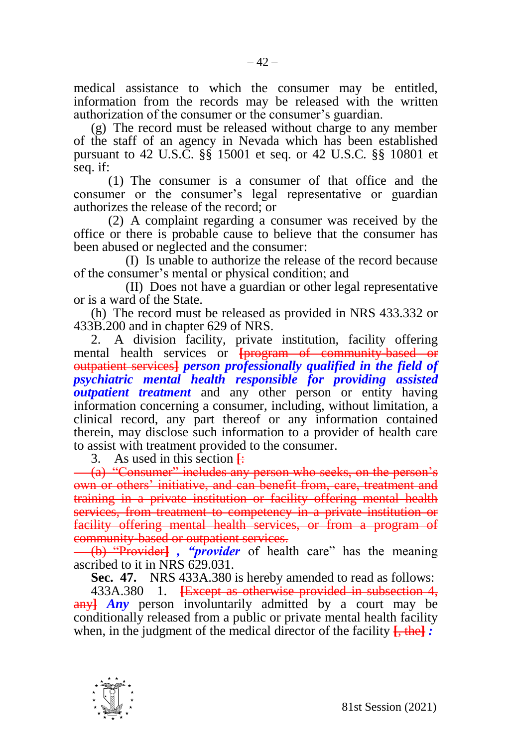medical assistance to which the consumer may be entitled, information from the records may be released with the written authorization of the consumer or the consumer's guardian.

(g) The record must be released without charge to any member of the staff of an agency in Nevada which has been established pursuant to 42 U.S.C. §§ 15001 et seq. or 42 U.S.C. §§ 10801 et seq. if:

(1) The consumer is a consumer of that office and the consumer or the consumer's legal representative or guardian authorizes the release of the record; or

(2) A complaint regarding a consumer was received by the office or there is probable cause to believe that the consumer has been abused or neglected and the consumer:

(I) Is unable to authorize the release of the record because of the consumer's mental or physical condition; and

(II) Does not have a guardian or other legal representative or is a ward of the State.

(h) The record must be released as provided in NRS 433.332 or 433B.200 and in chapter 629 of NRS.

2. A division facility, private institution, facility offering mental health services or **[**program of community-based or outpatient services**]** *person professionally qualified in the field of psychiatric mental health responsible for providing assisted outpatient treatment* and any other person or entity having information concerning a consumer, including, without limitation, a clinical record, any part thereof or any information contained therein, may disclose such information to a provider of health care to assist with treatment provided to the consumer.

3. As used in this section **[**:

(a) "Consumer" includes any person who seeks, on the person's own or others' initiative, and can benefit from, care, treatment and training in a private institution or facility offering mental health services, from treatment to competency in a private institution or facility offering mental health services, or from a program of community-based or outpatient services.

(b) "Provider**]** *, "provider* of health care" has the meaning ascribed to it in NRS 629.031.

**Sec. 47.** NRS 433A.380 is hereby amended to read as follows:

433A.380 1. **[**Except as otherwise provided in subsection 4, any**]** *Any* person involuntarily admitted by a court may be conditionally released from a public or private mental health facility when, in the judgment of the medical director of the facility **[**, the**]** *:*

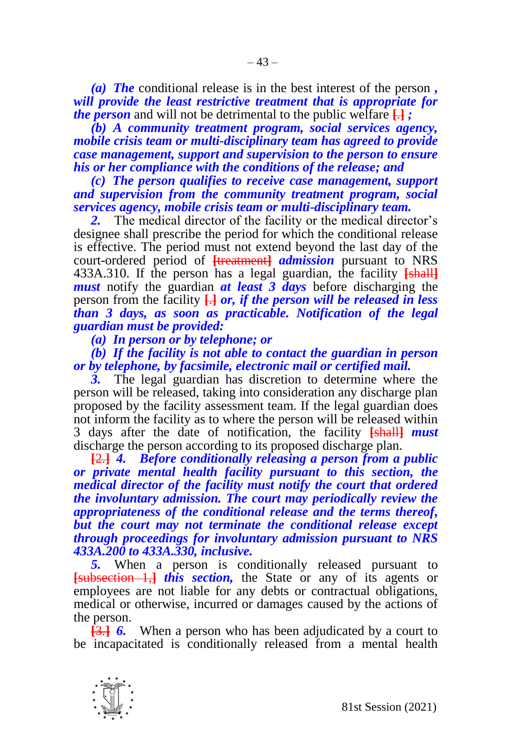*(a) The* conditional release is in the best interest of the person *, will provide the least restrictive treatment that is appropriate for the person* and will not be detrimental to the public welfare **[**.**]** *;*

*(b) A community treatment program, social services agency, mobile crisis team or multi-disciplinary team has agreed to provide case management, support and supervision to the person to ensure his or her compliance with the conditions of the release; and*

*(c) The person qualifies to receive case management, support and supervision from the community treatment program, social services agency, mobile crisis team or multi-disciplinary team.*

*2.* The medical director of the facility or the medical director's designee shall prescribe the period for which the conditional release is effective. The period must not extend beyond the last day of the court-ordered period of **[**treatment**]** *admission* pursuant to NRS 433A.310. If the person has a legal guardian, the facility **[**shall**]** *must* notify the guardian *at least 3 days* before discharging the person from the facility **[**.**]** *or, if the person will be released in less than 3 days, as soon as practicable. Notification of the legal guardian must be provided:*

*(a) In person or by telephone; or*

*(b) If the facility is not able to contact the guardian in person or by telephone, by facsimile, electronic mail or certified mail.*

*3.* The legal guardian has discretion to determine where the person will be released, taking into consideration any discharge plan proposed by the facility assessment team. If the legal guardian does not inform the facility as to where the person will be released within 3 days after the date of notification, the facility **[**shall**]** *must*  discharge the person according to its proposed discharge plan.

**[**2.**]** *4. Before conditionally releasing a person from a public or private mental health facility pursuant to this section, the medical director of the facility must notify the court that ordered the involuntary admission. The court may periodically review the appropriateness of the conditional release and the terms thereof, but the court may not terminate the conditional release except through proceedings for involuntary admission pursuant to NRS 433A.200 to 433A.330, inclusive.* 

*5.* When a person is conditionally released pursuant to **[**subsection 1,**]** *this section,* the State or any of its agents or employees are not liable for any debts or contractual obligations, medical or otherwise, incurred or damages caused by the actions of the person.

**[**3.**]** *6.* When a person who has been adjudicated by a court to be incapacitated is conditionally released from a mental health

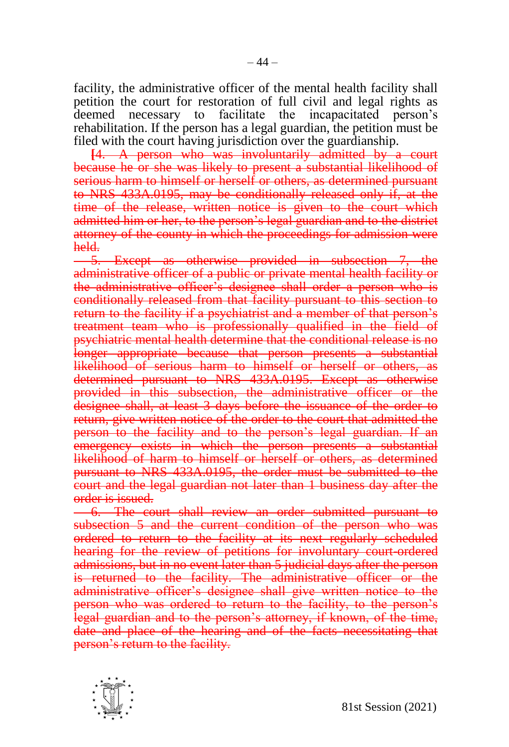facility, the administrative officer of the mental health facility shall petition the court for restoration of full civil and legal rights as deemed necessary to facilitate the incapacitated person's rehabilitation. If the person has a legal guardian, the petition must be filed with the court having jurisdiction over the guardianship.

**[**4. A person who was involuntarily admitted by a court because he or she was likely to present a substantial likelihood of serious harm to himself or herself or others, as determined pursuant to NRS 433A.0195, may be conditionally released only if, at the time of the release, written notice is given to the court which admitted him or her, to the person's legal guardian and to the district attorney of the county in which the proceedings for admission were held.

5. Except as otherwise provided in subsection 7, the administrative officer of a public or private mental health facility or the administrative officer's designee shall order a person who is conditionally released from that facility pursuant to this section to return to the facility if a psychiatrist and a member of that person's treatment team who is professionally qualified in the field of psychiatric mental health determine that the conditional release is no longer appropriate because that person presents a substantial likelihood of serious harm to himself or herself or others, as determined pursuant to NRS 433A.0195. Except as otherwise provided in this subsection, the administrative officer or the designee shall, at least 3 days before the issuance of the order to return, give written notice of the order to the court that admitted the person to the facility and to the person's legal guardian. If an emergency exists in which the person presents a substantial likelihood of harm to himself or herself or others, as determined pursuant to NRS 433A.0195, the order must be submitted to the court and the legal guardian not later than 1 business day after the order is issued.

6. The court shall review an order submitted pursuant to subsection 5 and the current condition of the person who was ordered to return to the facility at its next regularly scheduled hearing for the review of petitions for involuntary court-ordered admissions, but in no event later than 5 judicial days after the person is returned to the facility. The administrative officer or the administrative officer's designee shall give written notice to the person who was ordered to return to the facility, to the person's legal guardian and to the person's attorney, if known, of the time, date and place of the hearing and of the facts necessitating that person's return to the facility.

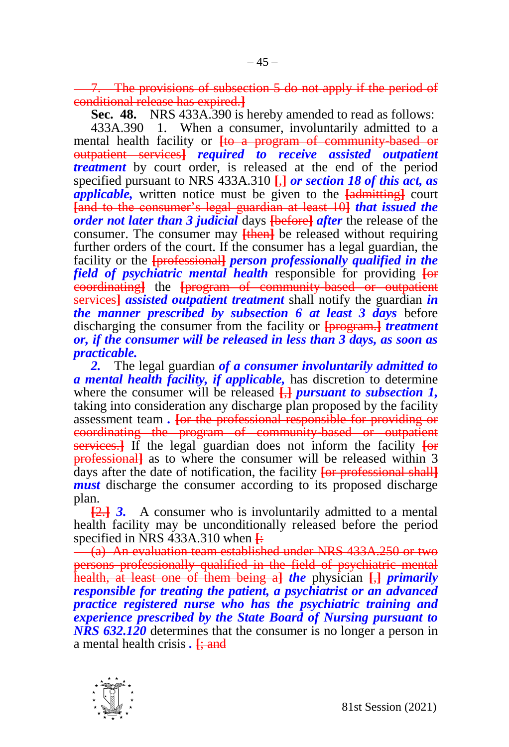The provisions of subsection 5 do not apply if the period of conditional release has expired.**]**

**Sec. 48.** NRS 433A.390 is hereby amended to read as follows:

433A.390 1. When a consumer, involuntarily admitted to a mental health facility or **[**to a program of community-based or outpatient services**]** *required to receive assisted outpatient treatment* by court order, is released at the end of the period specified pursuant to NRS 433A.310 **[**,**]** *or section 18 of this act, as applicable,* written notice must be given to the **[**admitting**]** court **[**and to the consumer's legal guardian at least 10**]** *that issued the order not later than 3 judicial* days **[**before**]** *after* the release of the consumer. The consumer may **[then]** be released without requiring further orders of the court. If the consumer has a legal guardian, the facility or the **[**professional**]** *person professionally qualified in the field of psychiatric mental health* responsible for providing **[**or coordinating**]** the **[**program of community-based or outpatient services**]** *assisted outpatient treatment* shall notify the guardian *in the manner prescribed by subsection 6 at least 3 days* before discharging the consumer from the facility or **[**program.**]** *treatment or, if the consumer will be released in less than 3 days, as soon as practicable.* 

*2.* The legal guardian *of a consumer involuntarily admitted to a mental health facility, if applicable,* has discretion to determine where the consumer will be released **[**,**]** *pursuant to subsection 1,*  taking into consideration any discharge plan proposed by the facility assessment team *.* **[**or the professional responsible for providing or coordinating the program of community-based or outpatient services.**]** If the legal guardian does not inform the facility **[**or professional**]** as to where the consumer will be released within 3 days after the date of notification, the facility **[**or professional shall**]** *must* discharge the consumer according to its proposed discharge plan.

**[**2.**]** *3.* A consumer who is involuntarily admitted to a mental health facility may be unconditionally released before the period specified in NRS 433A.310 when **[**:

(a) An evaluation team established under NRS 433A.250 or two persons professionally qualified in the field of psychiatric mental health, at least one of them being a**]** *the* physician **[**,**]** *primarily responsible for treating the patient, a psychiatrist or an advanced practice registered nurse who has the psychiatric training and experience prescribed by the State Board of Nursing pursuant to NRS 632.120* determines that the consumer is no longer a person in a mental health crisis *.* **[**; and

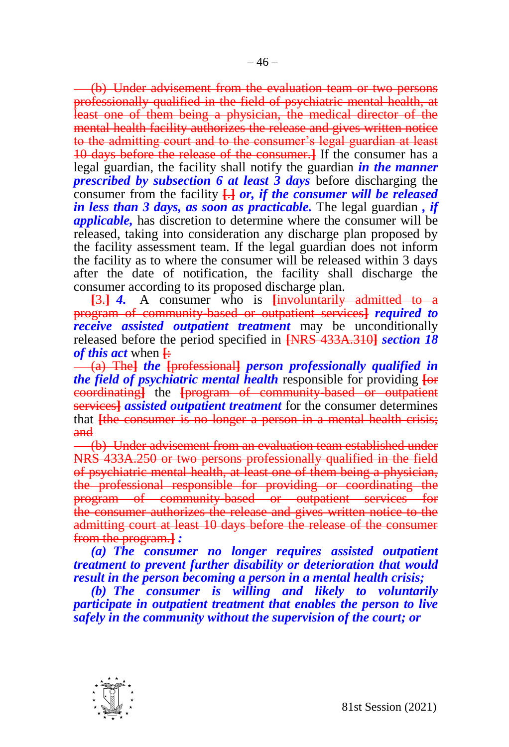(b) Under advisement from the evaluation team or two persons professionally qualified in the field of psychiatric mental health, at least one of them being a physician, the medical director of the mental health facility authorizes the release and gives written notice to the admitting court and to the consumer's legal guardian at least 10 days before the release of the consumer.**]** If the consumer has a legal guardian, the facility shall notify the guardian *in the manner prescribed by subsection 6 at least 3 days* before discharging the consumer from the facility  $\frac{1}{2}$  *or, if the consumer will be released in less than 3 days, as soon as practicable.* The legal guardian *, if applicable,* has discretion to determine where the consumer will be released, taking into consideration any discharge plan proposed by the facility assessment team. If the legal guardian does not inform the facility as to where the consumer will be released within 3 days after the date of notification, the facility shall discharge the consumer according to its proposed discharge plan.

**[**3.**]** *4.* A consumer who is **[**involuntarily admitted to a program of community-based or outpatient services**]** *required to receive assisted outpatient treatment* may be unconditionally released before the period specified in **[**NRS 433A.310**]** *section 18 of this act* when **[**:

(a) The**]** *the* **[**professional**]** *person professionally qualified in the field of psychiatric mental health* responsible for providing **[**or coordinating**]** the **[**program of community-based or outpatient services**]** *assisted outpatient treatment* for the consumer determines that **[**the consumer is no longer a person in a mental health crisis; and

(b) Under advisement from an evaluation team established under NRS 433A.250 or two persons professionally qualified in the field of psychiatric mental health, at least one of them being a physician, the professional responsible for providing or coordinating the program of community-based or outpatient services for the consumer authorizes the release and gives written notice to the admitting court at least 10 days before the release of the consumer from the program.**]** *:*

*(a) The consumer no longer requires assisted outpatient treatment to prevent further disability or deterioration that would result in the person becoming a person in a mental health crisis;*

*(b) The consumer is willing and likely to voluntarily participate in outpatient treatment that enables the person to live safely in the community without the supervision of the court; or*

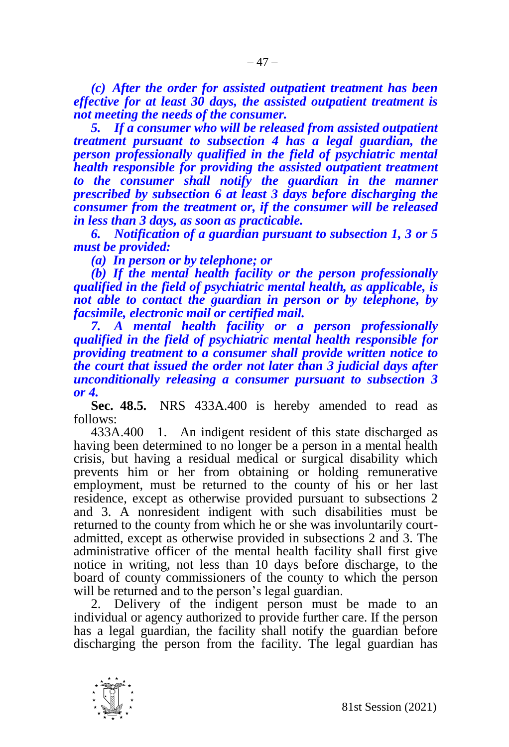*(c) After the order for assisted outpatient treatment has been effective for at least 30 days, the assisted outpatient treatment is not meeting the needs of the consumer.*

*5. If a consumer who will be released from assisted outpatient treatment pursuant to subsection 4 has a legal guardian, the person professionally qualified in the field of psychiatric mental health responsible for providing the assisted outpatient treatment to the consumer shall notify the guardian in the manner prescribed by subsection 6 at least 3 days before discharging the consumer from the treatment or, if the consumer will be released in less than 3 days, as soon as practicable.* 

*6. Notification of a guardian pursuant to subsection 1, 3 or 5 must be provided:*

*(a) In person or by telephone; or*

*(b) If the mental health facility or the person professionally qualified in the field of psychiatric mental health, as applicable, is not able to contact the guardian in person or by telephone, by facsimile, electronic mail or certified mail.*

*7. A mental health facility or a person professionally qualified in the field of psychiatric mental health responsible for providing treatment to a consumer shall provide written notice to the court that issued the order not later than 3 judicial days after unconditionally releasing a consumer pursuant to subsection 3 or 4.*

**Sec. 48.5.** NRS 433A.400 is hereby amended to read as follows:

433A.400 1. An indigent resident of this state discharged as having been determined to no longer be a person in a mental health crisis, but having a residual medical or surgical disability which prevents him or her from obtaining or holding remunerative employment, must be returned to the county of his or her last residence, except as otherwise provided pursuant to subsections 2 and 3. A nonresident indigent with such disabilities must be returned to the county from which he or she was involuntarily courtadmitted, except as otherwise provided in subsections 2 and 3. The administrative officer of the mental health facility shall first give notice in writing, not less than 10 days before discharge, to the board of county commissioners of the county to which the person will be returned and to the person's legal guardian.

2. Delivery of the indigent person must be made to an individual or agency authorized to provide further care. If the person has a legal guardian, the facility shall notify the guardian before discharging the person from the facility. The legal guardian has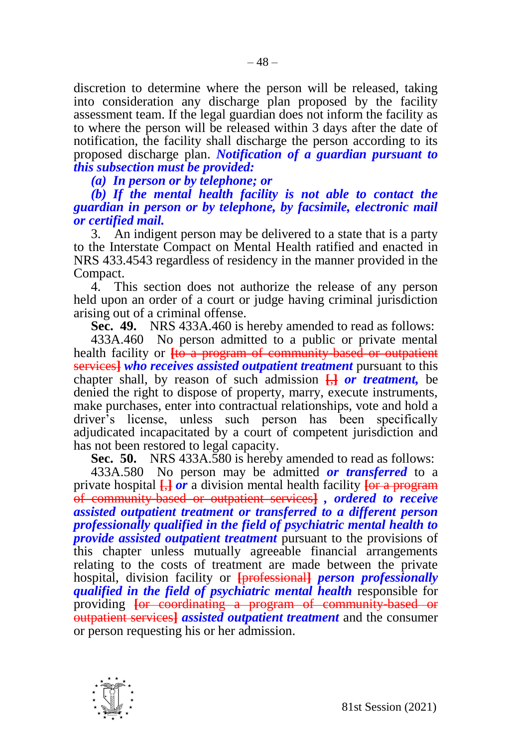discretion to determine where the person will be released, taking into consideration any discharge plan proposed by the facility assessment team. If the legal guardian does not inform the facility as to where the person will be released within 3 days after the date of notification, the facility shall discharge the person according to its proposed discharge plan. *Notification of a guardian pursuant to this subsection must be provided:*

*(a) In person or by telephone; or*

*(b) If the mental health facility is not able to contact the guardian in person or by telephone, by facsimile, electronic mail or certified mail.*

3. An indigent person may be delivered to a state that is a party to the Interstate Compact on Mental Health ratified and enacted in NRS 433.4543 regardless of residency in the manner provided in the Compact.

4. This section does not authorize the release of any person held upon an order of a court or judge having criminal jurisdiction arising out of a criminal offense.

**Sec. 49.** NRS 433A.460 is hereby amended to read as follows:

433A.460 No person admitted to a public or private mental health facility or **[to a program of community-based or outpatient** services**]** *who receives assisted outpatient treatment* pursuant to this chapter shall, by reason of such admission **[**,**]** *or treatment,* be denied the right to dispose of property, marry, execute instruments, make purchases, enter into contractual relationships, vote and hold a driver's license, unless such person has been specifically adjudicated incapacitated by a court of competent jurisdiction and has not been restored to legal capacity.

**Sec. 50.** NRS 433A.580 is hereby amended to read as follows:

433A.580 No person may be admitted *or transferred* to a private hospital **[**,**]** *or* a division mental health facility **[**or a program of community-based or outpatient services**]** *, ordered to receive assisted outpatient treatment or transferred to a different person professionally qualified in the field of psychiatric mental health to provide assisted outpatient treatment* pursuant to the provisions of this chapter unless mutually agreeable financial arrangements relating to the costs of treatment are made between the private hospital, division facility or **[**professional**]** *person professionally qualified in the field of psychiatric mental health* responsible for providing **[**or coordinating a program of community-based or outpatient services**]** *assisted outpatient treatment* and the consumer or person requesting his or her admission.

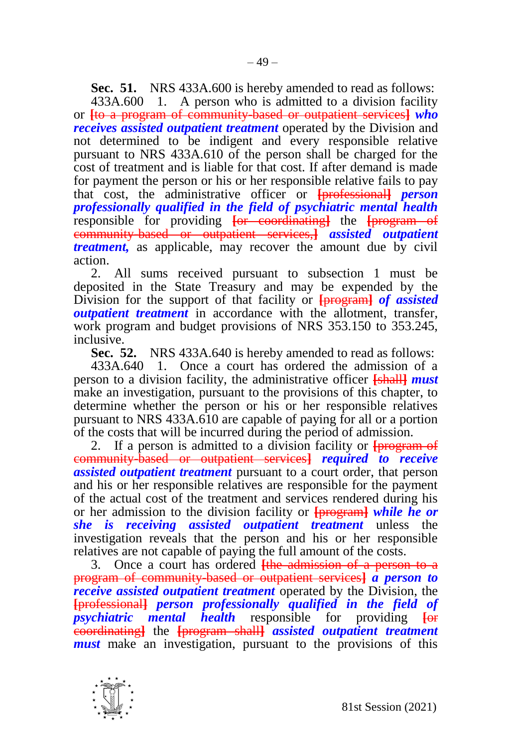**Sec. 51.** NRS 433A.600 is hereby amended to read as follows: 433A.600 1. A person who is admitted to a division facility or **[**to a program of community-based or outpatient services**]** *who receives assisted outpatient treatment* operated by the Division and not determined to be indigent and every responsible relative pursuant to NRS 433A.610 of the person shall be charged for the cost of treatment and is liable for that cost. If after demand is made for payment the person or his or her responsible relative fails to pay that cost, the administrative officer or **[**professional**]** *person professionally qualified in the field of psychiatric mental health*  responsible for providing **[**or coordinating**]** the **[**program of community-based or outpatient services,**]** *assisted outpatient treatment,* as applicable, may recover the amount due by civil action.

2. All sums received pursuant to subsection 1 must be deposited in the State Treasury and may be expended by the Division for the support of that facility or **[**program**]** *of assisted outpatient treatment* in accordance with the allotment, transfer, work program and budget provisions of NRS 353.150 to 353.245, inclusive.

**Sec. 52.** NRS 433A.640 is hereby amended to read as follows:

433A.640 1. Once a court has ordered the admission of a person to a division facility, the administrative officer **[**shall**]** *must*  make an investigation, pursuant to the provisions of this chapter, to determine whether the person or his or her responsible relatives pursuant to NRS 433A.610 are capable of paying for all or a portion of the costs that will be incurred during the period of admission.

2. If a person is admitted to a division facility or **[**program of community-based or outpatient services**]** *required to receive assisted outpatient treatment* pursuant to a court order, that person and his or her responsible relatives are responsible for the payment of the actual cost of the treatment and services rendered during his or her admission to the division facility or **[**program**]** *while he or she is receiving assisted outpatient treatment* unless the investigation reveals that the person and his or her responsible relatives are not capable of paying the full amount of the costs.

3. Once a court has ordered **[**the admission of a person to a program of community-based or outpatient services**]** *a person to receive assisted outpatient treatment* operated by the Division, the **[**professional**]** *person professionally qualified in the field of psychiatric mental health* responsible for providing **[**or coordinating**]** the **[**program shall**]** *assisted outpatient treatment must* make an investigation, pursuant to the provisions of this

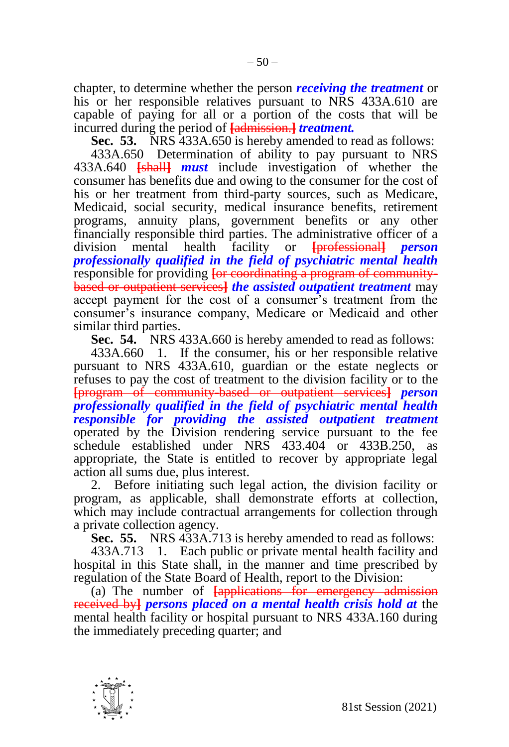chapter, to determine whether the person *receiving the treatment* or his or her responsible relatives pursuant to NRS 433A.610 are capable of paying for all or a portion of the costs that will be incurred during the period of **[**admission.**]** *treatment.*

**Sec. 53.** NRS 433A.650 is hereby amended to read as follows:

433A.650 Determination of ability to pay pursuant to NRS 433A.640 **[**shall**]** *must* include investigation of whether the consumer has benefits due and owing to the consumer for the cost of his or her treatment from third-party sources, such as Medicare, Medicaid, social security, medical insurance benefits, retirement programs, annuity plans, government benefits or any other financially responsible third parties. The administrative officer of a division mental health facility or **[**professional**]** *person professionally qualified in the field of psychiatric mental health*  responsible for providing **[or coordinating a program of community**based or outpatient services**]** *the assisted outpatient treatment* may accept payment for the cost of a consumer's treatment from the consumer's insurance company, Medicare or Medicaid and other similar third parties.

**Sec. 54.** NRS 433A.660 is hereby amended to read as follows:

433A.660 1. If the consumer, his or her responsible relative pursuant to NRS 433A.610, guardian or the estate neglects or refuses to pay the cost of treatment to the division facility or to the **[**program of community-based or outpatient services**]** *person professionally qualified in the field of psychiatric mental health responsible for providing the assisted outpatient treatment*  operated by the Division rendering service pursuant to the fee schedule established under NRS  $433.404$  or  $433B.250$ , appropriate, the State is entitled to recover by appropriate legal action all sums due, plus interest.

2. Before initiating such legal action, the division facility or program, as applicable, shall demonstrate efforts at collection, which may include contractual arrangements for collection through a private collection agency.

**Sec. 55.** NRS 433A.713 is hereby amended to read as follows:

433A.713 1. Each public or private mental health facility and hospital in this State shall, in the manner and time prescribed by regulation of the State Board of Health, report to the Division:

(a) The number of **[**applications for emergency admission received by**]** *persons placed on a mental health crisis hold at* the mental health facility or hospital pursuant to NRS 433A.160 during the immediately preceding quarter; and

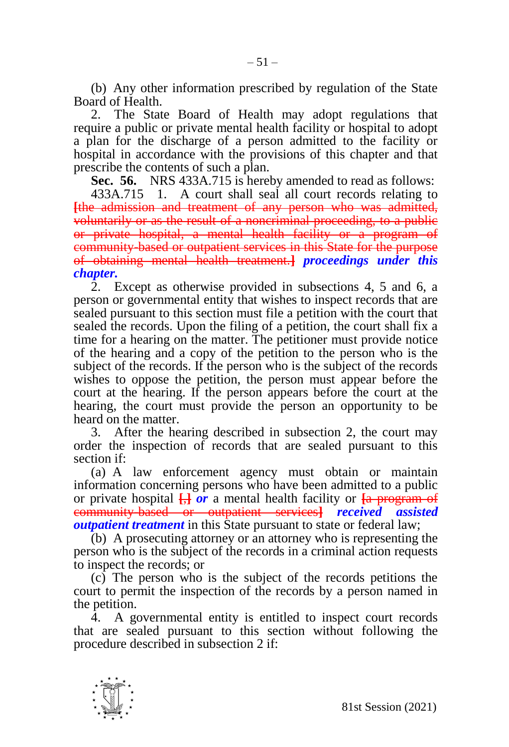(b) Any other information prescribed by regulation of the State Board of Health.

2. The State Board of Health may adopt regulations that require a public or private mental health facility or hospital to adopt a plan for the discharge of a person admitted to the facility or hospital in accordance with the provisions of this chapter and that prescribe the contents of such a plan.

**Sec. 56.** NRS 433A.715 is hereby amended to read as follows:

433A.715 1. A court shall seal all court records relating to **[**the admission and treatment of any person who was admitted, voluntarily or as the result of a noncriminal proceeding, to a public or private hospital, a mental health facility or a program of community-based or outpatient services in this State for the purpose of obtaining mental health treatment.**]** *proceedings under this chapter.*

2. Except as otherwise provided in subsections 4, 5 and 6, a person or governmental entity that wishes to inspect records that are sealed pursuant to this section must file a petition with the court that sealed the records. Upon the filing of a petition, the court shall fix a time for a hearing on the matter. The petitioner must provide notice of the hearing and a copy of the petition to the person who is the subject of the records. If the person who is the subject of the records wishes to oppose the petition, the person must appear before the court at the hearing. If the person appears before the court at the hearing, the court must provide the person an opportunity to be heard on the matter.

3. After the hearing described in subsection 2, the court may order the inspection of records that are sealed pursuant to this section if:

(a) A law enforcement agency must obtain or maintain information concerning persons who have been admitted to a public or private hospital **[**,**]** *or* a mental health facility or **[**a program of community-based or outpatient services**]** *received assisted outpatient treatment* in this State pursuant to state or federal law;

(b) A prosecuting attorney or an attorney who is representing the person who is the subject of the records in a criminal action requests to inspect the records; or

(c) The person who is the subject of the records petitions the court to permit the inspection of the records by a person named in the petition.

4. A governmental entity is entitled to inspect court records that are sealed pursuant to this section without following the procedure described in subsection 2 if:

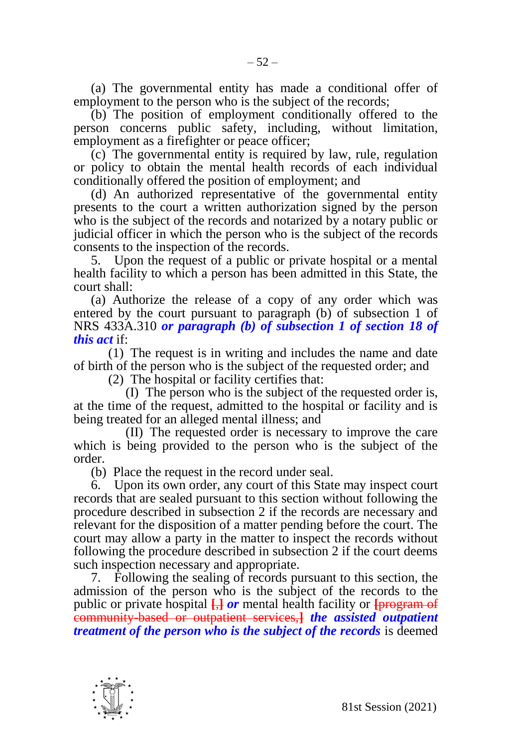(a) The governmental entity has made a conditional offer of employment to the person who is the subject of the records;

(b) The position of employment conditionally offered to the person concerns public safety, including, without limitation, employment as a firefighter or peace officer;

(c) The governmental entity is required by law, rule, regulation or policy to obtain the mental health records of each individual conditionally offered the position of employment; and

(d) An authorized representative of the governmental entity presents to the court a written authorization signed by the person who is the subject of the records and notarized by a notary public or judicial officer in which the person who is the subject of the records consents to the inspection of the records.

5. Upon the request of a public or private hospital or a mental health facility to which a person has been admitted in this State, the court shall:

(a) Authorize the release of a copy of any order which was entered by the court pursuant to paragraph (b) of subsection 1 of NRS 433A.310 *or paragraph (b) of subsection 1 of section 18 of this act* if:

(1) The request is in writing and includes the name and date of birth of the person who is the subject of the requested order; and

(2) The hospital or facility certifies that:

(I) The person who is the subject of the requested order is, at the time of the request, admitted to the hospital or facility and is being treated for an alleged mental illness; and

(II) The requested order is necessary to improve the care which is being provided to the person who is the subject of the order.

(b) Place the request in the record under seal.

6. Upon its own order, any court of this State may inspect court records that are sealed pursuant to this section without following the procedure described in subsection 2 if the records are necessary and relevant for the disposition of a matter pending before the court. The court may allow a party in the matter to inspect the records without following the procedure described in subsection 2 if the court deems such inspection necessary and appropriate.

7. Following the sealing of records pursuant to this section, the admission of the person who is the subject of the records to the public or private hospital **[**,**]** *or* mental health facility or **[**program of community-based or outpatient services,**]** *the assisted outpatient treatment of the person who is the subject of the records* is deemed

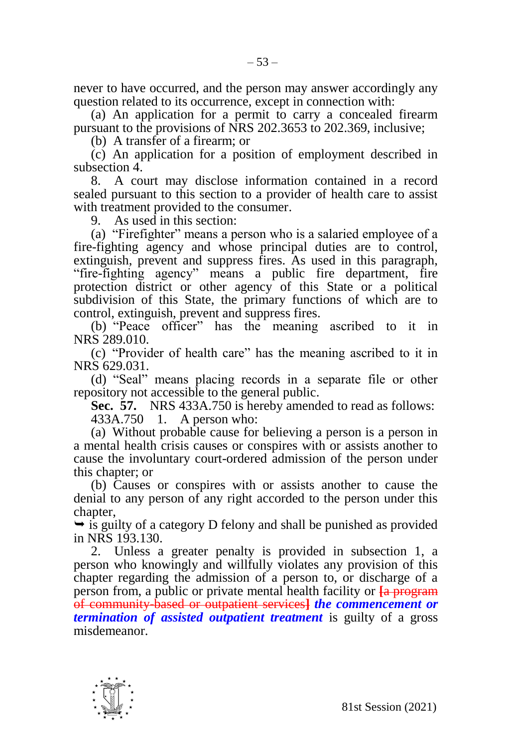never to have occurred, and the person may answer accordingly any question related to its occurrence, except in connection with:

(a) An application for a permit to carry a concealed firearm pursuant to the provisions of NRS 202.3653 to 202.369, inclusive;

(b) A transfer of a firearm; or

(c) An application for a position of employment described in subsection 4.

8. A court may disclose information contained in a record sealed pursuant to this section to a provider of health care to assist with treatment provided to the consumer.

9. As used in this section:

(a) "Firefighter" means a person who is a salaried employee of a fire-fighting agency and whose principal duties are to control, extinguish, prevent and suppress fires. As used in this paragraph, "fire-fighting agency" means a public fire department, fire protection district or other agency of this State or a political subdivision of this State, the primary functions of which are to control, extinguish, prevent and suppress fires.

(b) "Peace officer" has the meaning ascribed to it in NRS 289.010.

(c) "Provider of health care" has the meaning ascribed to it in NRS 629.031.

(d) "Seal" means placing records in a separate file or other repository not accessible to the general public.

**Sec. 57.** NRS 433A.750 is hereby amended to read as follows: 433A.750 1. A person who:

(a) Without probable cause for believing a person is a person in a mental health crisis causes or conspires with or assists another to cause the involuntary court-ordered admission of the person under this chapter; or

(b) Causes or conspires with or assists another to cause the denial to any person of any right accorded to the person under this chapter,

 $\rightarrow$  is guilty of a category D felony and shall be punished as provided in NRS 193.130.

2. Unless a greater penalty is provided in subsection 1, a person who knowingly and willfully violates any provision of this chapter regarding the admission of a person to, or discharge of a person from, a public or private mental health facility or **[**a program of community-based or outpatient services**]** *the commencement or termination of assisted outpatient treatment* is guilty of a gross misdemeanor.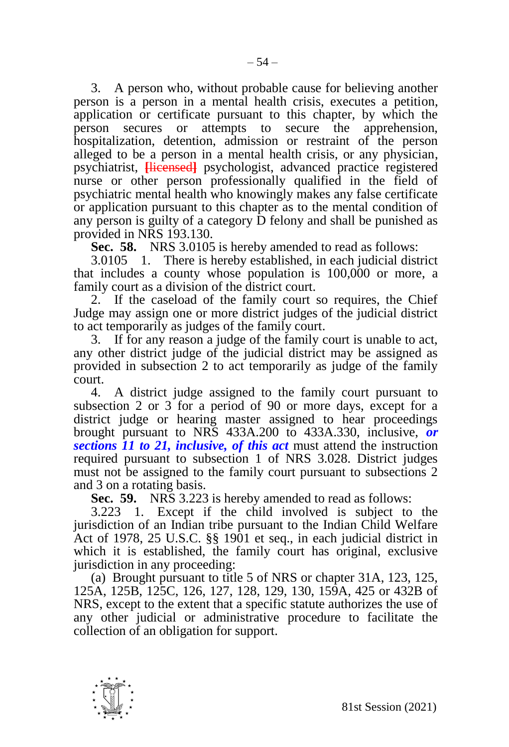3. A person who, without probable cause for believing another person is a person in a mental health crisis, executes a petition, application or certificate pursuant to this chapter, by which the person secures or attempts to secure the apprehension, hospitalization, detention, admission or restraint of the person alleged to be a person in a mental health crisis, or any physician, psychiatrist, **[**licensed**]** psychologist, advanced practice registered nurse or other person professionally qualified in the field of psychiatric mental health who knowingly makes any false certificate or application pursuant to this chapter as to the mental condition of any person is guilty of a category D felony and shall be punished as provided in NRS 193.130.

**Sec. 58.** NRS 3.0105 is hereby amended to read as follows:

3.0105 1. There is hereby established, in each judicial district that includes a county whose population is 100,000 or more, a family court as a division of the district court.

2. If the caseload of the family court so requires, the Chief Judge may assign one or more district judges of the judicial district to act temporarily as judges of the family court.

3. If for any reason a judge of the family court is unable to act, any other district judge of the judicial district may be assigned as provided in subsection 2 to act temporarily as judge of the family court.

4. A district judge assigned to the family court pursuant to subsection 2 or 3 for a period of 90 or more days, except for a district judge or hearing master assigned to hear proceedings brought pursuant to NRS 433A.200 to 433A.330, inclusive, *or sections 11 to 21, inclusive, of this act* must attend the instruction required pursuant to subsection 1 of NRS 3.028. District judges must not be assigned to the family court pursuant to subsections 2 and 3 on a rotating basis.

**Sec. 59.** NRS 3.223 is hereby amended to read as follows:

3.223 1. Except if the child involved is subject to the jurisdiction of an Indian tribe pursuant to the Indian Child Welfare Act of 1978, 25 U.S.C. §§ 1901 et seq., in each judicial district in which it is established, the family court has original, exclusive jurisdiction in any proceeding:

(a) Brought pursuant to title 5 of NRS or chapter 31A, 123, 125, 125A, 125B, 125C, 126, 127, 128, 129, 130, 159A, 425 or 432B of NRS, except to the extent that a specific statute authorizes the use of any other judicial or administrative procedure to facilitate the collection of an obligation for support.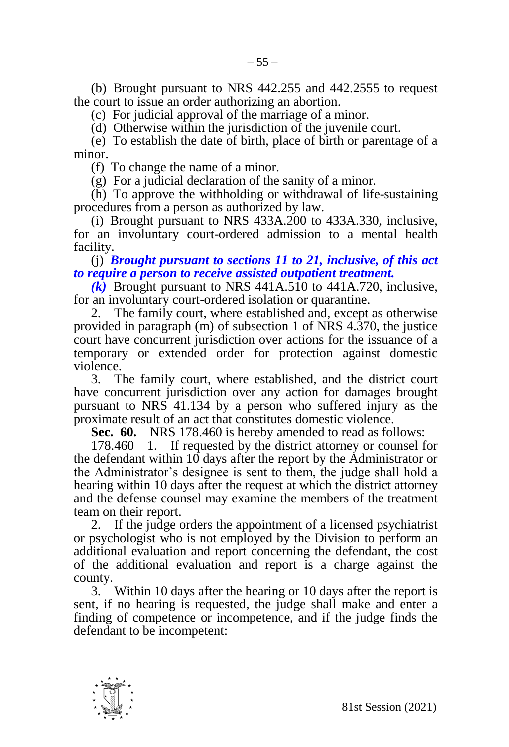(b) Brought pursuant to NRS 442.255 and 442.2555 to request the court to issue an order authorizing an abortion.

(c) For judicial approval of the marriage of a minor.

(d) Otherwise within the jurisdiction of the juvenile court.

(e) To establish the date of birth, place of birth or parentage of a minor.

(f) To change the name of a minor.

(g) For a judicial declaration of the sanity of a minor.

(h) To approve the withholding or withdrawal of life-sustaining procedures from a person as authorized by law.

(i) Brought pursuant to NRS 433A.200 to 433A.330, inclusive, for an involuntary court-ordered admission to a mental health facility.

(j) *Brought pursuant to sections 11 to 21, inclusive, of this act to require a person to receive assisted outpatient treatment.*

*(k)* Brought pursuant to NRS 441A.510 to 441A.720, inclusive, for an involuntary court-ordered isolation or quarantine.

2. The family court, where established and, except as otherwise provided in paragraph (m) of subsection 1 of NRS 4.370, the justice court have concurrent jurisdiction over actions for the issuance of a temporary or extended order for protection against domestic violence.

3. The family court, where established, and the district court have concurrent jurisdiction over any action for damages brought pursuant to NRS 41.134 by a person who suffered injury as the proximate result of an act that constitutes domestic violence.

**Sec. 60.** NRS 178.460 is hereby amended to read as follows:

178.460 1. If requested by the district attorney or counsel for the defendant within 10 days after the report by the Administrator or the Administrator's designee is sent to them, the judge shall hold a hearing within 10 days after the request at which the district attorney and the defense counsel may examine the members of the treatment team on their report.

2. If the judge orders the appointment of a licensed psychiatrist or psychologist who is not employed by the Division to perform an additional evaluation and report concerning the defendant, the cost of the additional evaluation and report is a charge against the county.

3. Within 10 days after the hearing or 10 days after the report is sent, if no hearing is requested, the judge shall make and enter a finding of competence or incompetence, and if the judge finds the defendant to be incompetent:

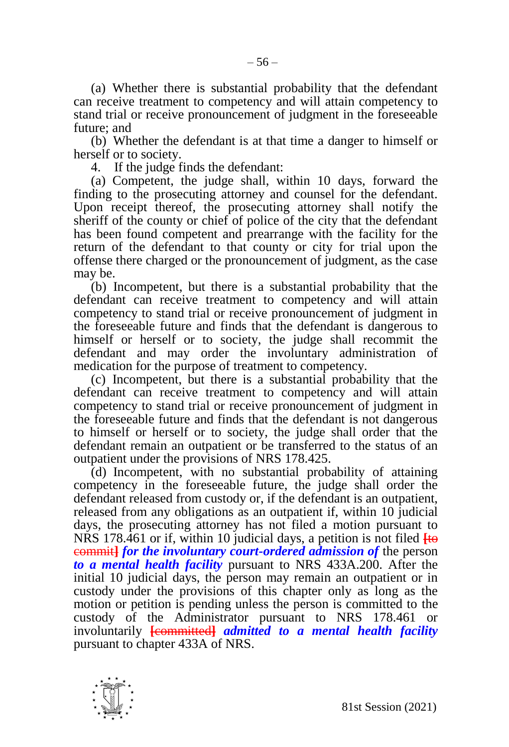(a) Whether there is substantial probability that the defendant can receive treatment to competency and will attain competency to stand trial or receive pronouncement of judgment in the foreseeable future; and

(b) Whether the defendant is at that time a danger to himself or herself or to society.

4. If the judge finds the defendant:

(a) Competent, the judge shall, within 10 days, forward the finding to the prosecuting attorney and counsel for the defendant. Upon receipt thereof, the prosecuting attorney shall notify the sheriff of the county or chief of police of the city that the defendant has been found competent and prearrange with the facility for the return of the defendant to that county or city for trial upon the offense there charged or the pronouncement of judgment, as the case may be.

(b) Incompetent, but there is a substantial probability that the defendant can receive treatment to competency and will attain competency to stand trial or receive pronouncement of judgment in the foreseeable future and finds that the defendant is dangerous to himself or herself or to society, the judge shall recommit the defendant and may order the involuntary administration of medication for the purpose of treatment to competency.

(c) Incompetent, but there is a substantial probability that the defendant can receive treatment to competency and will attain competency to stand trial or receive pronouncement of judgment in the foreseeable future and finds that the defendant is not dangerous to himself or herself or to society, the judge shall order that the defendant remain an outpatient or be transferred to the status of an outpatient under the provisions of NRS 178.425.

(d) Incompetent, with no substantial probability of attaining competency in the foreseeable future, the judge shall order the defendant released from custody or, if the defendant is an outpatient, released from any obligations as an outpatient if, within 10 judicial days, the prosecuting attorney has not filed a motion pursuant to NRS 178.461 or if, within 10 judicial days, a petition is not filed **[**to commit**]** *for the involuntary court-ordered admission of* the person *to a mental health facility* pursuant to NRS 433A.200. After the initial 10 judicial days, the person may remain an outpatient or in custody under the provisions of this chapter only as long as the motion or petition is pending unless the person is committed to the custody of the Administrator pursuant to NRS 178.461 or involuntarily **[**committed**]** *admitted to a mental health facility*  pursuant to chapter 433A of NRS.

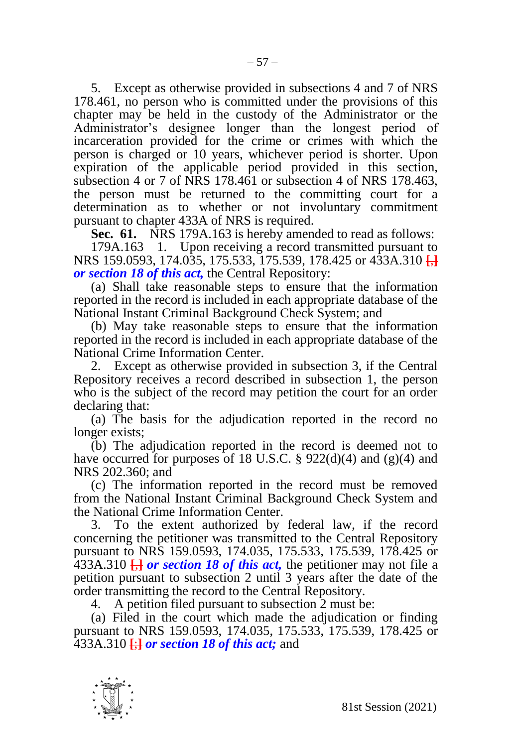5. Except as otherwise provided in subsections 4 and 7 of NRS 178.461, no person who is committed under the provisions of this chapter may be held in the custody of the Administrator or the Administrator's designee longer than the longest period of incarceration provided for the crime or crimes with which the person is charged or 10 years, whichever period is shorter. Upon expiration of the applicable period provided in this section, subsection 4 or 7 of NRS 178.461 or subsection 4 of NRS 178.463, the person must be returned to the committing court for a determination as to whether or not involuntary commitment pursuant to chapter 433A of NRS is required.

**Sec. 61.** NRS 179A.163 is hereby amended to read as follows:

179A.163 1. Upon receiving a record transmitted pursuant to NRS 159.0593, 174.035, 175.533, 175.539, 178.425 or 433A.310 **[**,**]** *or section 18 of this act,* the Central Repository:

(a) Shall take reasonable steps to ensure that the information reported in the record is included in each appropriate database of the National Instant Criminal Background Check System; and

(b) May take reasonable steps to ensure that the information reported in the record is included in each appropriate database of the National Crime Information Center.

2. Except as otherwise provided in subsection 3, if the Central Repository receives a record described in subsection 1, the person who is the subject of the record may petition the court for an order declaring that:

(a) The basis for the adjudication reported in the record no longer exists;

(b) The adjudication reported in the record is deemed not to have occurred for purposes of 18 U.S.C. § 922(d)(4) and (g)(4) and NRS 202.360; and

(c) The information reported in the record must be removed from the National Instant Criminal Background Check System and the National Crime Information Center.

3. To the extent authorized by federal law, if the record concerning the petitioner was transmitted to the Central Repository pursuant to NRS 159.0593, 174.035, 175.533, 175.539, 178.425 or 433A.310 **[**,**]** *or section 18 of this act,* the petitioner may not file a petition pursuant to subsection 2 until 3 years after the date of the order transmitting the record to the Central Repository.

4. A petition filed pursuant to subsection 2 must be:

(a) Filed in the court which made the adjudication or finding pursuant to NRS 159.0593, 174.035, 175.533, 175.539, 178.425 or 433A.310 **[**;**]** *or section 18 of this act;* and

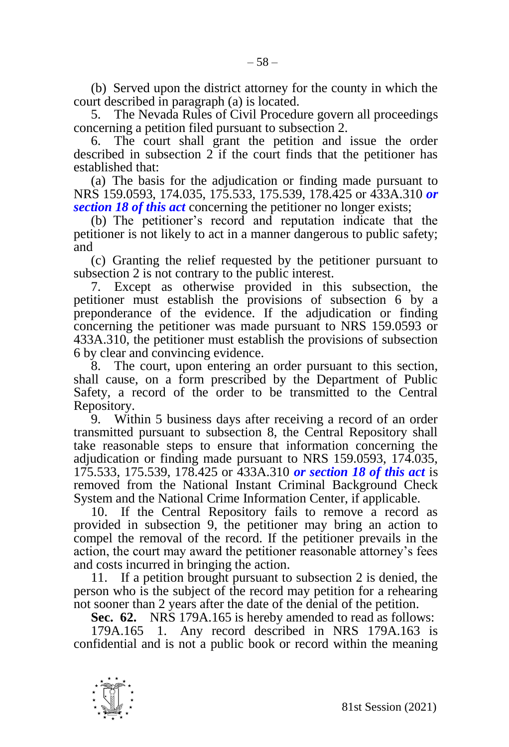(b) Served upon the district attorney for the county in which the court described in paragraph (a) is located.

5. The Nevada Rules of Civil Procedure govern all proceedings concerning a petition filed pursuant to subsection 2.

6. The court shall grant the petition and issue the order described in subsection 2 if the court finds that the petitioner has established that:

(a) The basis for the adjudication or finding made pursuant to NRS 159.0593, 174.035, 175.533, 175.539, 178.425 or 433A.310 *or section 18 of this act* concerning the petitioner no longer exists;

(b) The petitioner's record and reputation indicate that the petitioner is not likely to act in a manner dangerous to public safety; and

(c) Granting the relief requested by the petitioner pursuant to subsection 2 is not contrary to the public interest.

7. Except as otherwise provided in this subsection, the petitioner must establish the provisions of subsection 6 by a preponderance of the evidence. If the adjudication or finding concerning the petitioner was made pursuant to NRS 159.0593 or 433A.310, the petitioner must establish the provisions of subsection 6 by clear and convincing evidence.

8. The court, upon entering an order pursuant to this section, shall cause, on a form prescribed by the Department of Public Safety, a record of the order to be transmitted to the Central Repository.

9. Within 5 business days after receiving a record of an order transmitted pursuant to subsection 8, the Central Repository shall take reasonable steps to ensure that information concerning the adjudication or finding made pursuant to NRS 159.0593, 174.035, 175.533, 175.539, 178.425 or 433A.310 *or section 18 of this act* is removed from the National Instant Criminal Background Check System and the National Crime Information Center, if applicable.

10. If the Central Repository fails to remove a record as provided in subsection 9, the petitioner may bring an action to compel the removal of the record. If the petitioner prevails in the action, the court may award the petitioner reasonable attorney's fees and costs incurred in bringing the action.

11. If a petition brought pursuant to subsection 2 is denied, the person who is the subject of the record may petition for a rehearing not sooner than 2 years after the date of the denial of the petition.

**Sec. 62.** NRS 179A.165 is hereby amended to read as follows:

179A.165 1. Any record described in NRS 179A.163 is confidential and is not a public book or record within the meaning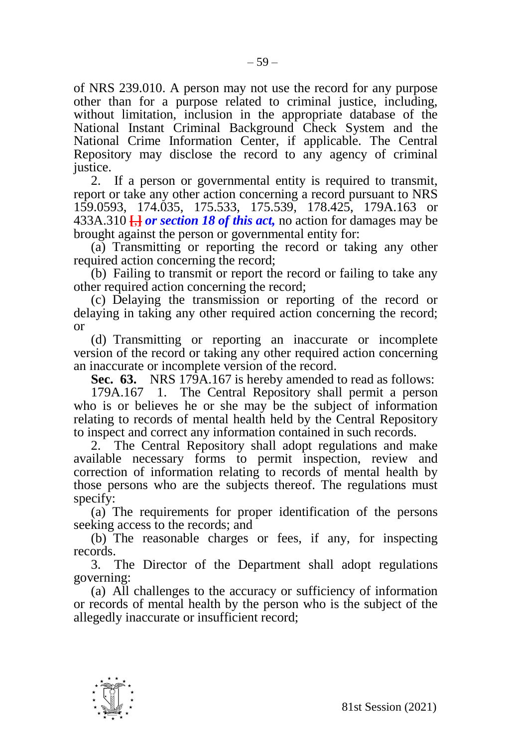of NRS 239.010. A person may not use the record for any purpose other than for a purpose related to criminal justice, including, without limitation, inclusion in the appropriate database of the National Instant Criminal Background Check System and the National Crime Information Center, if applicable. The Central Repository may disclose the record to any agency of criminal justice.

2. If a person or governmental entity is required to transmit, report or take any other action concerning a record pursuant to NRS 159.0593, 174.035, 175.533, 175.539, 178.425, 179A.163 or 433A.310 **[**,**]** *or section 18 of this act,* no action for damages may be brought against the person or governmental entity for:

(a) Transmitting or reporting the record or taking any other required action concerning the record:

(b) Failing to transmit or report the record or failing to take any other required action concerning the record;

(c) Delaying the transmission or reporting of the record or delaying in taking any other required action concerning the record; or

(d) Transmitting or reporting an inaccurate or incomplete version of the record or taking any other required action concerning an inaccurate or incomplete version of the record.

**Sec. 63.** NRS 179A.167 is hereby amended to read as follows:

179A.167 1. The Central Repository shall permit a person who is or believes he or she may be the subject of information relating to records of mental health held by the Central Repository to inspect and correct any information contained in such records.

2. The Central Repository shall adopt regulations and make available necessary forms to permit inspection, review and correction of information relating to records of mental health by those persons who are the subjects thereof. The regulations must specify:

(a) The requirements for proper identification of the persons seeking access to the records; and

(b) The reasonable charges or fees, if any, for inspecting records.

3. The Director of the Department shall adopt regulations governing:

(a) All challenges to the accuracy or sufficiency of information or records of mental health by the person who is the subject of the allegedly inaccurate or insufficient record;

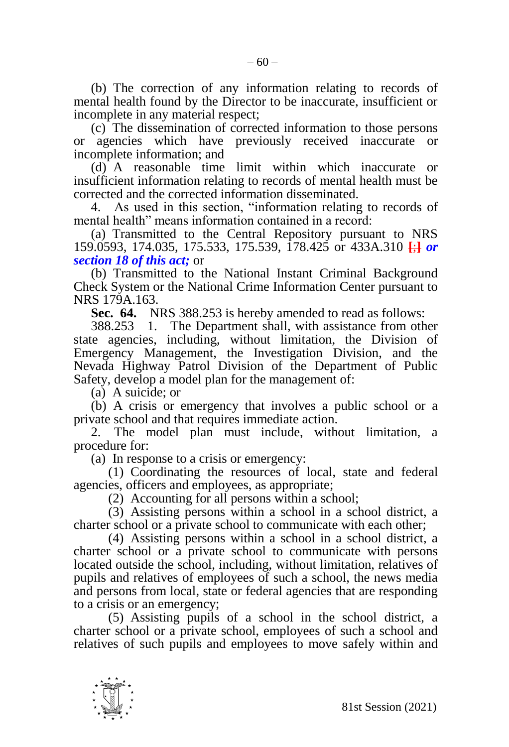(b) The correction of any information relating to records of mental health found by the Director to be inaccurate, insufficient or incomplete in any material respect;

(c) The dissemination of corrected information to those persons or agencies which have previously received inaccurate or incomplete information; and

(d) A reasonable time limit within which inaccurate or insufficient information relating to records of mental health must be corrected and the corrected information disseminated.

4. As used in this section, "information relating to records of mental health" means information contained in a record:

(a) Transmitted to the Central Repository pursuant to NRS 159.0593, 174.035, 175.533, 175.539, 178.425 or 433A.310 **[**;**]** *or section 18 of this act;* or

(b) Transmitted to the National Instant Criminal Background Check System or the National Crime Information Center pursuant to NRS 179A.163.

**Sec. 64.** NRS 388.253 is hereby amended to read as follows:

388.253 1. The Department shall, with assistance from other state agencies, including, without limitation, the Division of Emergency Management, the Investigation Division, and the Nevada Highway Patrol Division of the Department of Public Safety, develop a model plan for the management of:

(a) A suicide; or

(b) A crisis or emergency that involves a public school or a private school and that requires immediate action.

2. The model plan must include, without limitation, a procedure for:

(a) In response to a crisis or emergency:

(1) Coordinating the resources of local, state and federal agencies, officers and employees, as appropriate;

(2) Accounting for all persons within a school;

(3) Assisting persons within a school in a school district, a charter school or a private school to communicate with each other;

(4) Assisting persons within a school in a school district, a charter school or a private school to communicate with persons located outside the school, including, without limitation, relatives of pupils and relatives of employees of such a school, the news media and persons from local, state or federal agencies that are responding to a crisis or an emergency;

(5) Assisting pupils of a school in the school district, a charter school or a private school, employees of such a school and relatives of such pupils and employees to move safely within and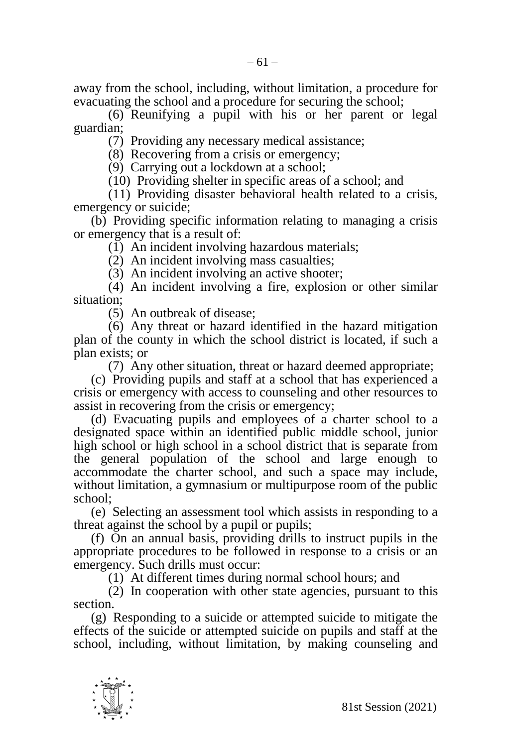away from the school, including, without limitation, a procedure for evacuating the school and a procedure for securing the school;

(6) Reunifying a pupil with his or her parent or legal guardian;

(7) Providing any necessary medical assistance;

(8) Recovering from a crisis or emergency;

(9) Carrying out a lockdown at a school;

(10) Providing shelter in specific areas of a school; and

(11) Providing disaster behavioral health related to a crisis, emergency or suicide;

(b) Providing specific information relating to managing a crisis or emergency that is a result of:

(1) An incident involving hazardous materials;

(2) An incident involving mass casualties;

(3) An incident involving an active shooter;

(4) An incident involving a fire, explosion or other similar situation;

(5) An outbreak of disease;

(6) Any threat or hazard identified in the hazard mitigation plan of the county in which the school district is located, if such a plan exists; or

(7) Any other situation, threat or hazard deemed appropriate;

(c) Providing pupils and staff at a school that has experienced a crisis or emergency with access to counseling and other resources to assist in recovering from the crisis or emergency;

(d) Evacuating pupils and employees of a charter school to a designated space within an identified public middle school, junior high school or high school in a school district that is separate from the general population of the school and large enough to accommodate the charter school, and such a space may include, without limitation, a gymnasium or multipurpose room of the public school;

(e) Selecting an assessment tool which assists in responding to a threat against the school by a pupil or pupils;

(f) On an annual basis, providing drills to instruct pupils in the appropriate procedures to be followed in response to a crisis or an emergency. Such drills must occur:

(1) At different times during normal school hours; and

(2) In cooperation with other state agencies, pursuant to this section.

(g) Responding to a suicide or attempted suicide to mitigate the effects of the suicide or attempted suicide on pupils and staff at the school, including, without limitation, by making counseling and

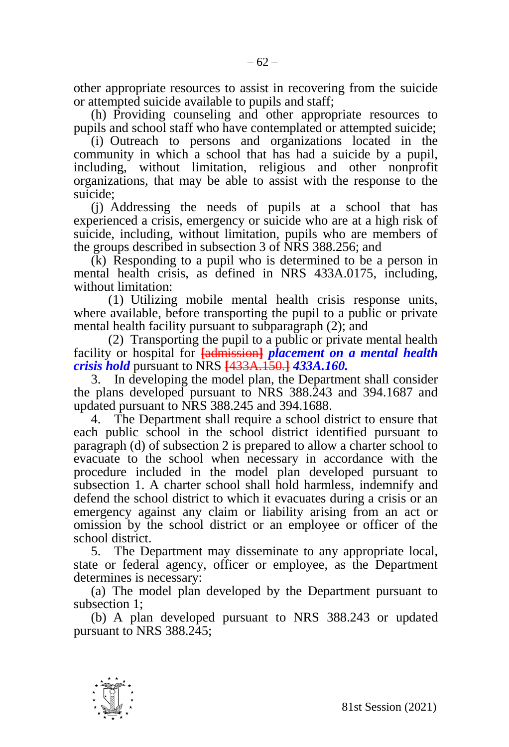other appropriate resources to assist in recovering from the suicide or attempted suicide available to pupils and staff;

(h) Providing counseling and other appropriate resources to pupils and school staff who have contemplated or attempted suicide;

(i) Outreach to persons and organizations located in the community in which a school that has had a suicide by a pupil, including, without limitation, religious and other nonprofit organizations, that may be able to assist with the response to the suicide;

(j) Addressing the needs of pupils at a school that has experienced a crisis, emergency or suicide who are at a high risk of suicide, including, without limitation, pupils who are members of the groups described in subsection 3 of NRS 388.256; and

(k) Responding to a pupil who is determined to be a person in mental health crisis, as defined in NRS 433A.0175, including, without limitation:

(1) Utilizing mobile mental health crisis response units, where available, before transporting the pupil to a public or private mental health facility pursuant to subparagraph (2); and

(2) Transporting the pupil to a public or private mental health facility or hospital for **[**admission**]** *placement on a mental health crisis hold* pursuant to NRS **[**433A.150.**]** *433A.160.*

3. In developing the model plan, the Department shall consider the plans developed pursuant to NRS 388.243 and 394.1687 and updated pursuant to NRS 388.245 and 394.1688.

4. The Department shall require a school district to ensure that each public school in the school district identified pursuant to paragraph (d) of subsection 2 is prepared to allow a charter school to evacuate to the school when necessary in accordance with the procedure included in the model plan developed pursuant to subsection 1. A charter school shall hold harmless, indemnify and defend the school district to which it evacuates during a crisis or an emergency against any claim or liability arising from an act or omission by the school district or an employee or officer of the school district.

5. The Department may disseminate to any appropriate local, state or federal agency, officer or employee, as the Department determines is necessary:

(a) The model plan developed by the Department pursuant to subsection 1;

(b) A plan developed pursuant to NRS 388.243 or updated pursuant to NRS 388.245;

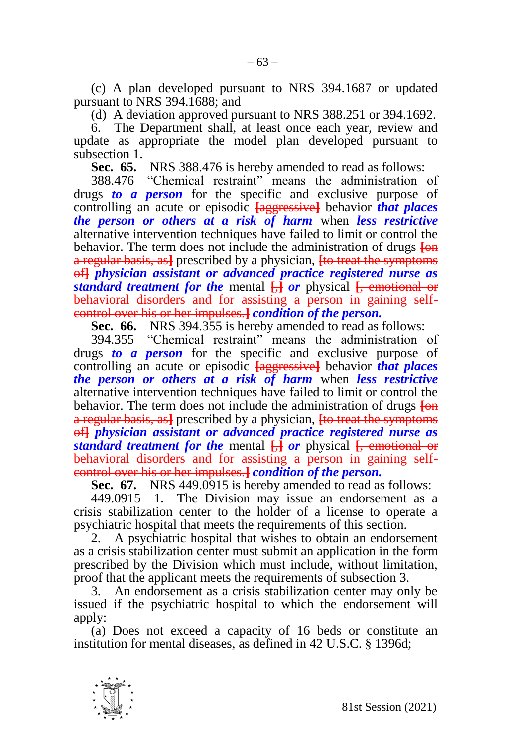(c) A plan developed pursuant to NRS 394.1687 or updated pursuant to NRS 394.1688; and

(d) A deviation approved pursuant to NRS 388.251 or 394.1692.

6. The Department shall, at least once each year, review and update as appropriate the model plan developed pursuant to subsection 1.

**Sec. 65.** NRS 388.476 is hereby amended to read as follows:

388.476 "Chemical restraint" means the administration of drugs *to a person* for the specific and exclusive purpose of controlling an acute or episodic **[**aggressive**]** behavior *that places the person or others at a risk of harm* when *less restrictive*  alternative intervention techniques have failed to limit or control the behavior. The term does not include the administration of drugs **[**on a regular basis, as**]** prescribed by a physician, **[**to treat the symptoms of**]** *physician assistant or advanced practice registered nurse as standard treatment for the* mental **[**,**]** *or* physical **[**, emotional or behavioral disorders and for assisting a person in gaining selfcontrol over his or her impulses.**]** *condition of the person.*

**Sec. 66.** NRS 394.355 is hereby amended to read as follows:

394.355 "Chemical restraint" means the administration of drugs *to a person* for the specific and exclusive purpose of controlling an acute or episodic **[**aggressive**]** behavior *that places the person or others at a risk of harm* when *less restrictive*  alternative intervention techniques have failed to limit or control the behavior. The term does not include the administration of drugs **[**on a regular basis, as**]** prescribed by a physician, **[**to treat the symptoms of**]** *physician assistant or advanced practice registered nurse as standard treatment for the* mental **[**,**]** *or* physical **[**, emotional or behavioral disorders and for assisting a person in gaining selfcontrol over his or her impulses.**]** *condition of the person.*

**Sec. 67.** NRS 449.0915 is hereby amended to read as follows:

449.0915 1. The Division may issue an endorsement as a crisis stabilization center to the holder of a license to operate a psychiatric hospital that meets the requirements of this section.

2. A psychiatric hospital that wishes to obtain an endorsement as a crisis stabilization center must submit an application in the form prescribed by the Division which must include, without limitation, proof that the applicant meets the requirements of subsection 3.

3. An endorsement as a crisis stabilization center may only be issued if the psychiatric hospital to which the endorsement will apply:

(a) Does not exceed a capacity of 16 beds or constitute an institution for mental diseases, as defined in 42 U.S.C. § 1396d;

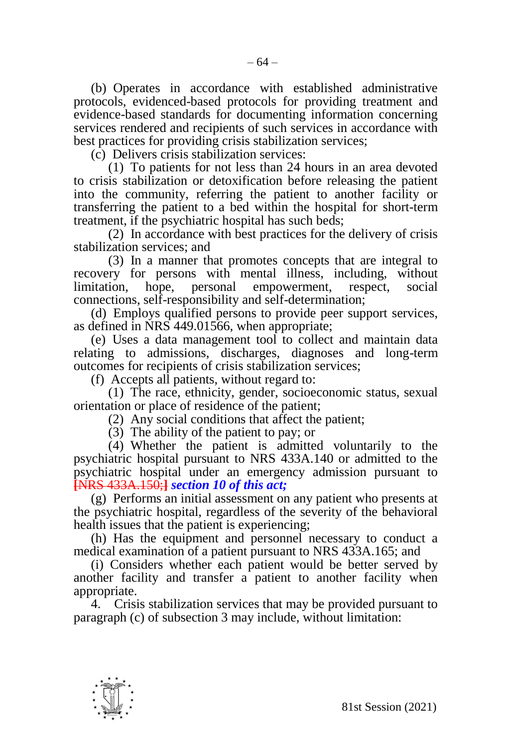(b) Operates in accordance with established administrative protocols, evidenced-based protocols for providing treatment and evidence-based standards for documenting information concerning services rendered and recipients of such services in accordance with best practices for providing crisis stabilization services;

(c) Delivers crisis stabilization services:

(1) To patients for not less than 24 hours in an area devoted to crisis stabilization or detoxification before releasing the patient into the community, referring the patient to another facility or transferring the patient to a bed within the hospital for short-term treatment, if the psychiatric hospital has such beds;

(2) In accordance with best practices for the delivery of crisis stabilization services; and

(3) In a manner that promotes concepts that are integral to recovery for persons with mental illness, including, without limitation, hope, personal empowerment, respect, social connections, self-responsibility and self-determination;

(d) Employs qualified persons to provide peer support services, as defined in NRS 449.01566, when appropriate;

(e) Uses a data management tool to collect and maintain data relating to admissions, discharges, diagnoses and long-term outcomes for recipients of crisis stabilization services;

(f) Accepts all patients, without regard to:

(1) The race, ethnicity, gender, socioeconomic status, sexual orientation or place of residence of the patient;

(2) Any social conditions that affect the patient;

(3) The ability of the patient to pay; or

(4) Whether the patient is admitted voluntarily to the psychiatric hospital pursuant to NRS 433A.140 or admitted to the psychiatric hospital under an emergency admission pursuant to **[**NRS 433A.150;**]** *section 10 of this act;*

(g) Performs an initial assessment on any patient who presents at the psychiatric hospital, regardless of the severity of the behavioral health issues that the patient is experiencing;

(h) Has the equipment and personnel necessary to conduct a medical examination of a patient pursuant to NRS 433A.165; and

(i) Considers whether each patient would be better served by another facility and transfer a patient to another facility when appropriate.

4. Crisis stabilization services that may be provided pursuant to paragraph (c) of subsection 3 may include, without limitation:

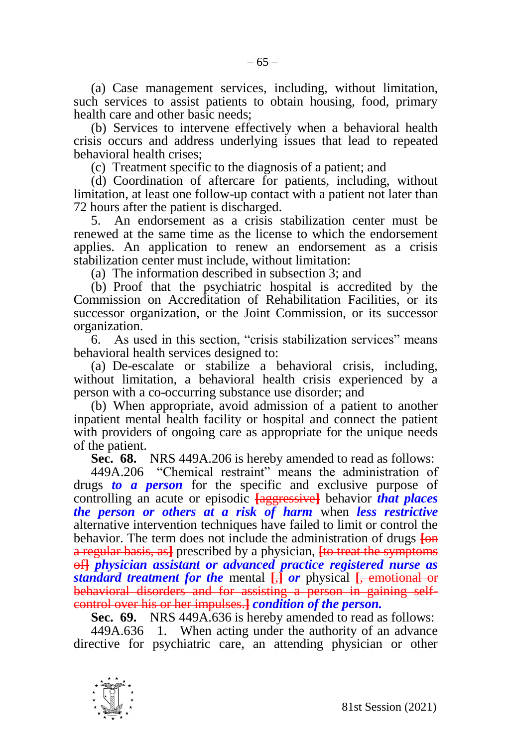(a) Case management services, including, without limitation, such services to assist patients to obtain housing, food, primary health care and other basic needs;

(b) Services to intervene effectively when a behavioral health crisis occurs and address underlying issues that lead to repeated behavioral health crises;

(c) Treatment specific to the diagnosis of a patient; and

(d) Coordination of aftercare for patients, including, without limitation, at least one follow-up contact with a patient not later than 72 hours after the patient is discharged.

5. An endorsement as a crisis stabilization center must be renewed at the same time as the license to which the endorsement applies. An application to renew an endorsement as a crisis stabilization center must include, without limitation:

(a) The information described in subsection 3; and

(b) Proof that the psychiatric hospital is accredited by the Commission on Accreditation of Rehabilitation Facilities, or its successor organization, or the Joint Commission, or its successor organization.

6. As used in this section, "crisis stabilization services" means behavioral health services designed to:

(a) De-escalate or stabilize a behavioral crisis, including, without limitation, a behavioral health crisis experienced by a person with a co-occurring substance use disorder; and

(b) When appropriate, avoid admission of a patient to another inpatient mental health facility or hospital and connect the patient with providers of ongoing care as appropriate for the unique needs of the patient.

**Sec. 68.** NRS 449A.206 is hereby amended to read as follows:

449A.206 "Chemical restraint" means the administration of drugs *to a person* for the specific and exclusive purpose of controlling an acute or episodic **[**aggressive**]** behavior *that places the person or others at a risk of harm* when *less restrictive*  alternative intervention techniques have failed to limit or control the behavior. The term does not include the administration of drugs **[**on a regular basis, as**]** prescribed by a physician, **[**to treat the symptoms of**]** *physician assistant or advanced practice registered nurse as standard treatment for the* mental **[**,**]** *or* physical **[**, emotional or behavioral disorders and for assisting a person in gaining selfcontrol over his or her impulses.**]** *condition of the person.*

**Sec. 69.** NRS 449A.636 is hereby amended to read as follows:

449A.636 1. When acting under the authority of an advance directive for psychiatric care, an attending physician or other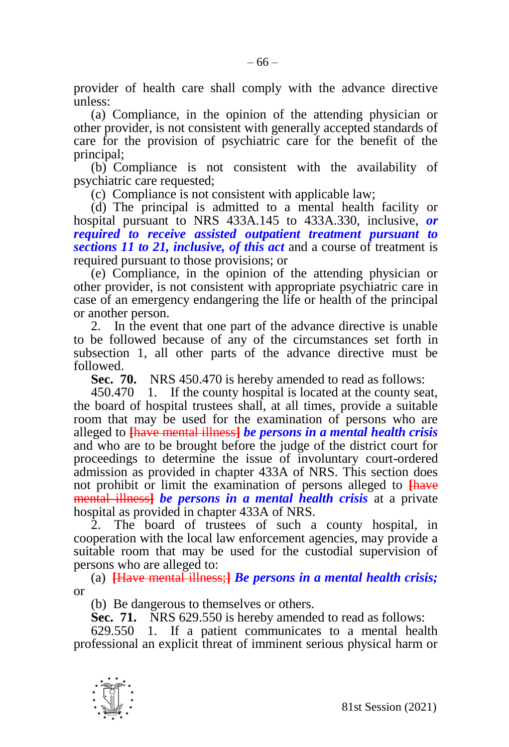provider of health care shall comply with the advance directive unless:

(a) Compliance, in the opinion of the attending physician or other provider, is not consistent with generally accepted standards of care for the provision of psychiatric care for the benefit of the principal;

(b) Compliance is not consistent with the availability of psychiatric care requested;

(c) Compliance is not consistent with applicable law;

(d) The principal is admitted to a mental health facility or hospital pursuant to NRS 433A.145 to 433A.330, inclusive, *or required to receive assisted outpatient treatment pursuant to sections 11 to 21, inclusive, of this act* and a course of treatment is required pursuant to those provisions; or

(e) Compliance, in the opinion of the attending physician or other provider, is not consistent with appropriate psychiatric care in case of an emergency endangering the life or health of the principal or another person.

2. In the event that one part of the advance directive is unable to be followed because of any of the circumstances set forth in subsection 1, all other parts of the advance directive must be followed.

**Sec. 70.** NRS 450.470 is hereby amended to read as follows:

450.470 1. If the county hospital is located at the county seat, the board of hospital trustees shall, at all times, provide a suitable room that may be used for the examination of persons who are alleged to **[**have mental illness**]** *be persons in a mental health crisis*  and who are to be brought before the judge of the district court for proceedings to determine the issue of involuntary court-ordered admission as provided in chapter 433A of NRS. This section does not prohibit or limit the examination of persons alleged to **[**have mental illness**]** *be persons in a mental health crisis* at a private hospital as provided in chapter 433A of NRS.

2. The board of trustees of such a county hospital, in cooperation with the local law enforcement agencies, may provide a suitable room that may be used for the custodial supervision of persons who are alleged to:

(a) **[**Have mental illness;**]** *Be persons in a mental health crisis;*  or

(b) Be dangerous to themselves or others.

**Sec. 71.** NRS 629.550 is hereby amended to read as follows:

629.550 1. If a patient communicates to a mental health professional an explicit threat of imminent serious physical harm or

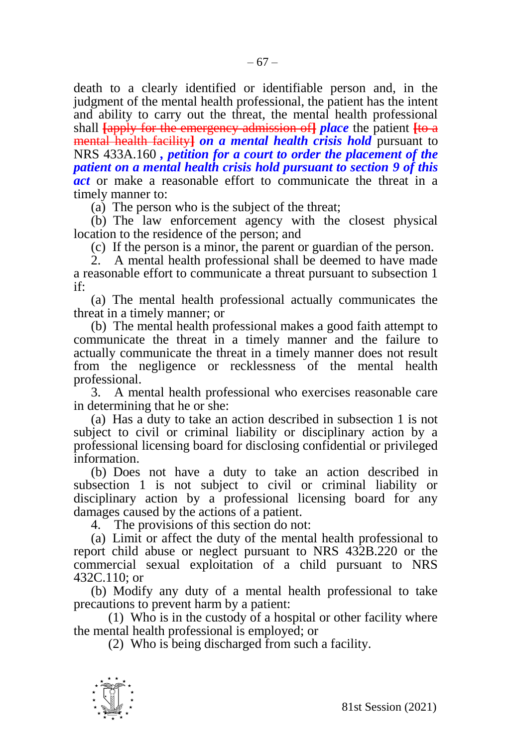death to a clearly identified or identifiable person and, in the judgment of the mental health professional, the patient has the intent and ability to carry out the threat, the mental health professional shall **[**apply for the emergency admission of**]** *place* the patient **[**to a mental health facility**]** *on a mental health crisis hold* pursuant to NRS 433A.160 *, petition for a court to order the placement of the patient on a mental health crisis hold pursuant to section 9 of this act* or make a reasonable effort to communicate the threat in a timely manner to:

(a) The person who is the subject of the threat;

(b) The law enforcement agency with the closest physical location to the residence of the person; and

(c) If the person is a minor, the parent or guardian of the person.

2. A mental health professional shall be deemed to have made a reasonable effort to communicate a threat pursuant to subsection 1 if:

(a) The mental health professional actually communicates the threat in a timely manner; or

(b) The mental health professional makes a good faith attempt to communicate the threat in a timely manner and the failure to actually communicate the threat in a timely manner does not result from the negligence or recklessness of the mental health professional.

3. A mental health professional who exercises reasonable care in determining that he or she:

(a) Has a duty to take an action described in subsection 1 is not subject to civil or criminal liability or disciplinary action by a professional licensing board for disclosing confidential or privileged information.

(b) Does not have a duty to take an action described in subsection 1 is not subject to civil or criminal liability or disciplinary action by a professional licensing board for any damages caused by the actions of a patient.

4. The provisions of this section do not:

(a) Limit or affect the duty of the mental health professional to report child abuse or neglect pursuant to NRS 432B.220 or the commercial sexual exploitation of a child pursuant to NRS 432C.110; or

(b) Modify any duty of a mental health professional to take precautions to prevent harm by a patient:

(1) Who is in the custody of a hospital or other facility where the mental health professional is employed; or

(2) Who is being discharged from such a facility.

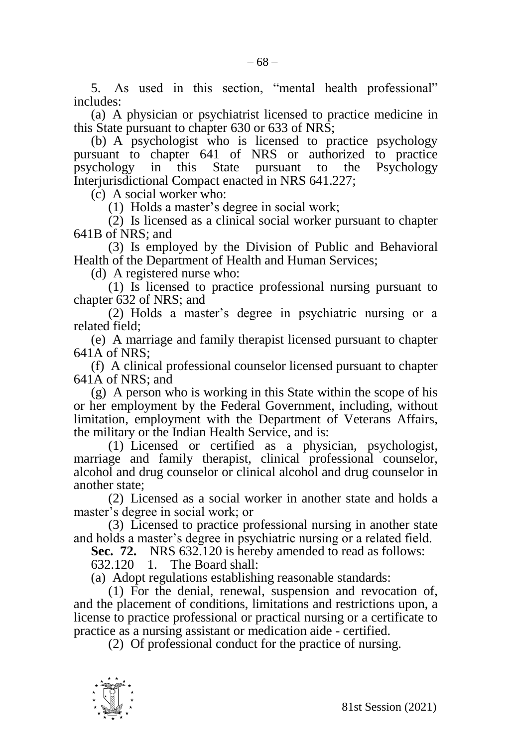5. As used in this section, "mental health professional" includes:

(a) A physician or psychiatrist licensed to practice medicine in this State pursuant to chapter 630 or 633 of NRS;

(b) A psychologist who is licensed to practice psychology pursuant to chapter 641 of NRS or authorized to practice psychology in this State pursuant to the Psychology Interjurisdictional Compact enacted in NRS 641.227;

(c) A social worker who:

(1) Holds a master's degree in social work;

(2) Is licensed as a clinical social worker pursuant to chapter 641B of NRS; and

(3) Is employed by the Division of Public and Behavioral Health of the Department of Health and Human Services;

(d) A registered nurse who:

(1) Is licensed to practice professional nursing pursuant to chapter 632 of NRS; and

(2) Holds a master's degree in psychiatric nursing or a related field;

(e) A marriage and family therapist licensed pursuant to chapter 641A of NRS;

(f) A clinical professional counselor licensed pursuant to chapter 641A of NRS; and

(g) A person who is working in this State within the scope of his or her employment by the Federal Government, including, without limitation, employment with the Department of Veterans Affairs, the military or the Indian Health Service, and is:

(1) Licensed or certified as a physician, psychologist, marriage and family therapist, clinical professional counselor, alcohol and drug counselor or clinical alcohol and drug counselor in another state;

(2) Licensed as a social worker in another state and holds a master's degree in social work; or

(3) Licensed to practice professional nursing in another state and holds a master's degree in psychiatric nursing or a related field.

**Sec. 72.** NRS 632.120 is hereby amended to read as follows:

632.120 1. The Board shall:

(a) Adopt regulations establishing reasonable standards:

(1) For the denial, renewal, suspension and revocation of, and the placement of conditions, limitations and restrictions upon, a license to practice professional or practical nursing or a certificate to practice as a nursing assistant or medication aide - certified.

(2) Of professional conduct for the practice of nursing.

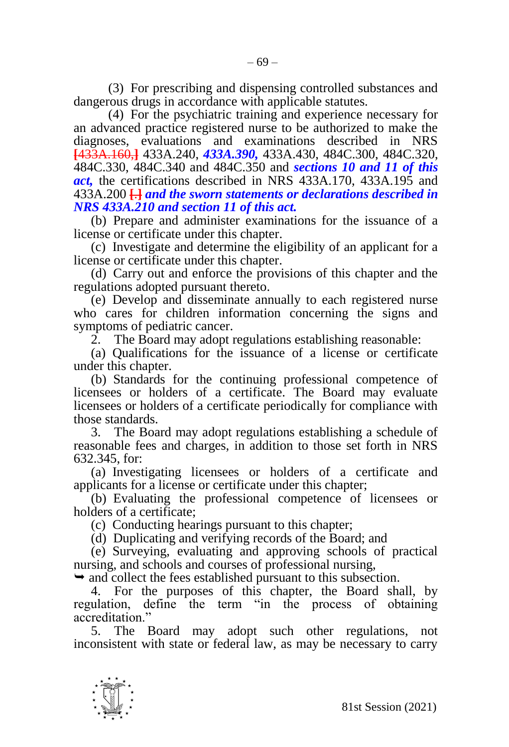(3) For prescribing and dispensing controlled substances and dangerous drugs in accordance with applicable statutes.

(4) For the psychiatric training and experience necessary for an advanced practice registered nurse to be authorized to make the diagnoses, evaluations and examinations described in NRS **[**433A.160,**]** 433A.240, *433A.390,* 433A.430, 484C.300, 484C.320, 484C.330, 484C.340 and 484C.350 and *sections 10 and 11 of this act,* the certifications described in NRS 433A.170, 433A.195 and 433A.200 **[**.**]** *and the sworn statements or declarations described in NRS 433A.210 and section 11 of this act.*

(b) Prepare and administer examinations for the issuance of a license or certificate under this chapter.

(c) Investigate and determine the eligibility of an applicant for a license or certificate under this chapter.

(d) Carry out and enforce the provisions of this chapter and the regulations adopted pursuant thereto.

(e) Develop and disseminate annually to each registered nurse who cares for children information concerning the signs and symptoms of pediatric cancer.

2. The Board may adopt regulations establishing reasonable:

(a) Qualifications for the issuance of a license or certificate under this chapter.

(b) Standards for the continuing professional competence of licensees or holders of a certificate. The Board may evaluate licensees or holders of a certificate periodically for compliance with those standards.

3. The Board may adopt regulations establishing a schedule of reasonable fees and charges, in addition to those set forth in NRS 632.345, for:

(a) Investigating licensees or holders of a certificate and applicants for a license or certificate under this chapter;

(b) Evaluating the professional competence of licensees or holders of a certificate;

(c) Conducting hearings pursuant to this chapter;

(d) Duplicating and verifying records of the Board; and

(e) Surveying, evaluating and approving schools of practical nursing, and schools and courses of professional nursing,

 $\rightarrow$  and collect the fees established pursuant to this subsection.

4. For the purposes of this chapter, the Board shall, by regulation, define the term "in the process of obtaining accreditation."

5. The Board may adopt such other regulations, not inconsistent with state or federal law, as may be necessary to carry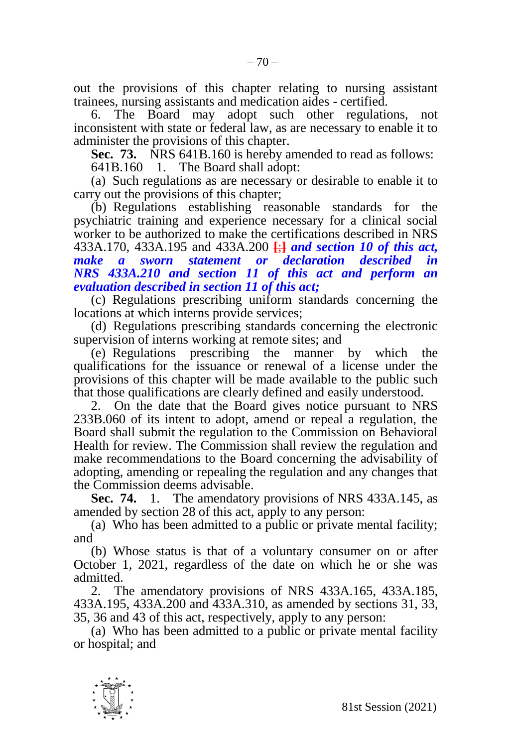out the provisions of this chapter relating to nursing assistant trainees, nursing assistants and medication aides - certified.

6. The Board may adopt such other regulations, not inconsistent with state or federal law, as are necessary to enable it to administer the provisions of this chapter.

**Sec. 73.** NRS 641B.160 is hereby amended to read as follows:

641B.160 1. The Board shall adopt:

(a) Such regulations as are necessary or desirable to enable it to carry out the provisions of this chapter;

(b) Regulations establishing reasonable standards for the psychiatric training and experience necessary for a clinical social worker to be authorized to make the certifications described in NRS 433A.170, 433A.195 and 433A.200 **[**;**]** *and section 10 of this act, make a sworn statement or declaration described in NRS 433A.210 and section 11 of this act and perform an evaluation described in section 11 of this act;*

(c) Regulations prescribing uniform standards concerning the locations at which interns provide services;

(d) Regulations prescribing standards concerning the electronic supervision of interns working at remote sites; and

(e) Regulations prescribing the manner by which the qualifications for the issuance or renewal of a license under the provisions of this chapter will be made available to the public such that those qualifications are clearly defined and easily understood.

2. On the date that the Board gives notice pursuant to NRS 233B.060 of its intent to adopt, amend or repeal a regulation, the Board shall submit the regulation to the Commission on Behavioral Health for review. The Commission shall review the regulation and make recommendations to the Board concerning the advisability of adopting, amending or repealing the regulation and any changes that the Commission deems advisable.

**Sec. 74.** 1. The amendatory provisions of NRS 433A.145, as amended by section 28 of this act, apply to any person:

(a) Who has been admitted to a public or private mental facility; and

(b) Whose status is that of a voluntary consumer on or after October 1, 2021, regardless of the date on which he or she was admitted.

2. The amendatory provisions of NRS 433A.165, 433A.185, 433A.195, 433A.200 and 433A.310, as amended by sections 31, 33, 35, 36 and 43 of this act, respectively, apply to any person:

(a) Who has been admitted to a public or private mental facility or hospital; and